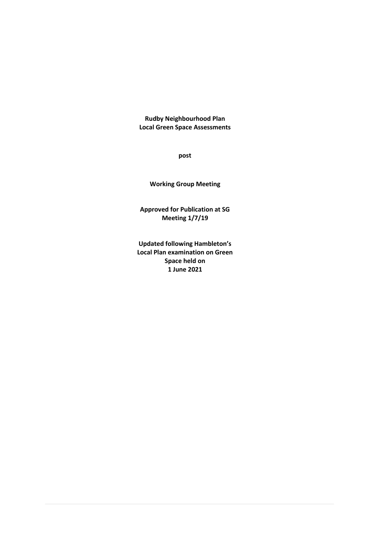**Rudby Neighbourhood Plan Local Green Space Assessments**

**post**

**Working Group Meeting**

**Approved for Publication at SG Meeting 1/7/19**

**Updated following Hambleton's Local Plan examination on Green Space held on 1 June 2021**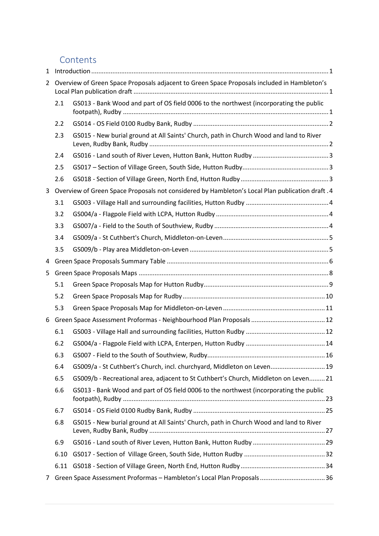### Contents

| $\mathbf{1}$   |      | $\label{eq:1} \mbox{Introduction} \,\, \ldots \,\, \ldots \,\, \ldots \,\, \ldots \,\, \ldots \,\, \ldots \,\, \ldots \,\, \ldots \,\, \ldots \,\, \ldots \,\, \ldots \,\, \ldots \,\, \ldots \,\, \ldots \,\, \ldots \,\, \ldots \,\, \ldots \,\, \ldots \,\, \ldots \,\, \ldots \,\, \ldots \,\, \ldots \,\, \ldots \,\, \ldots \,\, \ldots \,\, \ldots \,\, \ldots \,\, \ldots \,\, \ldots \,\, \ldots \,\, \ldots \,\, \ldots \,\, \ldots \,\, \ldots \,\,$ |  |
|----------------|------|-----------------------------------------------------------------------------------------------------------------------------------------------------------------------------------------------------------------------------------------------------------------------------------------------------------------------------------------------------------------------------------------------------------------------------------------------------------------|--|
| $\overline{2}$ |      | Overview of Green Space Proposals adjacent to Green Space Proposals included in Hambleton's                                                                                                                                                                                                                                                                                                                                                                     |  |
|                | 2.1  | GS013 - Bank Wood and part of OS field 0006 to the northwest (incorporating the public                                                                                                                                                                                                                                                                                                                                                                          |  |
|                | 2.2  |                                                                                                                                                                                                                                                                                                                                                                                                                                                                 |  |
|                | 2.3  | GS015 - New burial ground at All Saints' Church, path in Church Wood and land to River                                                                                                                                                                                                                                                                                                                                                                          |  |
|                | 2.4  |                                                                                                                                                                                                                                                                                                                                                                                                                                                                 |  |
|                | 2.5  |                                                                                                                                                                                                                                                                                                                                                                                                                                                                 |  |
|                | 2.6  |                                                                                                                                                                                                                                                                                                                                                                                                                                                                 |  |
| 3              |      | Overview of Green Space Proposals not considered by Hambleton's Local Plan publication draft .4                                                                                                                                                                                                                                                                                                                                                                 |  |
|                | 3.1  |                                                                                                                                                                                                                                                                                                                                                                                                                                                                 |  |
|                | 3.2  |                                                                                                                                                                                                                                                                                                                                                                                                                                                                 |  |
|                | 3.3  |                                                                                                                                                                                                                                                                                                                                                                                                                                                                 |  |
|                | 3.4  |                                                                                                                                                                                                                                                                                                                                                                                                                                                                 |  |
|                | 3.5  |                                                                                                                                                                                                                                                                                                                                                                                                                                                                 |  |
| 4              |      |                                                                                                                                                                                                                                                                                                                                                                                                                                                                 |  |
| 5              |      |                                                                                                                                                                                                                                                                                                                                                                                                                                                                 |  |
|                | 5.1  |                                                                                                                                                                                                                                                                                                                                                                                                                                                                 |  |
|                | 5.2  |                                                                                                                                                                                                                                                                                                                                                                                                                                                                 |  |
|                | 5.3  |                                                                                                                                                                                                                                                                                                                                                                                                                                                                 |  |
| 6              |      |                                                                                                                                                                                                                                                                                                                                                                                                                                                                 |  |
|                | 6.1  |                                                                                                                                                                                                                                                                                                                                                                                                                                                                 |  |
|                | 6.2  |                                                                                                                                                                                                                                                                                                                                                                                                                                                                 |  |
|                | 6.3  |                                                                                                                                                                                                                                                                                                                                                                                                                                                                 |  |
|                | 6.4  | GS009/a - St Cuthbert's Church, incl. churchyard, Middleton on Leven 19                                                                                                                                                                                                                                                                                                                                                                                         |  |
|                | 6.5  | GS009/b - Recreational area, adjacent to St Cuthbert's Church, Middleton on Leven 21                                                                                                                                                                                                                                                                                                                                                                            |  |
|                | 6.6  | GS013 - Bank Wood and part of OS field 0006 to the northwest (incorporating the public                                                                                                                                                                                                                                                                                                                                                                          |  |
|                | 6.7  |                                                                                                                                                                                                                                                                                                                                                                                                                                                                 |  |
|                | 6.8  | GS015 - New burial ground at All Saints' Church, path in Church Wood and land to River                                                                                                                                                                                                                                                                                                                                                                          |  |
|                | 6.9  |                                                                                                                                                                                                                                                                                                                                                                                                                                                                 |  |
|                | 6.10 |                                                                                                                                                                                                                                                                                                                                                                                                                                                                 |  |
|                | 6.11 |                                                                                                                                                                                                                                                                                                                                                                                                                                                                 |  |
| $\overline{7}$ |      |                                                                                                                                                                                                                                                                                                                                                                                                                                                                 |  |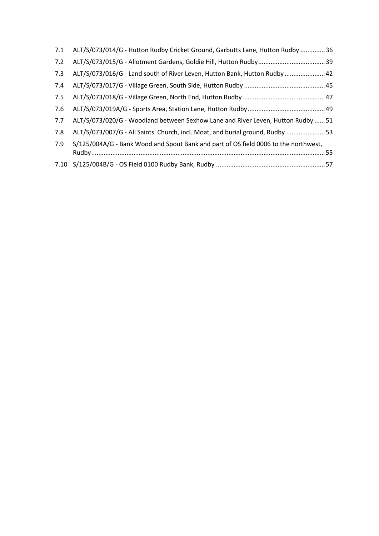| 7.1 | ALT/S/073/014/G - Hutton Rudby Cricket Ground, Garbutts Lane, Hutton Rudby 36       |  |
|-----|-------------------------------------------------------------------------------------|--|
| 7.2 |                                                                                     |  |
| 7.3 | ALT/S/073/016/G - Land south of River Leven, Hutton Bank, Hutton Rudby  42          |  |
| 7.4 |                                                                                     |  |
| 7.5 |                                                                                     |  |
| 7.6 |                                                                                     |  |
| 7.7 | ALT/S/073/020/G - Woodland between Sexhow Lane and River Leven, Hutton Rudby  51    |  |
| 7.8 | ALT/S/073/007/G - All Saints' Church, incl. Moat, and burial ground, Rudby 53       |  |
| 7.9 | S/125/004A/G - Bank Wood and Spout Bank and part of OS field 0006 to the northwest, |  |
|     |                                                                                     |  |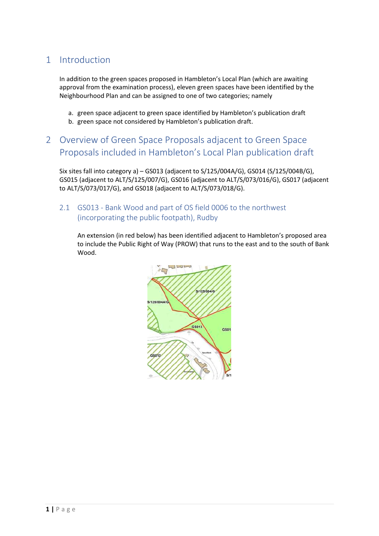### <span id="page-3-0"></span>1 Introduction

In addition to the green spaces proposed in Hambleton's Local Plan (which are awaiting approval from the examination process), eleven green spaces have been identified by the Neighbourhood Plan and can be assigned to one of two categories; namely

- a. green space adjacent to green space identified by Hambleton's publication draft
- b. green space not considered by Hambleton's publication draft.

# <span id="page-3-1"></span>2 Overview of Green Space Proposals adjacent to Green Space Proposals included in Hambleton's Local Plan publication draft

Six sites fall into category a) – GS013 (adjacent to S/125/004A/G), GS014 (S/125/004B/G), GS015 (adjacent to ALT/S/125/007/G), GS016 (adjacent to ALT/S/073/016/G), GS017 (adjacent to ALT/S/073/017/G), and GS018 (adjacent to ALT/S/073/018/G).

#### <span id="page-3-2"></span>2.1 GS013 - Bank Wood and part of OS field 0006 to the northwest (incorporating the public footpath), Rudby

An extension (in red below) has been identified adjacent to Hambleton's proposed area to include the Public Right of Way (PROW) that runs to the east and to the south of Bank Wood.

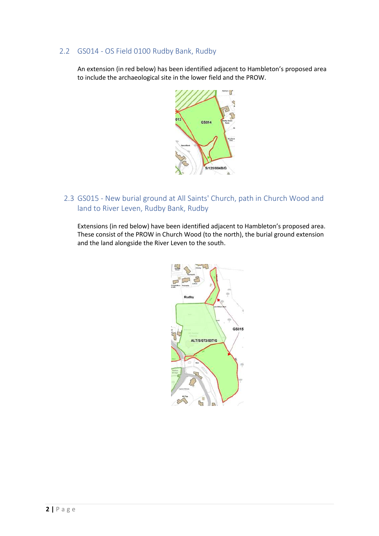#### <span id="page-4-0"></span>2.2 GS014 - OS Field 0100 Rudby Bank, Rudby

An extension (in red below) has been identified adjacent to Hambleton's proposed area to include the archaeological site in the lower field and the PROW.



<span id="page-4-1"></span>2.3 GS015 - New burial ground at All Saints' Church, path in Church Wood and land to River Leven, Rudby Bank, Rudby

Extensions (in red below) have been identified adjacent to Hambleton's proposed area. These consist of the PROW in Church Wood (to the north), the burial ground extension and the land alongside the River Leven to the south.

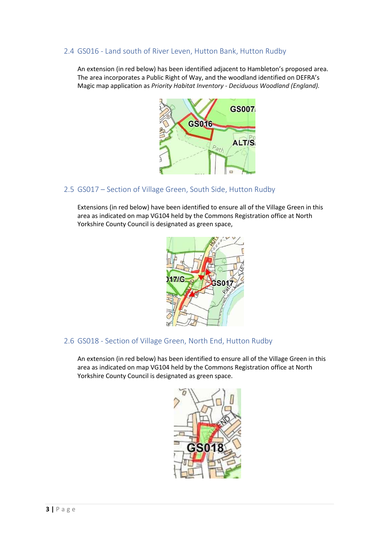#### <span id="page-5-0"></span>2.4 GS016 - Land south of River Leven, Hutton Bank, Hutton Rudby

An extension (in red below) has been identified adjacent to Hambleton's proposed area. The area incorporates a Public Right of Way, and the woodland identified on DEFRA's Magic map application as *Priority Habitat Inventory - Deciduous Woodland (England).*



#### <span id="page-5-1"></span>2.5 GS017 – Section of Village Green, South Side, Hutton Rudby

Extensions (in red below) have been identified to ensure all of the Village Green in this area as indicated on map VG104 held by the Commons Registration office at North Yorkshire County Council is designated as green space,



#### <span id="page-5-2"></span>2.6 GS018 - Section of Village Green, North End, Hutton Rudby

An extension (in red below) has been identified to ensure all of the Village Green in this area as indicated on map VG104 held by the Commons Registration office at North Yorkshire County Council is designated as green space.

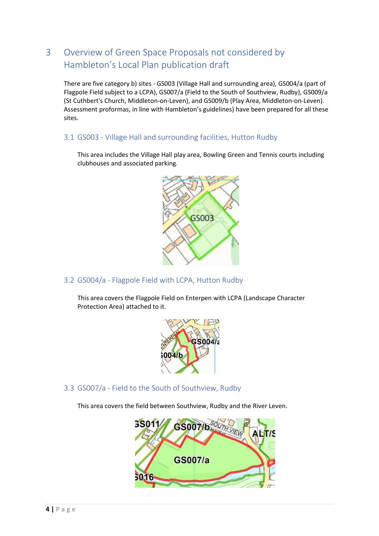# <span id="page-6-0"></span>3 Overview of Green Space Proposals not considered by Hambleton's Local Plan publication draft

There are five category b) sites - GS003 (Village Hall and surrounding area), GS004/a (part of Flagpole Field subject to a LCPA), GS007/a (Field to the South of Southview, Rudby), GS009/a (St Cuthbert's Church, Middleton-on-Leven), and GS009/b (Play Area, Middleton-on-Leven). Assessment proformas, in line with Hambleton's guidelines) have been prepared for all these sites.

<span id="page-6-1"></span>3.1 GS003 - Village Hall and surrounding facilities, Hutton Rudby

This area includes the Village Hall play area, Bowling Green and Tennis courts including clubhouses and associated parking.



<span id="page-6-2"></span>3.2 GS004/a - Flagpole Field with LCPA, Hutton Rudby

This area covers the Flagpole Field on Enterpen with LCPA (Landscape Character Protection Area) attached to it.



<span id="page-6-3"></span>3.3 GS007/a - Field to the South of Southview, Rudby

This area covers the field between Southview, Rudby and the River Leven.

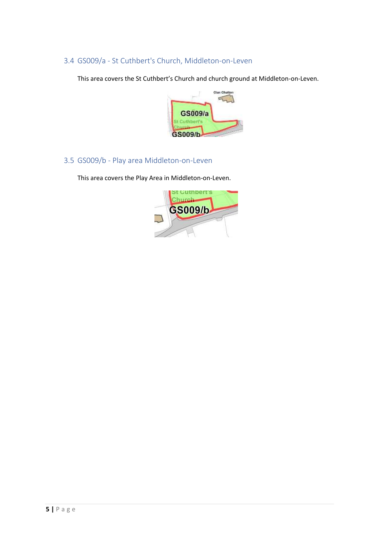<span id="page-7-0"></span>3.4 GS009/a - St Cuthbert's Church, Middleton-on-Leven

This area covers the St Cuthbert's Church and church ground at Middleton-on-Leven.



<span id="page-7-1"></span>3.5 GS009/b - Play area Middleton-on-Leven

This area covers the Play Area in Middleton-on-Leven.

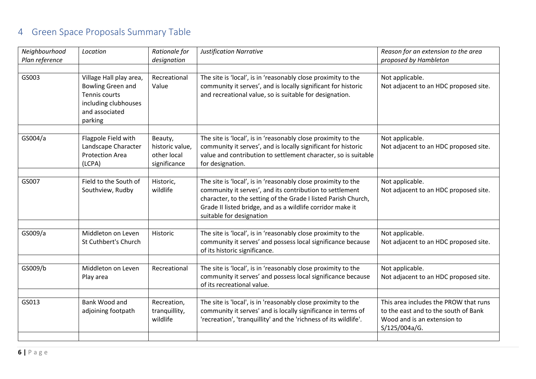# 4 Green Space Proposals Summary Table

<span id="page-8-0"></span>

| Neighbourhood<br>Plan reference | Location                                                                                                           | Rationale for<br>designation                              | <b>Justification Narrative</b>                                                                                                                                                                                                                                                        | Reason for an extension to the area<br>proposed by Hambleton                                                                  |
|---------------------------------|--------------------------------------------------------------------------------------------------------------------|-----------------------------------------------------------|---------------------------------------------------------------------------------------------------------------------------------------------------------------------------------------------------------------------------------------------------------------------------------------|-------------------------------------------------------------------------------------------------------------------------------|
|                                 |                                                                                                                    |                                                           |                                                                                                                                                                                                                                                                                       |                                                                                                                               |
| GS003                           | Village Hall play area,<br>Bowling Green and<br>Tennis courts<br>including clubhouses<br>and associated<br>parking | Recreational<br>Value                                     | The site is 'local', is in 'reasonably close proximity to the<br>community it serves', and is locally significant for historic<br>and recreational value, so is suitable for designation.                                                                                             | Not applicable.<br>Not adjacent to an HDC proposed site.                                                                      |
| GS004/a                         | Flagpole Field with<br>Landscape Character<br><b>Protection Area</b><br>(LCPA)                                     | Beauty,<br>historic value,<br>other local<br>significance | The site is 'local', is in 'reasonably close proximity to the<br>community it serves', and is locally significant for historic<br>value and contribution to settlement character, so is suitable<br>for designation.                                                                  | Not applicable.<br>Not adjacent to an HDC proposed site.                                                                      |
| GS007                           | Field to the South of<br>Southview, Rudby                                                                          | Historic,<br>wildlife                                     | The site is 'local', is in 'reasonably close proximity to the<br>community it serves', and its contribution to settlement<br>character, to the setting of the Grade I listed Parish Church,<br>Grade II listed bridge, and as a wildlife corridor make it<br>suitable for designation | Not applicable.<br>Not adjacent to an HDC proposed site.                                                                      |
| GS009/a                         | Middleton on Leven<br><b>St Cuthbert's Church</b>                                                                  | Historic                                                  | The site is 'local', is in 'reasonably close proximity to the<br>community it serves' and possess local significance because<br>of its historic significance.                                                                                                                         | Not applicable.<br>Not adjacent to an HDC proposed site.                                                                      |
| GS009/b                         | Middleton on Leven<br>Play area                                                                                    | Recreational                                              | The site is 'local', is in 'reasonably close proximity to the<br>community it serves' and possess local significance because<br>of its recreational value.                                                                                                                            | Not applicable.<br>Not adjacent to an HDC proposed site.                                                                      |
|                                 |                                                                                                                    |                                                           |                                                                                                                                                                                                                                                                                       |                                                                                                                               |
| GS013                           | Bank Wood and<br>adjoining footpath                                                                                | Recreation,<br>tranquillity,<br>wildlife                  | The site is 'local', is in 'reasonably close proximity to the<br>community it serves' and is locally significance in terms of<br>'recreation', 'tranquillity' and the 'richness of its wildlife'.                                                                                     | This area includes the PROW that runs<br>to the east and to the south of Bank<br>Wood and is an extension to<br>S/125/004a/G. |
|                                 |                                                                                                                    |                                                           |                                                                                                                                                                                                                                                                                       |                                                                                                                               |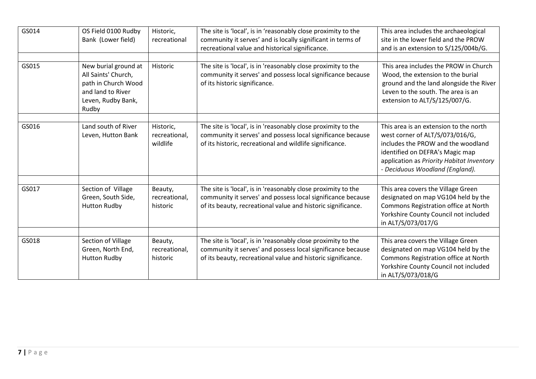| GS014 | OS Field 0100 Rudby<br>Bank (Lower field)                                                                              | Historic,<br>recreational              | The site is 'local', is in 'reasonably close proximity to the<br>community it serves' and is locally significant in terms of<br>recreational value and historical significance.              | This area includes the archaeological<br>site in the lower field and the PROW<br>and is an extension to S/125/004b/G.                                                                                                              |
|-------|------------------------------------------------------------------------------------------------------------------------|----------------------------------------|----------------------------------------------------------------------------------------------------------------------------------------------------------------------------------------------|------------------------------------------------------------------------------------------------------------------------------------------------------------------------------------------------------------------------------------|
| GS015 | New burial ground at<br>All Saints' Church,<br>path in Church Wood<br>and land to River<br>Leven, Rudby Bank,<br>Rudby | Historic                               | The site is 'local', is in 'reasonably close proximity to the<br>community it serves' and possess local significance because<br>of its historic significance.                                | This area includes the PROW in Church<br>Wood, the extension to the burial<br>ground and the land alongside the River<br>Leven to the south. The area is an<br>extension to ALT/S/125/007/G.                                       |
| GS016 | Land south of River<br>Leven, Hutton Bank                                                                              | Historic,<br>recreational,<br>wildlife | The site is 'local', is in 'reasonably close proximity to the<br>community it serves' and possess local significance because<br>of its historic, recreational and wildlife significance.     | This area is an extension to the north<br>west corner of ALT/S/073/016/G,<br>includes the PROW and the woodland<br>identified on DEFRA's Magic map<br>application as Priority Habitat Inventory<br>- Deciduous Woodland (England). |
| GS017 | Section of Village<br>Green, South Side,<br><b>Hutton Rudby</b>                                                        | Beauty,<br>recreational,<br>historic   | The site is 'local', is in 'reasonably close proximity to the<br>community it serves' and possess local significance because<br>of its beauty, recreational value and historic significance. | This area covers the Village Green<br>designated on map VG104 held by the<br>Commons Registration office at North<br>Yorkshire County Council not included<br>in ALT/S/073/017/G                                                   |
| GS018 | Section of Village<br>Green, North End,<br><b>Hutton Rudby</b>                                                         | Beauty,<br>recreational,<br>historic   | The site is 'local', is in 'reasonably close proximity to the<br>community it serves' and possess local significance because<br>of its beauty, recreational value and historic significance. | This area covers the Village Green<br>designated on map VG104 held by the<br>Commons Registration office at North<br>Yorkshire County Council not included<br>in ALT/S/073/018/G                                                   |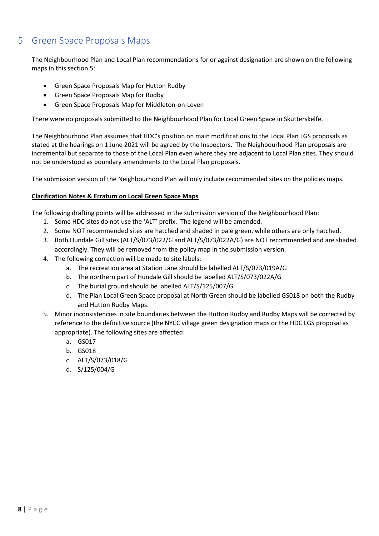# <span id="page-10-0"></span>5 Green Space Proposals Maps

The Neighbourhood Plan and Local Plan recommendations for or against designation are shown on the following maps in this section [5:](#page-10-0)

- Green Space Proposals Map for Hutton Rudby
- Green Space Proposals Map for Rudby
- Green Space Proposals Map for Middleton-on-Leven

There were no proposals submitted to the Neighbourhood Plan for Local Green Space in Skutterskelfe.

The Neighbourhood Plan assumes that HDC's position on main modifications to the Local Plan LGS proposals as stated at the hearings on 1 June 2021 will be agreed by the Inspectors. The Neighbourhood Plan proposals are incremental but separate to those of the Local Plan even where they are adjacent to Local Plan sites. They should not be understood as boundary amendments to the Local Plan proposals.

The submission version of the Neighbourhood Plan will only include recommended sites on the policies maps.

#### **Clarification Notes & Erratum on Local Green Space Maps**

The following drafting points will be addressed in the submission version of the Neighbourhood Plan:

- 1. Some HDC sites do not use the 'ALT' prefix. The legend will be amended.
- 2. Some NOT recommended sites are hatched and shaded in pale green, while others are only hatched.
- 3. Both Hundale Gill sites (ALT/S/073/022/G and ALT/S/073/022A/G) are NOT recommended and are shaded accordingly. They will be removed from the policy map in the submission version.
- 4. The following correction will be made to site labels:
	- a. The recreation area at Station Lane should be labelled ALT/S/073/019A/G
	- b. The northern part of Hundale Gill should be labelled ALT/S/073/022A/G
	- c. The burial ground should be labelled ALT/S/125/007/G
	- d. The Plan Local Green Space proposal at North Green should be labelled GS018 on both the Rudby and Hutton Rudby Maps.
- 5. Minor inconsistencies in site boundaries between the Hutton Rudby and Rudby Maps will be corrected by reference to the definitive source (the NYCC village green designation maps or the HDC LGS proposal as appropriate). The following sites are affected:
	- a. GS017
	- b. GS018
	- c. ALT/S/073/018/G
	- d. S/125/004/G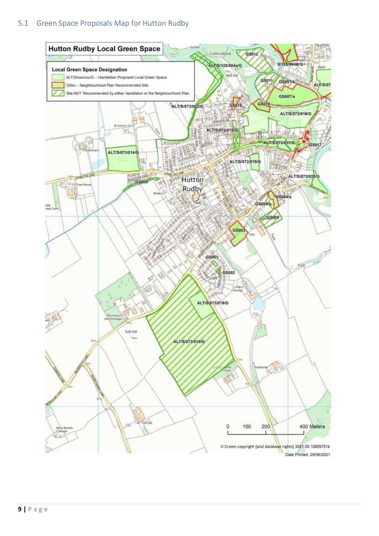#### <span id="page-11-0"></span>5.1 Green Space Proposals Map for Hutton Rudby

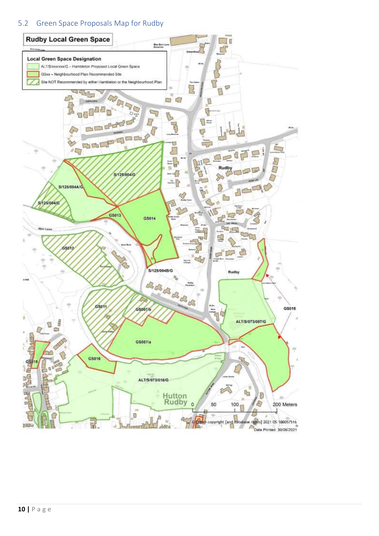#### <span id="page-12-0"></span>5.2 Green Space Proposals Map for Rudby

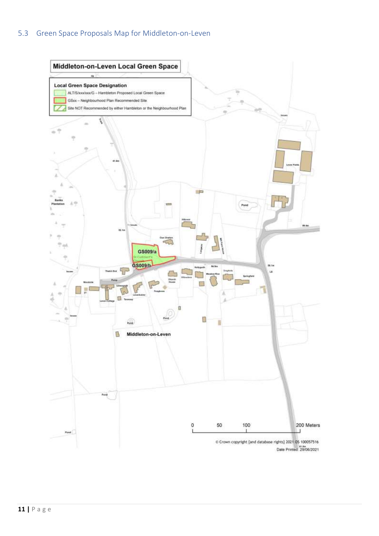### <span id="page-13-0"></span>5.3 Green Space Proposals Map for Middleton-on-Leven



Date Printed: 29/06/2021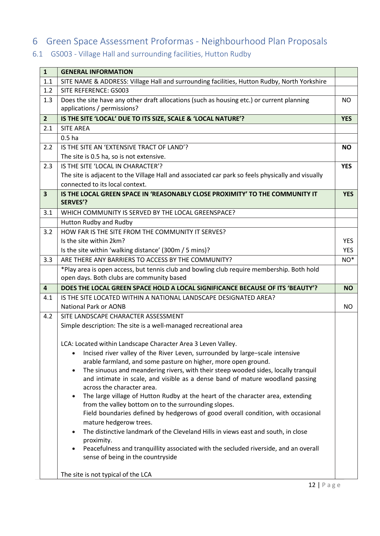# <span id="page-14-0"></span>6 Green Space Assessment Proformas - Neighbourhood Plan Proposals

# <span id="page-14-1"></span>6.1 GS003 - Village Hall and surrounding facilities, Hutton Rudby

| $\mathbf{1}$            | <b>GENERAL INFORMATION</b>                                                                                                                                  |                 |
|-------------------------|-------------------------------------------------------------------------------------------------------------------------------------------------------------|-----------------|
| 1.1                     | SITE NAME & ADDRESS: Village Hall and surrounding facilities, Hutton Rudby, North Yorkshire                                                                 |                 |
| 1.2                     | SITE REFERENCE: GS003                                                                                                                                       |                 |
| 1.3                     | Does the site have any other draft allocations (such as housing etc.) or current planning                                                                   | NO              |
|                         | applications / permissions?                                                                                                                                 |                 |
| 2 <sup>2</sup>          | IS THE SITE 'LOCAL' DUE TO ITS SIZE, SCALE & 'LOCAL NATURE'?                                                                                                | <b>YES</b>      |
| 2.1                     | <b>SITE AREA</b>                                                                                                                                            |                 |
|                         | 0.5 <sub>ha</sub>                                                                                                                                           |                 |
| 2.2                     | IS THE SITE AN 'EXTENSIVE TRACT OF LAND'?                                                                                                                   | <b>NO</b>       |
|                         | The site is 0.5 ha, so is not extensive.                                                                                                                    |                 |
| 2.3                     | IS THE SITE 'LOCAL IN CHARACTER'?                                                                                                                           | <b>YES</b>      |
|                         | The site is adjacent to the Village Hall and associated car park so feels physically and visually                                                           |                 |
|                         | connected to its local context.                                                                                                                             |                 |
| $\overline{\mathbf{3}}$ | IS THE LOCAL GREEN SPACE IN 'REASONABLY CLOSE PROXIMITY' TO THE COMMUNITY IT                                                                                | <b>YES</b>      |
|                         | <b>SERVES'?</b>                                                                                                                                             |                 |
| 3.1                     | WHICH COMMUNITY IS SERVED BY THE LOCAL GREENSPACE?                                                                                                          |                 |
|                         | Hutton Rudby and Rudby                                                                                                                                      |                 |
| 3.2                     | HOW FAR IS THE SITE FROM THE COMMUNITY IT SERVES?                                                                                                           |                 |
|                         | Is the site within 2km?                                                                                                                                     | <b>YES</b>      |
|                         | Is the site within 'walking distance' (300m / 5 mins)?                                                                                                      | <b>YES</b>      |
| 3.3                     | ARE THERE ANY BARRIERS TO ACCESS BY THE COMMUNITY?                                                                                                          | NO <sup>*</sup> |
|                         | *Play area is open access, but tennis club and bowling club require membership. Both hold                                                                   |                 |
|                         | open days. Both clubs are community based                                                                                                                   |                 |
| $\overline{4}$          | DOES THE LOCAL GREEN SPACE HOLD A LOCAL SIGNIFICANCE BECAUSE OF ITS 'BEAUTY'?                                                                               | <b>NO</b>       |
| 4.1                     | IS THE SITE LOCATED WITHIN A NATIONAL LANDSCAPE DESIGNATED AREA?                                                                                            |                 |
|                         | National Park or AONB                                                                                                                                       | NO.             |
| 4.2                     | SITE LANDSCAPE CHARACTER ASSESSMENT                                                                                                                         |                 |
|                         | Simple description: The site is a well-managed recreational area                                                                                            |                 |
|                         |                                                                                                                                                             |                 |
|                         | LCA: Located within Landscape Character Area 3 Leven Valley.                                                                                                |                 |
|                         | Incised river valley of the River Leven, surrounded by large-scale intensive<br>$\bullet$<br>arable farmland, and some pasture on higher, more open ground. |                 |
|                         | The sinuous and meandering rivers, with their steep wooded sides, locally tranquil<br>$\bullet$                                                             |                 |
|                         | and intimate in scale, and visible as a dense band of mature woodland passing                                                                               |                 |
|                         | across the character area.                                                                                                                                  |                 |
|                         | The large village of Hutton Rudby at the heart of the character area, extending                                                                             |                 |
|                         | from the valley bottom on to the surrounding slopes.                                                                                                        |                 |
|                         | Field boundaries defined by hedgerows of good overall condition, with occasional                                                                            |                 |
|                         | mature hedgerow trees.                                                                                                                                      |                 |
|                         | The distinctive landmark of the Cleveland Hills in views east and south, in close<br>$\bullet$                                                              |                 |
|                         | proximity.                                                                                                                                                  |                 |
|                         | Peacefulness and tranquillity associated with the secluded riverside, and an overall<br>$\bullet$                                                           |                 |
|                         | sense of being in the countryside                                                                                                                           |                 |
|                         | The site is not typical of the LCA                                                                                                                          |                 |
|                         |                                                                                                                                                             |                 |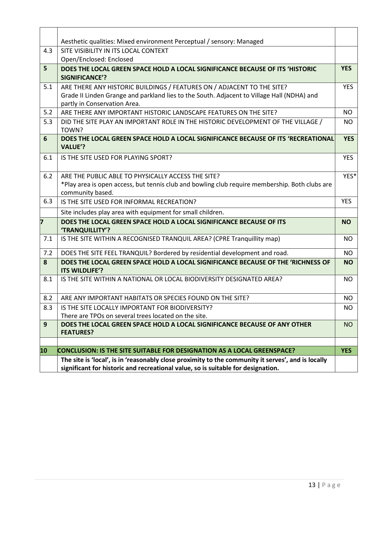|     | Aesthetic qualities: Mixed environment Perceptual / sensory: Managed                                                                                                                   |            |
|-----|----------------------------------------------------------------------------------------------------------------------------------------------------------------------------------------|------------|
| 4.3 | SITE VISIBILITY IN ITS LOCAL CONTEXT                                                                                                                                                   |            |
|     | Open/Enclosed: Enclosed                                                                                                                                                                |            |
| 5   | DOES THE LOCAL GREEN SPACE HOLD A LOCAL SIGNIFICANCE BECAUSE OF ITS 'HISTORIC                                                                                                          | <b>YES</b> |
|     | <b>SIGNIFICANCE'?</b>                                                                                                                                                                  |            |
| 5.1 | ARE THERE ANY HISTORIC BUILDINGS / FEATURES ON / ADJACENT TO THE SITE?                                                                                                                 | <b>YES</b> |
|     | Grade II Linden Grange and parkland lies to the South. Adjacent to Village Hall (NDHA) and                                                                                             |            |
|     | partly in Conservation Area.                                                                                                                                                           |            |
| 5.2 | ARE THERE ANY IMPORTANT HISTORIC LANDSCAPE FEATURES ON THE SITE?                                                                                                                       | <b>NO</b>  |
| 5.3 | DID THE SITE PLAY AN IMPORTANT ROLE IN THE HISTORIC DEVELOPMENT OF THE VILLAGE /<br>TOWN?                                                                                              | NO.        |
| 6   | DOES THE LOCAL GREEN SPACE HOLD A LOCAL SIGNIFICANCE BECAUSE OF ITS 'RECREATIONAL<br><b>VALUE'?</b>                                                                                    | <b>YES</b> |
| 6.1 | IS THE SITE USED FOR PLAYING SPORT?                                                                                                                                                    | <b>YES</b> |
| 6.2 | ARE THE PUBLIC ABLE TO PHYSICALLY ACCESS THE SITE?                                                                                                                                     | YES*       |
|     | *Play area is open access, but tennis club and bowling club require membership. Both clubs are                                                                                         |            |
|     | community based.                                                                                                                                                                       |            |
| 6.3 | IS THE SITE USED FOR INFORMAL RECREATION?                                                                                                                                              | <b>YES</b> |
|     | Site includes play area with equipment for small children.                                                                                                                             |            |
| 7   | DOES THE LOCAL GREEN SPACE HOLD A LOCAL SIGNIFICANCE BECAUSE OF ITS<br>'TRANQUILLITY'?                                                                                                 | <b>NO</b>  |
| 7.1 | IS THE SITE WITHIN A RECOGNISED TRANQUIL AREA? (CPRE Tranquillity map)                                                                                                                 | <b>NO</b>  |
| 7.2 | DOES THE SITE FEEL TRANQUIL? Bordered by residential development and road.                                                                                                             | <b>NO</b>  |
| 8   | DOES THE LOCAL GREEN SPACE HOLD A LOCAL SIGNIFICANCE BECAUSE OF THE 'RICHNESS OF<br>ITS WILDLIFE'?                                                                                     | <b>NO</b>  |
| 8.1 | IS THE SITE WITHIN A NATIONAL OR LOCAL BIODIVERSITY DESIGNATED AREA?                                                                                                                   | <b>NO</b>  |
| 8.2 | ARE ANY IMPORTANT HABITATS OR SPECIES FOUND ON THE SITE?                                                                                                                               | <b>NO</b>  |
| 8.3 | IS THE SITE LOCALLY IMPORTANT FOR BIODIVERSITY?                                                                                                                                        | <b>NO</b>  |
|     | There are TPOs on several trees located on the site.                                                                                                                                   |            |
| 9   | DOES THE LOCAL GREEN SPACE HOLD A LOCAL SIGNIFICANCE BECAUSE OF ANY OTHER<br><b>FEATURES?</b>                                                                                          | <b>NO</b>  |
|     |                                                                                                                                                                                        |            |
| 10  | CONCLUSION: IS THE SITE SUITABLE FOR DESIGNATION AS A LOCAL GREENSPACE?                                                                                                                | <b>YES</b> |
|     | The site is 'local', is in 'reasonably close proximity to the community it serves', and is locally<br>significant for historic and recreational value, so is suitable for designation. |            |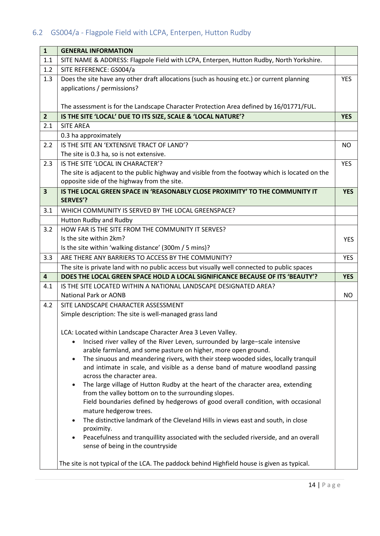# <span id="page-16-0"></span>6.2 GS004/a - Flagpole Field with LCPA, Enterpen, Hutton Rudby

| $\mathbf{1}$            | <b>GENERAL INFORMATION</b>                                                                                  |            |  |
|-------------------------|-------------------------------------------------------------------------------------------------------------|------------|--|
| 1.1                     | SITE NAME & ADDRESS: Flagpole Field with LCPA, Enterpen, Hutton Rudby, North Yorkshire.                     |            |  |
| 1.2                     | SITE REFERENCE: GS004/a                                                                                     |            |  |
| 1.3                     | Does the site have any other draft allocations (such as housing etc.) or current planning                   |            |  |
|                         | applications / permissions?                                                                                 |            |  |
|                         |                                                                                                             |            |  |
|                         | The assessment is for the Landscape Character Protection Area defined by 16/01771/FUL.                      |            |  |
| $\overline{2}$          | IS THE SITE 'LOCAL' DUE TO ITS SIZE, SCALE & 'LOCAL NATURE'?                                                | <b>YES</b> |  |
| 2.1                     | <b>SITE AREA</b>                                                                                            |            |  |
|                         | 0.3 ha approximately                                                                                        |            |  |
| 2.2                     | IS THE SITE AN 'EXTENSIVE TRACT OF LAND'?                                                                   | <b>NO</b>  |  |
|                         | The site is 0.3 ha, so is not extensive.                                                                    |            |  |
| 2.3                     | IS THE SITE 'LOCAL IN CHARACTER'?                                                                           | <b>YES</b> |  |
|                         | The site is adjacent to the public highway and visible from the footway which is located on the             |            |  |
|                         | opposite side of the highway from the site.                                                                 |            |  |
| $\overline{\mathbf{3}}$ | IS THE LOCAL GREEN SPACE IN 'REASONABLY CLOSE PROXIMITY' TO THE COMMUNITY IT                                | <b>YES</b> |  |
|                         | <b>SERVES'?</b>                                                                                             |            |  |
| 3.1                     | WHICH COMMUNITY IS SERVED BY THE LOCAL GREENSPACE?                                                          |            |  |
|                         | Hutton Rudby and Rudby                                                                                      |            |  |
| 3.2                     | HOW FAR IS THE SITE FROM THE COMMUNITY IT SERVES?                                                           |            |  |
|                         | Is the site within 2km?                                                                                     | <b>YES</b> |  |
|                         | Is the site within 'walking distance' (300m / 5 mins)?                                                      |            |  |
| 3.3                     | ARE THERE ANY BARRIERS TO ACCESS BY THE COMMUNITY?                                                          | <b>YES</b> |  |
|                         | The site is private land with no public access but visually well connected to public spaces                 |            |  |
| $\overline{4}$          | DOES THE LOCAL GREEN SPACE HOLD A LOCAL SIGNIFICANCE BECAUSE OF ITS 'BEAUTY'?                               | <b>YES</b> |  |
| 4.1                     | IS THE SITE LOCATED WITHIN A NATIONAL LANDSCAPE DESIGNATED AREA?                                            |            |  |
|                         | <b>National Park or AONB</b>                                                                                | NO.        |  |
| 4.2                     | SITE LANDSCAPE CHARACTER ASSESSMENT                                                                         |            |  |
|                         | Simple description: The site is well-managed grass land                                                     |            |  |
|                         |                                                                                                             |            |  |
|                         | LCA: Located within Landscape Character Area 3 Leven Valley.                                                |            |  |
|                         | Incised river valley of the River Leven, surrounded by large-scale intensive                                |            |  |
|                         | arable farmland, and some pasture on higher, more open ground.                                              |            |  |
|                         | The sinuous and meandering rivers, with their steep wooded sides, locally tranquil<br>$\bullet$             |            |  |
|                         | and intimate in scale, and visible as a dense band of mature woodland passing<br>across the character area. |            |  |
|                         | The large village of Hutton Rudby at the heart of the character area, extending                             |            |  |
|                         | from the valley bottom on to the surrounding slopes.                                                        |            |  |
|                         | Field boundaries defined by hedgerows of good overall condition, with occasional                            |            |  |
|                         | mature hedgerow trees.                                                                                      |            |  |
|                         | The distinctive landmark of the Cleveland Hills in views east and south, in close<br>$\bullet$              |            |  |
|                         | proximity.                                                                                                  |            |  |
|                         | Peacefulness and tranquillity associated with the secluded riverside, and an overall                        |            |  |
|                         | sense of being in the countryside                                                                           |            |  |
|                         |                                                                                                             |            |  |
|                         | The site is not typical of the LCA. The paddock behind Highfield house is given as typical.                 |            |  |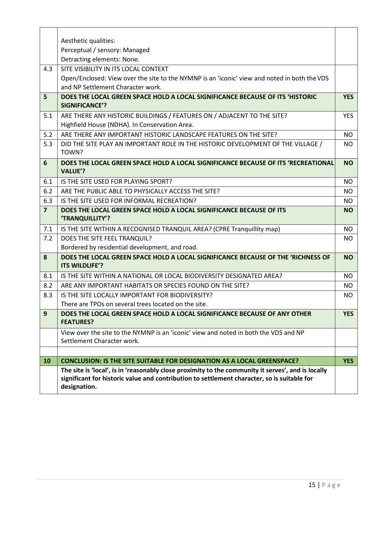|                | Aesthetic qualities:                                                                                                                                                                                              |            |
|----------------|-------------------------------------------------------------------------------------------------------------------------------------------------------------------------------------------------------------------|------------|
|                | Perceptual / sensory: Managed                                                                                                                                                                                     |            |
|                | Detracting elements: None.                                                                                                                                                                                        |            |
| 4.3            | SITE VISIBILITY IN ITS LOCAL CONTEXT                                                                                                                                                                              |            |
|                | Open/Enclosed: View over the site to the NYMNP is an 'iconic' view and noted in both the VDS                                                                                                                      |            |
|                | and NP Settlement Character work.                                                                                                                                                                                 |            |
| 5              | DOES THE LOCAL GREEN SPACE HOLD A LOCAL SIGNIFICANCE BECAUSE OF ITS 'HISTORIC<br><b>SIGNIFICANCE'?</b>                                                                                                            | <b>YES</b> |
| 5.1            | ARE THERE ANY HISTORIC BUILDINGS / FEATURES ON / ADJACENT TO THE SITE?                                                                                                                                            | <b>YES</b> |
|                | Highfield House (NDHA). In Conservation Area.                                                                                                                                                                     |            |
| 5.2            | ARE THERE ANY IMPORTANT HISTORIC LANDSCAPE FEATURES ON THE SITE?                                                                                                                                                  | <b>NO</b>  |
| 5.3            | DID THE SITE PLAY AN IMPORTANT ROLE IN THE HISTORIC DEVELOPMENT OF THE VILLAGE /<br>TOWN?                                                                                                                         | NO.        |
| 6              | DOES THE LOCAL GREEN SPACE HOLD A LOCAL SIGNIFICANCE BECAUSE OF ITS 'RECREATIONAL<br><b>VALUE'?</b>                                                                                                               | <b>NO</b>  |
| 6.1            | IS THE SITE USED FOR PLAYING SPORT?                                                                                                                                                                               | <b>NO</b>  |
| 6.2            | ARE THE PUBLIC ABLE TO PHYSICALLY ACCESS THE SITE?                                                                                                                                                                | NO.        |
| 6.3            | IS THE SITE USED FOR INFORMAL RECREATION?                                                                                                                                                                         | NO.        |
| $\overline{7}$ | DOES THE LOCAL GREEN SPACE HOLD A LOCAL SIGNIFICANCE BECAUSE OF ITS<br>'TRANQUILLITY'?                                                                                                                            | <b>NO</b>  |
| 7.1            | IS THE SITE WITHIN A RECOGNISED TRANQUIL AREA? (CPRE Tranquillity map)                                                                                                                                            | NO.        |
| 7.2            | DOES THE SITE FEEL TRANQUIL?                                                                                                                                                                                      | NO.        |
|                | Bordered by residential development, and road.                                                                                                                                                                    |            |
| 8              | DOES THE LOCAL GREEN SPACE HOLD A LOCAL SIGNIFICANCE BECAUSE OF THE 'RICHNESS OF<br>ITS WILDLIFE'?                                                                                                                | <b>NO</b>  |
| 8.1            | IS THE SITE WITHIN A NATIONAL OR LOCAL BIODIVERSITY DESIGNATED AREA?                                                                                                                                              | NO.        |
| 8.2            | ARE ANY IMPORTANT HABITATS OR SPECIES FOUND ON THE SITE?                                                                                                                                                          | NO.        |
| 8.3            | IS THE SITE LOCALLY IMPORTANT FOR BIODIVERSITY?                                                                                                                                                                   | NO.        |
|                | There are TPOs on several trees located on the site.                                                                                                                                                              |            |
| 9              | DOES THE LOCAL GREEN SPACE HOLD A LOCAL SIGNIFICANCE BECAUSE OF ANY OTHER<br><b>FEATURES?</b>                                                                                                                     | <b>YES</b> |
|                | View over the site to the NYMNP is an 'iconic' view and noted in both the VDS and NP<br>Settlement Character work.                                                                                                |            |
|                |                                                                                                                                                                                                                   |            |
| 10             | <b>CONCLUSION: IS THE SITE SUITABLE FOR DESIGNATION AS A LOCAL GREENSPACE?</b>                                                                                                                                    | <b>YES</b> |
|                | The site is 'local', is in 'reasonably close proximity to the community it serves', and is locally<br>significant for historic value and contribution to settlement character, so is suitable for<br>designation. |            |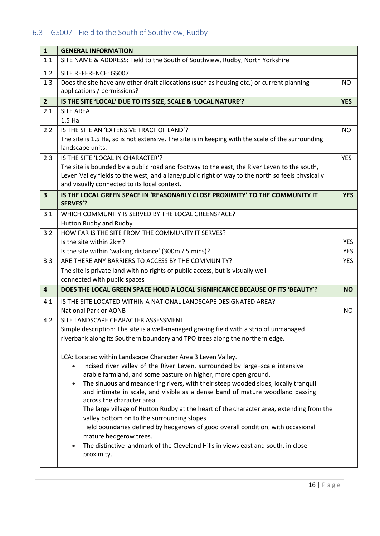# <span id="page-18-0"></span>6.3 GS007 - Field to the South of Southview, Rudby

| <b>GENERAL INFORMATION</b>                                                                                                                                                                                                                                                                                                                                                                                                                                                                                                                                                                                                                                                                                                                                                                   |                                                                                                                                                                                                                                                                                                                                                                                                                                                                                                                                                                                                                                                                                                                          |  |
|----------------------------------------------------------------------------------------------------------------------------------------------------------------------------------------------------------------------------------------------------------------------------------------------------------------------------------------------------------------------------------------------------------------------------------------------------------------------------------------------------------------------------------------------------------------------------------------------------------------------------------------------------------------------------------------------------------------------------------------------------------------------------------------------|--------------------------------------------------------------------------------------------------------------------------------------------------------------------------------------------------------------------------------------------------------------------------------------------------------------------------------------------------------------------------------------------------------------------------------------------------------------------------------------------------------------------------------------------------------------------------------------------------------------------------------------------------------------------------------------------------------------------------|--|
| SITE NAME & ADDRESS: Field to the South of Southview, Rudby, North Yorkshire                                                                                                                                                                                                                                                                                                                                                                                                                                                                                                                                                                                                                                                                                                                 |                                                                                                                                                                                                                                                                                                                                                                                                                                                                                                                                                                                                                                                                                                                          |  |
| SITE REFERENCE: GS007                                                                                                                                                                                                                                                                                                                                                                                                                                                                                                                                                                                                                                                                                                                                                                        |                                                                                                                                                                                                                                                                                                                                                                                                                                                                                                                                                                                                                                                                                                                          |  |
| Does the site have any other draft allocations (such as housing etc.) or current planning<br>applications / permissions?                                                                                                                                                                                                                                                                                                                                                                                                                                                                                                                                                                                                                                                                     | <b>NO</b>                                                                                                                                                                                                                                                                                                                                                                                                                                                                                                                                                                                                                                                                                                                |  |
| IS THE SITE 'LOCAL' DUE TO ITS SIZE, SCALE & 'LOCAL NATURE'?                                                                                                                                                                                                                                                                                                                                                                                                                                                                                                                                                                                                                                                                                                                                 | <b>YES</b>                                                                                                                                                                                                                                                                                                                                                                                                                                                                                                                                                                                                                                                                                                               |  |
| <b>SITE AREA</b>                                                                                                                                                                                                                                                                                                                                                                                                                                                                                                                                                                                                                                                                                                                                                                             |                                                                                                                                                                                                                                                                                                                                                                                                                                                                                                                                                                                                                                                                                                                          |  |
| 1.5 <sub>Ha</sub>                                                                                                                                                                                                                                                                                                                                                                                                                                                                                                                                                                                                                                                                                                                                                                            |                                                                                                                                                                                                                                                                                                                                                                                                                                                                                                                                                                                                                                                                                                                          |  |
| IS THE SITE AN 'EXTENSIVE TRACT OF LAND'?<br>The site is 1.5 Ha, so is not extensive. The site is in keeping with the scale of the surrounding                                                                                                                                                                                                                                                                                                                                                                                                                                                                                                                                                                                                                                               | <b>NO</b>                                                                                                                                                                                                                                                                                                                                                                                                                                                                                                                                                                                                                                                                                                                |  |
|                                                                                                                                                                                                                                                                                                                                                                                                                                                                                                                                                                                                                                                                                                                                                                                              | <b>YES</b>                                                                                                                                                                                                                                                                                                                                                                                                                                                                                                                                                                                                                                                                                                               |  |
| The site is bounded by a public road and footway to the east, the River Leven to the south,<br>Leven Valley fields to the west, and a lane/public right of way to the north so feels physically<br>and visually connected to its local context.                                                                                                                                                                                                                                                                                                                                                                                                                                                                                                                                              |                                                                                                                                                                                                                                                                                                                                                                                                                                                                                                                                                                                                                                                                                                                          |  |
| <b>SERVES'?</b>                                                                                                                                                                                                                                                                                                                                                                                                                                                                                                                                                                                                                                                                                                                                                                              | <b>YES</b>                                                                                                                                                                                                                                                                                                                                                                                                                                                                                                                                                                                                                                                                                                               |  |
| WHICH COMMUNITY IS SERVED BY THE LOCAL GREENSPACE?                                                                                                                                                                                                                                                                                                                                                                                                                                                                                                                                                                                                                                                                                                                                           |                                                                                                                                                                                                                                                                                                                                                                                                                                                                                                                                                                                                                                                                                                                          |  |
| Hutton Rudby and Rudby                                                                                                                                                                                                                                                                                                                                                                                                                                                                                                                                                                                                                                                                                                                                                                       |                                                                                                                                                                                                                                                                                                                                                                                                                                                                                                                                                                                                                                                                                                                          |  |
| HOW FAR IS THE SITE FROM THE COMMUNITY IT SERVES?                                                                                                                                                                                                                                                                                                                                                                                                                                                                                                                                                                                                                                                                                                                                            |                                                                                                                                                                                                                                                                                                                                                                                                                                                                                                                                                                                                                                                                                                                          |  |
|                                                                                                                                                                                                                                                                                                                                                                                                                                                                                                                                                                                                                                                                                                                                                                                              | <b>YES</b>                                                                                                                                                                                                                                                                                                                                                                                                                                                                                                                                                                                                                                                                                                               |  |
|                                                                                                                                                                                                                                                                                                                                                                                                                                                                                                                                                                                                                                                                                                                                                                                              | <b>YES</b>                                                                                                                                                                                                                                                                                                                                                                                                                                                                                                                                                                                                                                                                                                               |  |
|                                                                                                                                                                                                                                                                                                                                                                                                                                                                                                                                                                                                                                                                                                                                                                                              | <b>YES</b>                                                                                                                                                                                                                                                                                                                                                                                                                                                                                                                                                                                                                                                                                                               |  |
|                                                                                                                                                                                                                                                                                                                                                                                                                                                                                                                                                                                                                                                                                                                                                                                              |                                                                                                                                                                                                                                                                                                                                                                                                                                                                                                                                                                                                                                                                                                                          |  |
|                                                                                                                                                                                                                                                                                                                                                                                                                                                                                                                                                                                                                                                                                                                                                                                              |                                                                                                                                                                                                                                                                                                                                                                                                                                                                                                                                                                                                                                                                                                                          |  |
|                                                                                                                                                                                                                                                                                                                                                                                                                                                                                                                                                                                                                                                                                                                                                                                              | <b>NO</b>                                                                                                                                                                                                                                                                                                                                                                                                                                                                                                                                                                                                                                                                                                                |  |
|                                                                                                                                                                                                                                                                                                                                                                                                                                                                                                                                                                                                                                                                                                                                                                                              | NO.                                                                                                                                                                                                                                                                                                                                                                                                                                                                                                                                                                                                                                                                                                                      |  |
|                                                                                                                                                                                                                                                                                                                                                                                                                                                                                                                                                                                                                                                                                                                                                                                              |                                                                                                                                                                                                                                                                                                                                                                                                                                                                                                                                                                                                                                                                                                                          |  |
|                                                                                                                                                                                                                                                                                                                                                                                                                                                                                                                                                                                                                                                                                                                                                                                              |                                                                                                                                                                                                                                                                                                                                                                                                                                                                                                                                                                                                                                                                                                                          |  |
| riverbank along its Southern boundary and TPO trees along the northern edge.                                                                                                                                                                                                                                                                                                                                                                                                                                                                                                                                                                                                                                                                                                                 |                                                                                                                                                                                                                                                                                                                                                                                                                                                                                                                                                                                                                                                                                                                          |  |
| LCA: Located within Landscape Character Area 3 Leven Valley.<br>Incised river valley of the River Leven, surrounded by large-scale intensive<br>arable farmland, and some pasture on higher, more open ground.<br>The sinuous and meandering rivers, with their steep wooded sides, locally tranquil<br>$\bullet$<br>and intimate in scale, and visible as a dense band of mature woodland passing<br>across the character area.<br>The large village of Hutton Rudby at the heart of the character area, extending from the<br>valley bottom on to the surrounding slopes.<br>Field boundaries defined by hedgerows of good overall condition, with occasional<br>mature hedgerow trees.<br>The distinctive landmark of the Cleveland Hills in views east and south, in close<br>proximity. |                                                                                                                                                                                                                                                                                                                                                                                                                                                                                                                                                                                                                                                                                                                          |  |
|                                                                                                                                                                                                                                                                                                                                                                                                                                                                                                                                                                                                                                                                                                                                                                                              | landscape units.<br>IS THE SITE 'LOCAL IN CHARACTER'?<br>IS THE LOCAL GREEN SPACE IN 'REASONABLY CLOSE PROXIMITY' TO THE COMMUNITY IT<br>Is the site within 2km?<br>Is the site within 'walking distance' (300m / 5 mins)?<br>ARE THERE ANY BARRIERS TO ACCESS BY THE COMMUNITY?<br>The site is private land with no rights of public access, but is visually well<br>connected with public spaces<br>DOES THE LOCAL GREEN SPACE HOLD A LOCAL SIGNIFICANCE BECAUSE OF ITS 'BEAUTY'?<br>IS THE SITE LOCATED WITHIN A NATIONAL LANDSCAPE DESIGNATED AREA?<br><b>National Park or AONB</b><br>SITE LANDSCAPE CHARACTER ASSESSMENT<br>Simple description: The site is a well-managed grazing field with a strip of unmanaged |  |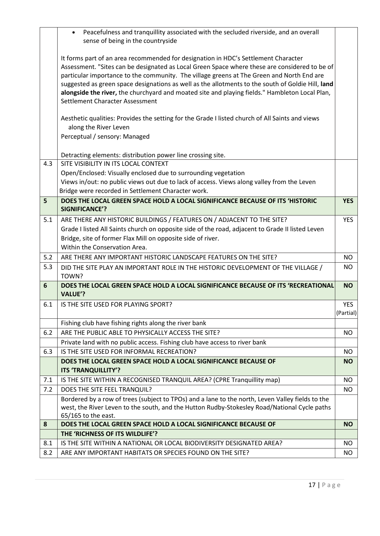|     | Peacefulness and tranquillity associated with the secluded riverside, and an overall<br>$\bullet$<br>sense of being in the countryside                                                                                                                                                                                                                                                                                                                                                                                     |            |
|-----|----------------------------------------------------------------------------------------------------------------------------------------------------------------------------------------------------------------------------------------------------------------------------------------------------------------------------------------------------------------------------------------------------------------------------------------------------------------------------------------------------------------------------|------------|
|     |                                                                                                                                                                                                                                                                                                                                                                                                                                                                                                                            |            |
|     | It forms part of an area recommended for designation in HDC's Settlement Character<br>Assessment. "Sites can be designated as Local Green Space where these are considered to be of<br>particular importance to the community. The village greens at The Green and North End are<br>suggested as green space designations as well as the allotments to the south of Goldie Hill, land<br>alongside the river, the churchyard and moated site and playing fields." Hambleton Local Plan,<br>Settlement Character Assessment |            |
|     | Aesthetic qualities: Provides the setting for the Grade I listed church of All Saints and views<br>along the River Leven                                                                                                                                                                                                                                                                                                                                                                                                   |            |
|     | Perceptual / sensory: Managed                                                                                                                                                                                                                                                                                                                                                                                                                                                                                              |            |
|     | Detracting elements: distribution power line crossing site.                                                                                                                                                                                                                                                                                                                                                                                                                                                                |            |
| 4.3 | SITE VISIBILITY IN ITS LOCAL CONTEXT                                                                                                                                                                                                                                                                                                                                                                                                                                                                                       |            |
|     | Open/Enclosed: Visually enclosed due to surrounding vegetation                                                                                                                                                                                                                                                                                                                                                                                                                                                             |            |
|     | Views in/out: no public views out due to lack of access. Views along valley from the Leven<br>Bridge were recorded in Settlement Character work.                                                                                                                                                                                                                                                                                                                                                                           |            |
| 5   | DOES THE LOCAL GREEN SPACE HOLD A LOCAL SIGNIFICANCE BECAUSE OF ITS 'HISTORIC<br><b>SIGNIFICANCE'?</b>                                                                                                                                                                                                                                                                                                                                                                                                                     | <b>YES</b> |
| 5.1 | ARE THERE ANY HISTORIC BUILDINGS / FEATURES ON / ADJACENT TO THE SITE?                                                                                                                                                                                                                                                                                                                                                                                                                                                     | <b>YES</b> |
|     | Grade I listed All Saints church on opposite side of the road, adjacent to Grade II listed Leven                                                                                                                                                                                                                                                                                                                                                                                                                           |            |
|     | Bridge, site of former Flax Mill on opposite side of river.                                                                                                                                                                                                                                                                                                                                                                                                                                                                |            |
|     | Within the Conservation Area.                                                                                                                                                                                                                                                                                                                                                                                                                                                                                              |            |
| 5.2 | ARE THERE ANY IMPORTANT HISTORIC LANDSCAPE FEATURES ON THE SITE?                                                                                                                                                                                                                                                                                                                                                                                                                                                           | NO.        |
| 5.3 | DID THE SITE PLAY AN IMPORTANT ROLE IN THE HISTORIC DEVELOPMENT OF THE VILLAGE /<br>TOWN?                                                                                                                                                                                                                                                                                                                                                                                                                                  | NO.        |
| 6   | DOES THE LOCAL GREEN SPACE HOLD A LOCAL SIGNIFICANCE BECAUSE OF ITS 'RECREATIONAL<br><b>VALUE'?</b>                                                                                                                                                                                                                                                                                                                                                                                                                        | <b>NO</b>  |
| 6.1 | IS THE SITE USED FOR PLAYING SPORT?                                                                                                                                                                                                                                                                                                                                                                                                                                                                                        | <b>YES</b> |
|     |                                                                                                                                                                                                                                                                                                                                                                                                                                                                                                                            | (Partial)  |
|     | Fishing club have fishing rights along the river bank                                                                                                                                                                                                                                                                                                                                                                                                                                                                      |            |
| 6.2 | ARE THE PUBLIC ABLE TO PHYSICALLY ACCESS THE SITE?                                                                                                                                                                                                                                                                                                                                                                                                                                                                         | NO.        |
|     | Private land with no public access. Fishing club have access to river bank                                                                                                                                                                                                                                                                                                                                                                                                                                                 |            |
| 6.3 | IS THE SITE USED FOR INFORMAL RECREATION?                                                                                                                                                                                                                                                                                                                                                                                                                                                                                  | NO.        |
|     | DOES THE LOCAL GREEN SPACE HOLD A LOCAL SIGNIFICANCE BECAUSE OF<br>ITS 'TRANQUILLITY'?                                                                                                                                                                                                                                                                                                                                                                                                                                     | <b>NO</b>  |
| 7.1 | IS THE SITE WITHIN A RECOGNISED TRANQUIL AREA? (CPRE Tranquillity map)                                                                                                                                                                                                                                                                                                                                                                                                                                                     | <b>NO</b>  |
| 7.2 | DOES THE SITE FEEL TRANQUIL?                                                                                                                                                                                                                                                                                                                                                                                                                                                                                               | NO         |
|     | Bordered by a row of trees (subject to TPOs) and a lane to the north, Leven Valley fields to the<br>west, the River Leven to the south, and the Hutton Rudby-Stokesley Road/National Cycle paths<br>65/165 to the east.                                                                                                                                                                                                                                                                                                    |            |
| 8   | DOES THE LOCAL GREEN SPACE HOLD A LOCAL SIGNIFICANCE BECAUSE OF                                                                                                                                                                                                                                                                                                                                                                                                                                                            | <b>NO</b>  |
|     | THE 'RICHNESS OF ITS WILDLIFE'?                                                                                                                                                                                                                                                                                                                                                                                                                                                                                            |            |
| 8.1 | IS THE SITE WITHIN A NATIONAL OR LOCAL BIODIVERSITY DESIGNATED AREA?                                                                                                                                                                                                                                                                                                                                                                                                                                                       | NO.        |
| 8.2 | ARE ANY IMPORTANT HABITATS OR SPECIES FOUND ON THE SITE?                                                                                                                                                                                                                                                                                                                                                                                                                                                                   | NO         |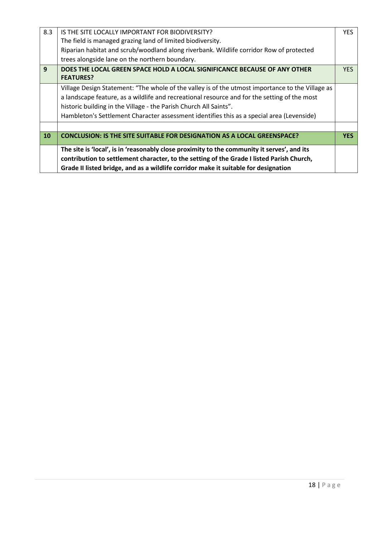| 8.3       | IS THE SITE LOCALLY IMPORTANT FOR BIODIVERSITY?                                                                                                                                                                                                                                 | <b>YES</b> |
|-----------|---------------------------------------------------------------------------------------------------------------------------------------------------------------------------------------------------------------------------------------------------------------------------------|------------|
|           | The field is managed grazing land of limited biodiversity.                                                                                                                                                                                                                      |            |
|           | Riparian habitat and scrub/woodland along riverbank. Wildlife corridor Row of protected                                                                                                                                                                                         |            |
|           | trees alongside lane on the northern boundary.                                                                                                                                                                                                                                  |            |
| 9         | DOES THE LOCAL GREEN SPACE HOLD A LOCAL SIGNIFICANCE BECAUSE OF ANY OTHER<br><b>FEATURES?</b>                                                                                                                                                                                   | YES.       |
|           | Village Design Statement: "The whole of the valley is of the utmost importance to the Village as                                                                                                                                                                                |            |
|           | a landscape feature, as a wildlife and recreational resource and for the setting of the most                                                                                                                                                                                    |            |
|           | historic building in the Village - the Parish Church All Saints".                                                                                                                                                                                                               |            |
|           | Hambleton's Settlement Character assessment identifies this as a special area (Levenside)                                                                                                                                                                                       |            |
|           |                                                                                                                                                                                                                                                                                 |            |
| <b>10</b> | <b>CONCLUSION: IS THE SITE SUITABLE FOR DESIGNATION AS A LOCAL GREENSPACE?</b>                                                                                                                                                                                                  | <b>YES</b> |
|           | The site is 'local', is in 'reasonably close proximity to the community it serves', and its<br>contribution to settlement character, to the setting of the Grade I listed Parish Church,<br>Grade II listed bridge, and as a wildlife corridor make it suitable for designation |            |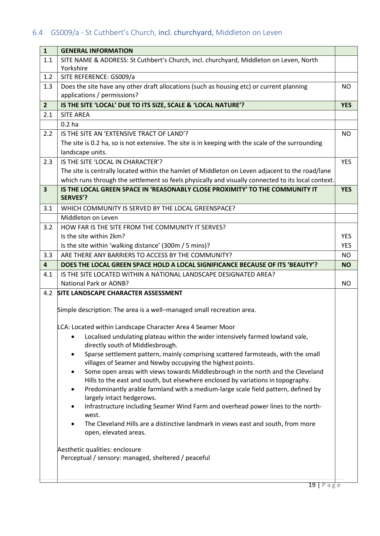# <span id="page-21-0"></span>6.4 GS009/a - St Cuthbert's Church, incl. churchyard, Middleton on Leven

| $\mathbf{1}$            | <b>GENERAL INFORMATION</b>                                                                                              |            |  |
|-------------------------|-------------------------------------------------------------------------------------------------------------------------|------------|--|
| 1.1                     | SITE NAME & ADDRESS: St Cuthbert's Church, incl. churchyard, Middleton on Leven, North                                  |            |  |
|                         | Yorkshire                                                                                                               |            |  |
| 1.2                     | SITE REFERENCE: GS009/a                                                                                                 |            |  |
| 1.3                     | Does the site have any other draft allocations (such as housing etc) or current planning<br>applications / permissions? | <b>NO</b>  |  |
| $\overline{2}$          | IS THE SITE 'LOCAL' DUE TO ITS SIZE, SCALE & 'LOCAL NATURE'?                                                            | <b>YES</b> |  |
| 2.1                     | <b>SITE AREA</b>                                                                                                        |            |  |
|                         | $0.2$ ha                                                                                                                |            |  |
| $2.2\phantom{0}$        | IS THE SITE AN 'EXTENSIVE TRACT OF LAND'?                                                                               | <b>NO</b>  |  |
|                         | The site is 0.2 ha, so is not extensive. The site is in keeping with the scale of the surrounding                       |            |  |
|                         | landscape units.                                                                                                        |            |  |
| 2.3                     | IS THE SITE 'LOCAL IN CHARACTER'?                                                                                       | <b>YES</b> |  |
|                         | The site is centrally located within the hamlet of Middleton on Leven adjacent to the road/lane                         |            |  |
|                         | which runs through the settlement so feels physically and visually connected to its local context.                      |            |  |
| $\overline{\mathbf{3}}$ | IS THE LOCAL GREEN SPACE IN 'REASONABLY CLOSE PROXIMITY' TO THE COMMUNITY IT                                            | <b>YES</b> |  |
|                         | <b>SERVES'?</b>                                                                                                         |            |  |
| 3.1                     | WHICH COMMUNITY IS SERVED BY THE LOCAL GREENSPACE?                                                                      |            |  |
|                         | Middleton on Leven                                                                                                      |            |  |
| 3.2                     | HOW FAR IS THE SITE FROM THE COMMUNITY IT SERVES?                                                                       |            |  |
|                         | Is the site within 2km?                                                                                                 | <b>YES</b> |  |
|                         | Is the site within 'walking distance' (300m / 5 mins)?                                                                  | <b>YES</b> |  |
| 3.3                     | ARE THERE ANY BARRIERS TO ACCESS BY THE COMMUNITY?                                                                      | NO.        |  |
| $\overline{\mathbf{4}}$ | DOES THE LOCAL GREEN SPACE HOLD A LOCAL SIGNIFICANCE BECAUSE OF ITS 'BEAUTY'?                                           | <b>NO</b>  |  |
| 4.1                     | IS THE SITE LOCATED WITHIN A NATIONAL LANDSCAPE DESIGNATED AREA?                                                        |            |  |
|                         | <b>National Park or AONB?</b>                                                                                           | NO.        |  |
| 4.2                     | <b>SITE LANDSCAPE CHARACTER ASSESSMENT</b>                                                                              |            |  |
|                         | Simple description: The area is a well-managed small recreation area.                                                   |            |  |
|                         | LCA: Located within Landscape Character Area 4 Seamer Moor                                                              |            |  |
|                         | Localised undulating plateau within the wider intensively farmed lowland vale,<br>٠                                     |            |  |
|                         | directly south of Middlesbrough.                                                                                        |            |  |
|                         | Sparse settlement pattern, mainly comprising scattered farmsteads, with the small                                       |            |  |
|                         | villages of Seamer and Newby occupying the highest points.                                                              |            |  |
|                         | Some open areas with views towards Middlesbrough in the north and the Cleveland<br>$\bullet$                            |            |  |
|                         | Hills to the east and south, but elsewhere enclosed by variations in topography.                                        |            |  |
|                         | Predominantly arable farmland with a medium-large scale field pattern, defined by                                       |            |  |
|                         | largely intact hedgerows.                                                                                               |            |  |
|                         | Infrastructure including Seamer Wind Farm and overhead power lines to the north-<br>west.                               |            |  |
|                         | The Cleveland Hills are a distinctive landmark in views east and south, from more                                       |            |  |
|                         | open, elevated areas.                                                                                                   |            |  |
|                         | Aesthetic qualities: enclosure                                                                                          |            |  |
|                         | Perceptual / sensory: managed, sheltered / peaceful                                                                     |            |  |
|                         |                                                                                                                         |            |  |
|                         |                                                                                                                         |            |  |
|                         |                                                                                                                         |            |  |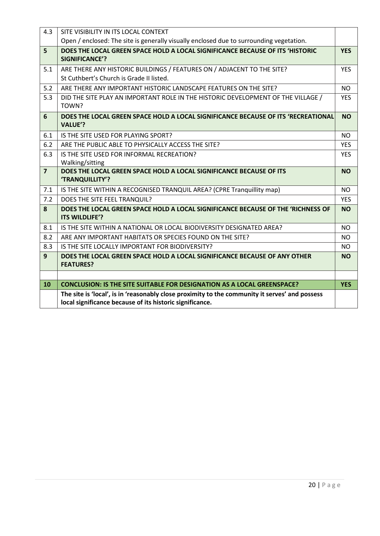| 4.3            | SITE VISIBILITY IN ITS LOCAL CONTEXT                                                                                                                                             |                |
|----------------|----------------------------------------------------------------------------------------------------------------------------------------------------------------------------------|----------------|
|                | Open / enclosed: The site is generally visually enclosed due to surrounding vegetation.                                                                                          |                |
| 5              | DOES THE LOCAL GREEN SPACE HOLD A LOCAL SIGNIFICANCE BECAUSE OF ITS 'HISTORIC<br><b>SIGNIFICANCE'?</b>                                                                           | <b>YES</b>     |
| 5.1            | ARE THERE ANY HISTORIC BUILDINGS / FEATURES ON / ADJACENT TO THE SITE?                                                                                                           | <b>YES</b>     |
|                | St Cuthbert's Church is Grade II listed.                                                                                                                                         |                |
| 5.2            | ARE THERE ANY IMPORTANT HISTORIC LANDSCAPE FEATURES ON THE SITE?                                                                                                                 | <b>NO</b>      |
| 5.3            | DID THE SITE PLAY AN IMPORTANT ROLE IN THE HISTORIC DEVELOPMENT OF THE VILLAGE /<br>TOWN?                                                                                        | <b>YES</b>     |
| 6              | DOES THE LOCAL GREEN SPACE HOLD A LOCAL SIGNIFICANCE BECAUSE OF ITS 'RECREATIONAL<br><b>VALUE'?</b>                                                                              | <b>NO</b>      |
| 6.1            | IS THE SITE USED FOR PLAYING SPORT?                                                                                                                                              | <b>NO</b>      |
| 6.2            | ARE THE PUBLIC ABLE TO PHYSICALLY ACCESS THE SITE?                                                                                                                               | <b>YES</b>     |
| 6.3            | IS THE SITE USED FOR INFORMAL RECREATION?                                                                                                                                        | <b>YES</b>     |
|                | Walking/sitting                                                                                                                                                                  |                |
| $\overline{7}$ | DOES THE LOCAL GREEN SPACE HOLD A LOCAL SIGNIFICANCE BECAUSE OF ITS<br>'TRANQUILLITY'?                                                                                           | <b>NO</b>      |
| 7.1            | IS THE SITE WITHIN A RECOGNISED TRANQUIL AREA? (CPRE Tranquillity map)                                                                                                           | N <sub>O</sub> |
| 7.2            |                                                                                                                                                                                  |                |
|                | DOES THE SITE FEEL TRANQUIL?                                                                                                                                                     | <b>YES</b>     |
| 8              | DOES THE LOCAL GREEN SPACE HOLD A LOCAL SIGNIFICANCE BECAUSE OF THE 'RICHNESS OF<br><b>ITS WILDLIFE'?</b>                                                                        | <b>NO</b>      |
| 8.1            | IS THE SITE WITHIN A NATIONAL OR LOCAL BIODIVERSITY DESIGNATED AREA?                                                                                                             | <b>NO</b>      |
| 8.2            | ARE ANY IMPORTANT HABITATS OR SPECIES FOUND ON THE SITE?                                                                                                                         | <b>NO</b>      |
| 8.3            | IS THE SITE LOCALLY IMPORTANT FOR BIODIVERSITY?                                                                                                                                  | <b>NO</b>      |
| 9              | DOES THE LOCAL GREEN SPACE HOLD A LOCAL SIGNIFICANCE BECAUSE OF ANY OTHER<br><b>FEATURES?</b>                                                                                    | <b>NO</b>      |
|                |                                                                                                                                                                                  |                |
| 10             | <b>CONCLUSION: IS THE SITE SUITABLE FOR DESIGNATION AS A LOCAL GREENSPACE?</b><br>The site is 'local', is in 'reasonably close proximity to the community it serves' and possess | <b>YES</b>     |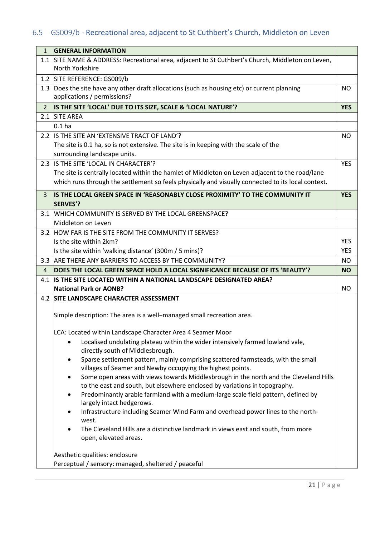# <span id="page-23-0"></span>6.5 GS009/b - Recreational area, adjacent to St Cuthbert's Church, Middleton on Leven

| $\mathbf{1}$   | <b>GENERAL INFORMATION</b>                                                                                              |            |
|----------------|-------------------------------------------------------------------------------------------------------------------------|------------|
|                | 1.1 SITE NAME & ADDRESS: Recreational area, adjacent to St Cuthbert's Church, Middleton on Leven,<br>North Yorkshire    |            |
|                | 1.2 SITE REFERENCE: GS009/b                                                                                             |            |
| 1.3            | Does the site have any other draft allocations (such as housing etc) or current planning<br>applications / permissions? | NO.        |
| $\overline{2}$ | IS THE SITE 'LOCAL' DUE TO ITS SIZE, SCALE & 'LOCAL NATURE'?                                                            | <b>YES</b> |
|                | 2.1 SITE AREA                                                                                                           |            |
|                | 0.1 <sub>ha</sub>                                                                                                       |            |
|                | 2.2 IS THE SITE AN 'EXTENSIVE TRACT OF LAND'?                                                                           | <b>NO</b>  |
|                | The site is 0.1 ha, so is not extensive. The site is in keeping with the scale of the                                   |            |
|                | surrounding landscape units.                                                                                            |            |
|                | 2.3 IS THE SITE 'LOCAL IN CHARACTER'?                                                                                   | <b>YES</b> |
|                | The site is centrally located within the hamlet of Middleton on Leven adjacent to the road/lane                         |            |
|                | which runs through the settlement so feels physically and visually connected to its local context.                      |            |
| 3              | IS THE LOCAL GREEN SPACE IN 'REASONABLY CLOSE PROXIMITY' TO THE COMMUNITY IT                                            | <b>YES</b> |
|                | <b>SERVES'?</b>                                                                                                         |            |
| 3.1            | WHICH COMMUNITY IS SERVED BY THE LOCAL GREENSPACE?                                                                      |            |
|                | Middleton on Leven                                                                                                      |            |
|                | 3.2 HOW FAR IS THE SITE FROM THE COMMUNITY IT SERVES?                                                                   |            |
|                | Is the site within 2km?                                                                                                 | <b>YES</b> |
|                | Is the site within 'walking distance' (300m / 5 mins)?                                                                  | <b>YES</b> |
|                | 3.3 ARE THERE ANY BARRIERS TO ACCESS BY THE COMMUNITY?                                                                  | <b>NO</b>  |
| $\overline{4}$ | DOES THE LOCAL GREEN SPACE HOLD A LOCAL SIGNIFICANCE BECAUSE OF ITS 'BEAUTY'?                                           | <b>NO</b>  |
| 4.1            | <b>IS THE SITE LOCATED WITHIN A NATIONAL LANDSCAPE DESIGNATED AREA?</b>                                                 |            |
|                | <b>National Park or AONB?</b>                                                                                           | <b>NO</b>  |
|                | 4.2 SITE LANDSCAPE CHARACTER ASSESSMENT                                                                                 |            |
|                | Simple description: The area is a well-managed small recreation area.                                                   |            |
|                | LCA: Located within Landscape Character Area 4 Seamer Moor                                                              |            |
|                | Localised undulating plateau within the wider intensively farmed lowland vale,<br>directly south of Middlesbrough.      |            |
|                | Sparse settlement pattern, mainly comprising scattered farmsteads, with the small<br>$\bullet$                          |            |
|                | villages of Seamer and Newby occupying the highest points.                                                              |            |
|                | Some open areas with views towards Middlesbrough in the north and the Cleveland Hills<br>٠                              |            |
|                | to the east and south, but elsewhere enclosed by variations in topography.                                              |            |
|                | Predominantly arable farmland with a medium-large scale field pattern, defined by<br>$\bullet$                          |            |
|                | largely intact hedgerows.                                                                                               |            |
|                |                                                                                                                         |            |
|                | Infrastructure including Seamer Wind Farm and overhead power lines to the north-                                        |            |
|                | west.                                                                                                                   |            |
|                | The Cleveland Hills are a distinctive landmark in views east and south, from more<br>open, elevated areas.              |            |
|                |                                                                                                                         |            |
|                | Aesthetic qualities: enclosure<br>Perceptual / sensory: managed, sheltered / peaceful                                   |            |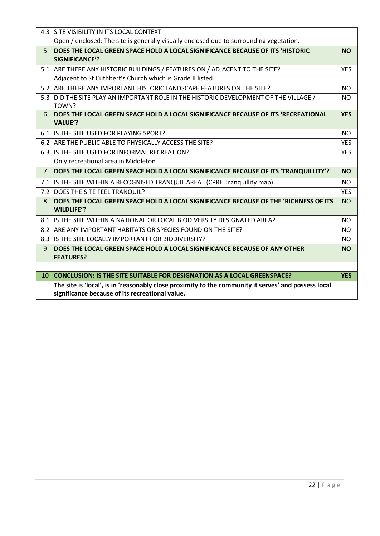|                | 4.3 SITE VISIBILITY IN ITS LOCAL CONTEXT                                                                                                                |                |
|----------------|---------------------------------------------------------------------------------------------------------------------------------------------------------|----------------|
|                | Open / enclosed: The site is generally visually enclosed due to surrounding vegetation.                                                                 |                |
| $\overline{5}$ | DOES THE LOCAL GREEN SPACE HOLD A LOCAL SIGNIFICANCE BECAUSE OF ITS 'HISTORIC                                                                           | <b>NO</b>      |
|                | SIGNIFICANCE'?                                                                                                                                          |                |
|                | 5.1 ARE THERE ANY HISTORIC BUILDINGS / FEATURES ON / ADJACENT TO THE SITE?                                                                              | <b>YES</b>     |
|                | Adjacent to St Cuthbert's Church which is Grade II listed.                                                                                              |                |
|                | 5.2 ARE THERE ANY IMPORTANT HISTORIC LANDSCAPE FEATURES ON THE SITE?                                                                                    | <b>NO</b>      |
| 5.3            | DID THE SITE PLAY AN IMPORTANT ROLE IN THE HISTORIC DEVELOPMENT OF THE VILLAGE /<br> TOWN?                                                              | <b>NO</b>      |
| 6              | DOES THE LOCAL GREEN SPACE HOLD A LOCAL SIGNIFICANCE BECAUSE OF ITS 'RECREATIONAL<br><b>VALUE'?</b>                                                     | <b>YES</b>     |
|                | 6.1 IS THE SITE USED FOR PLAYING SPORT?                                                                                                                 | <b>NO</b>      |
|                | 6.2 ARE THE PUBLIC ABLE TO PHYSICALLY ACCESS THE SITE?                                                                                                  | <b>YES</b>     |
|                | 6.3 IS THE SITE USED FOR INFORMAL RECREATION?                                                                                                           | <b>YES</b>     |
|                | Only recreational area in Middleton                                                                                                                     |                |
| $\overline{7}$ | DOES THE LOCAL GREEN SPACE HOLD A LOCAL SIGNIFICANCE BECAUSE OF ITS 'TRANQUILLITY'?                                                                     | <b>NO</b>      |
|                | 7.1 IS THE SITE WITHIN A RECOGNISED TRANQUIL AREA? (CPRE Tranquillity map)                                                                              | N <sub>O</sub> |
|                | 7.2 DOES THE SITE FEEL TRANQUIL?                                                                                                                        | <b>YES</b>     |
| 8              | DOES THE LOCAL GREEN SPACE HOLD A LOCAL SIGNIFICANCE BECAUSE OF THE 'RICHNESS OF ITS<br><b>WILDLIFE'?</b>                                               | <b>NO</b>      |
|                | 8.1 IS THE SITE WITHIN A NATIONAL OR LOCAL BIODIVERSITY DESIGNATED AREA?                                                                                | N <sub>O</sub> |
|                | 8.2 ARE ANY IMPORTANT HABITATS OR SPECIES FOUND ON THE SITE?                                                                                            | <b>NO</b>      |
|                | 8.3 IS THE SITE LOCALLY IMPORTANT FOR BIODIVERSITY?                                                                                                     | NO.            |
| 9              | DOES THE LOCAL GREEN SPACE HOLD A LOCAL SIGNIFICANCE BECAUSE OF ANY OTHER                                                                               | <b>NO</b>      |
|                | <b>FEATURES?</b>                                                                                                                                        |                |
|                |                                                                                                                                                         |                |
| 10             | <b>CONCLUSION: IS THE SITE SUITABLE FOR DESIGNATION AS A LOCAL GREENSPACE?</b>                                                                          | <b>YES</b>     |
|                | The site is 'local', is in 'reasonably close proximity to the community it serves' and possess local<br>significance because of its recreational value. |                |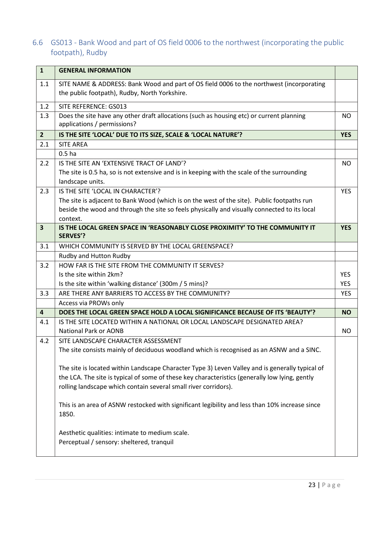### <span id="page-25-0"></span>6.6 GS013 - Bank Wood and part of OS field 0006 to the northwest (incorporating the public footpath), Rudby

| $\mathbf{1}$            | <b>GENERAL INFORMATION</b>                                                                                                                |            |
|-------------------------|-------------------------------------------------------------------------------------------------------------------------------------------|------------|
| 1.1                     | SITE NAME & ADDRESS: Bank Wood and part of OS field 0006 to the northwest (incorporating<br>the public footpath), Rudby, North Yorkshire. |            |
| 1.2                     | SITE REFERENCE: GS013                                                                                                                     |            |
| 1.3                     | Does the site have any other draft allocations (such as housing etc) or current planning<br>applications / permissions?                   | <b>NO</b>  |
| $\overline{2}$          | IS THE SITE 'LOCAL' DUE TO ITS SIZE, SCALE & 'LOCAL NATURE'?                                                                              | <b>YES</b> |
| 2.1                     | <b>SITE AREA</b>                                                                                                                          |            |
|                         | 0.5 <sub>ha</sub>                                                                                                                         |            |
| 2.2                     | IS THE SITE AN 'EXTENSIVE TRACT OF LAND'?                                                                                                 | NO.        |
|                         | The site is 0.5 ha, so is not extensive and is in keeping with the scale of the surrounding<br>landscape units.                           |            |
| 2.3                     | IS THE SITE 'LOCAL IN CHARACTER'?                                                                                                         | <b>YES</b> |
|                         | The site is adjacent to Bank Wood (which is on the west of the site). Public footpaths run                                                |            |
|                         | beside the wood and through the site so feels physically and visually connected to its local                                              |            |
|                         | context.                                                                                                                                  |            |
| $\overline{\mathbf{3}}$ | IS THE LOCAL GREEN SPACE IN 'REASONABLY CLOSE PROXIMITY' TO THE COMMUNITY IT<br><b>SERVES'?</b>                                           | <b>YES</b> |
| 3.1                     | WHICH COMMUNITY IS SERVED BY THE LOCAL GREENSPACE?                                                                                        |            |
|                         | Rudby and Hutton Rudby                                                                                                                    |            |
| 3.2                     | HOW FAR IS THE SITE FROM THE COMMUNITY IT SERVES?                                                                                         |            |
|                         | Is the site within 2km?                                                                                                                   | <b>YES</b> |
|                         | Is the site within 'walking distance' (300m / 5 mins)?                                                                                    | <b>YES</b> |
| 3.3                     | ARE THERE ANY BARRIERS TO ACCESS BY THE COMMUNITY?                                                                                        | <b>YES</b> |
|                         | Access via PROWs only                                                                                                                     |            |
| $\overline{\mathbf{4}}$ | DOES THE LOCAL GREEN SPACE HOLD A LOCAL SIGNIFICANCE BECAUSE OF ITS 'BEAUTY'?                                                             | <b>NO</b>  |
| 4.1                     | IS THE SITE LOCATED WITHIN A NATIONAL OR LOCAL LANDSCAPE DESIGNATED AREA?                                                                 |            |
|                         | <b>National Park or AONB</b>                                                                                                              | <b>NO</b>  |
| 4.2                     | SITE LANDSCAPE CHARACTER ASSESSMENT                                                                                                       |            |
|                         | The site consists mainly of deciduous woodland which is recognised as an ASNW and a SINC.                                                 |            |
|                         | The site is located within Landscape Character Type 3) Leven Valley and is generally typical of                                           |            |
|                         | the LCA. The site is typical of some of these key characteristics (generally low lying, gently                                            |            |
|                         | rolling landscape which contain several small river corridors).                                                                           |            |
|                         | This is an area of ASNW restocked with significant legibility and less than 10% increase since                                            |            |
|                         | 1850.                                                                                                                                     |            |
|                         | Aesthetic qualities: intimate to medium scale.                                                                                            |            |
|                         | Perceptual / sensory: sheltered, tranquil                                                                                                 |            |
|                         |                                                                                                                                           |            |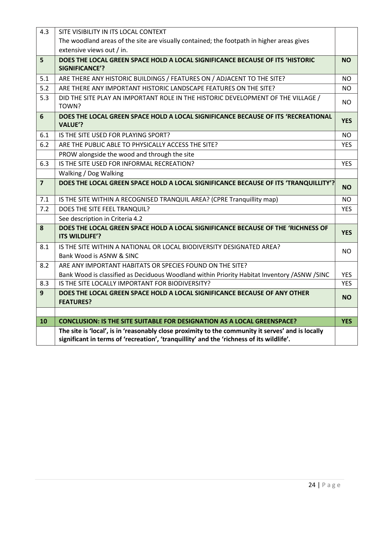| 4.3            | SITE VISIBILITY IN ITS LOCAL CONTEXT                                                                                                                                                          |            |
|----------------|-----------------------------------------------------------------------------------------------------------------------------------------------------------------------------------------------|------------|
|                | The woodland areas of the site are visually contained; the footpath in higher areas gives                                                                                                     |            |
|                | extensive views out / in.                                                                                                                                                                     |            |
| 5              | DOES THE LOCAL GREEN SPACE HOLD A LOCAL SIGNIFICANCE BECAUSE OF ITS 'HISTORIC                                                                                                                 | <b>NO</b>  |
|                | <b>SIGNIFICANCE'?</b>                                                                                                                                                                         |            |
| 5.1            | ARE THERE ANY HISTORIC BUILDINGS / FEATURES ON / ADJACENT TO THE SITE?                                                                                                                        | <b>NO</b>  |
| 5.2            | ARE THERE ANY IMPORTANT HISTORIC LANDSCAPE FEATURES ON THE SITE?                                                                                                                              | <b>NO</b>  |
| 5.3            | DID THE SITE PLAY AN IMPORTANT ROLE IN THE HISTORIC DEVELOPMENT OF THE VILLAGE /<br>TOWN?                                                                                                     | <b>NO</b>  |
| 6              | DOES THE LOCAL GREEN SPACE HOLD A LOCAL SIGNIFICANCE BECAUSE OF ITS 'RECREATIONAL<br><b>VALUE'?</b>                                                                                           | <b>YES</b> |
| 6.1            | IS THE SITE USED FOR PLAYING SPORT?                                                                                                                                                           | <b>NO</b>  |
| 6.2            | ARE THE PUBLIC ABLE TO PHYSICALLY ACCESS THE SITE?                                                                                                                                            | <b>YES</b> |
|                | PROW alongside the wood and through the site                                                                                                                                                  |            |
| 6.3            | IS THE SITE USED FOR INFORMAL RECREATION?                                                                                                                                                     | <b>YES</b> |
|                | Walking / Dog Walking                                                                                                                                                                         |            |
| $\overline{7}$ | DOES THE LOCAL GREEN SPACE HOLD A LOCAL SIGNIFICANCE BECAUSE OF ITS 'TRANQUILLITY'?                                                                                                           | <b>NO</b>  |
| 7.1            | IS THE SITE WITHIN A RECOGNISED TRANQUIL AREA? (CPRE Tranquillity map)                                                                                                                        | <b>NO</b>  |
| 7.2            | DOES THE SITE FEEL TRANQUIL?                                                                                                                                                                  | <b>YES</b> |
|                | See description in Criteria 4.2                                                                                                                                                               |            |
| 8              | DOES THE LOCAL GREEN SPACE HOLD A LOCAL SIGNIFICANCE BECAUSE OF THE 'RICHNESS OF<br>ITS WILDLIFE'?                                                                                            | <b>YES</b> |
| 8.1            | IS THE SITE WITHIN A NATIONAL OR LOCAL BIODIVERSITY DESIGNATED AREA?<br>Bank Wood is ASNW & SINC                                                                                              | NO.        |
| 8.2            | ARE ANY IMPORTANT HABITATS OR SPECIES FOUND ON THE SITE?                                                                                                                                      |            |
|                | Bank Wood is classified as Deciduous Woodland within Priority Habitat Inventory /ASNW /SINC                                                                                                   | <b>YES</b> |
| 8.3            | IS THE SITE LOCALLY IMPORTANT FOR BIODIVERSITY?                                                                                                                                               | <b>YES</b> |
| 9              | DOES THE LOCAL GREEN SPACE HOLD A LOCAL SIGNIFICANCE BECAUSE OF ANY OTHER<br><b>FEATURES?</b>                                                                                                 | <b>NO</b>  |
|                |                                                                                                                                                                                               |            |
| 10             | <b>CONCLUSION: IS THE SITE SUITABLE FOR DESIGNATION AS A LOCAL GREENSPACE?</b>                                                                                                                | <b>YES</b> |
|                | The site is 'local', is in 'reasonably close proximity to the community it serves' and is locally<br>significant in terms of 'recreation', 'tranquillity' and the 'richness of its wildlife'. |            |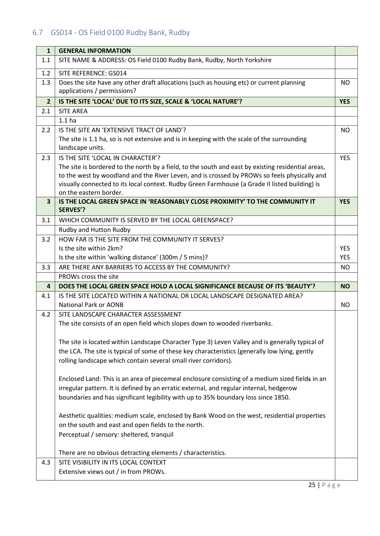### <span id="page-27-0"></span>6.7 GS014 - OS Field 0100 Rudby Bank, Rudby

| $\mathbf{1}$            | <b>GENERAL INFORMATION</b>                                                                                                                                                                                                                                                                                                                                          |            |
|-------------------------|---------------------------------------------------------------------------------------------------------------------------------------------------------------------------------------------------------------------------------------------------------------------------------------------------------------------------------------------------------------------|------------|
| 1.1                     | SITE NAME & ADDRESS: OS Field 0100 Rudby Bank, Rudby, North Yorkshire                                                                                                                                                                                                                                                                                               |            |
| 1.2                     | SITE REFERENCE: GS014                                                                                                                                                                                                                                                                                                                                               |            |
| 1.3                     | Does the site have any other draft allocations (such as housing etc) or current planning<br>applications / permissions?                                                                                                                                                                                                                                             | <b>NO</b>  |
| $\overline{2}$          | IS THE SITE 'LOCAL' DUE TO ITS SIZE, SCALE & 'LOCAL NATURE'?                                                                                                                                                                                                                                                                                                        | <b>YES</b> |
| 2.1                     | <b>SITE AREA</b>                                                                                                                                                                                                                                                                                                                                                    |            |
|                         | 1.1 <sub>ha</sub>                                                                                                                                                                                                                                                                                                                                                   |            |
| 2.2                     | IS THE SITE AN 'EXTENSIVE TRACT OF LAND'?<br>The site is 1.1 ha, so is not extensive and is in keeping with the scale of the surrounding<br>landscape units.                                                                                                                                                                                                        | <b>NO</b>  |
| 2.3                     | IS THE SITE 'LOCAL IN CHARACTER'?<br>The site is bordered to the north by a field, to the south and east by existing residential areas,<br>to the west by woodland and the River Leven, and is crossed by PROWs so feels physically and<br>visually connected to its local context. Rudby Green Farmhouse (a Grade II listed building) is<br>on the eastern border. | <b>YES</b> |
| $\overline{\mathbf{3}}$ | IS THE LOCAL GREEN SPACE IN 'REASONABLY CLOSE PROXIMITY' TO THE COMMUNITY IT<br><b>SERVES'?</b>                                                                                                                                                                                                                                                                     | <b>YES</b> |
| 3.1                     | WHICH COMMUNITY IS SERVED BY THE LOCAL GREENSPACE?                                                                                                                                                                                                                                                                                                                  |            |
|                         | Rudby and Hutton Rudby                                                                                                                                                                                                                                                                                                                                              |            |
| 3.2                     | HOW FAR IS THE SITE FROM THE COMMUNITY IT SERVES?                                                                                                                                                                                                                                                                                                                   |            |
|                         | Is the site within 2km?                                                                                                                                                                                                                                                                                                                                             | <b>YES</b> |
|                         | Is the site within 'walking distance' (300m / 5 mins)?                                                                                                                                                                                                                                                                                                              | <b>YES</b> |
|                         |                                                                                                                                                                                                                                                                                                                                                                     |            |
| 3.3                     | ARE THERE ANY BARRIERS TO ACCESS BY THE COMMUNITY?                                                                                                                                                                                                                                                                                                                  | <b>NO</b>  |
|                         | PROWs cross the site                                                                                                                                                                                                                                                                                                                                                |            |
| 4                       | DOES THE LOCAL GREEN SPACE HOLD A LOCAL SIGNIFICANCE BECAUSE OF ITS 'BEAUTY'?                                                                                                                                                                                                                                                                                       | <b>NO</b>  |
| 4.1                     | IS THE SITE LOCATED WITHIN A NATIONAL OR LOCAL LANDSCAPE DESIGNATED AREA?<br><b>National Park or AONB</b>                                                                                                                                                                                                                                                           | <b>NO</b>  |
| 4.2                     | SITE LANDSCAPE CHARACTER ASSESSMENT                                                                                                                                                                                                                                                                                                                                 |            |
|                         | The site consists of an open field which slopes down to wooded riverbanks.                                                                                                                                                                                                                                                                                          |            |
|                         | The site is located within Landscape Character Type 3) Leven Valley and is generally typical of                                                                                                                                                                                                                                                                     |            |
|                         | the LCA. The site is typical of some of these key characteristics (generally low lying, gently                                                                                                                                                                                                                                                                      |            |
|                         | rolling landscape which contain several small river corridors).                                                                                                                                                                                                                                                                                                     |            |
|                         | Enclosed Land: This is an area of piecemeal enclosure consisting of a medium sized fields in an                                                                                                                                                                                                                                                                     |            |
|                         | irregular pattern. It is defined by an erratic external, and regular internal, hedgerow                                                                                                                                                                                                                                                                             |            |
|                         | boundaries and has significant legibility with up to 35% boundary loss since 1850.                                                                                                                                                                                                                                                                                  |            |
|                         | Aesthetic qualities: medium scale, enclosed by Bank Wood on the west, residential properties                                                                                                                                                                                                                                                                        |            |
|                         | on the south and east and open fields to the north.                                                                                                                                                                                                                                                                                                                 |            |
|                         | Perceptual / sensory: sheltered, tranquil                                                                                                                                                                                                                                                                                                                           |            |
|                         | There are no obvious detracting elements / characteristics.                                                                                                                                                                                                                                                                                                         |            |
| 4.3                     | SITE VISIBILITY IN ITS LOCAL CONTEXT                                                                                                                                                                                                                                                                                                                                |            |
|                         | Extensive views out / in from PROWs.                                                                                                                                                                                                                                                                                                                                |            |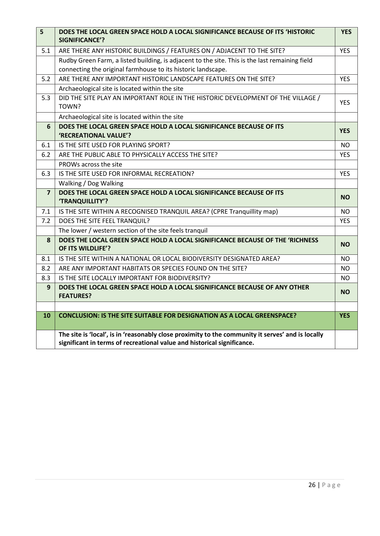| 5              | DOES THE LOCAL GREEN SPACE HOLD A LOCAL SIGNIFICANCE BECAUSE OF ITS 'HISTORIC<br>SIGNIFICANCE'?                                                                              | <b>YES</b> |
|----------------|------------------------------------------------------------------------------------------------------------------------------------------------------------------------------|------------|
| 5.1            | ARE THERE ANY HISTORIC BUILDINGS / FEATURES ON / ADJACENT TO THE SITE?                                                                                                       | <b>YES</b> |
|                | Rudby Green Farm, a listed building, is adjacent to the site. This is the last remaining field                                                                               |            |
|                | connecting the original farmhouse to its historic landscape.                                                                                                                 |            |
| 5.2            | ARE THERE ANY IMPORTANT HISTORIC LANDSCAPE FEATURES ON THE SITE?                                                                                                             | <b>YES</b> |
|                | Archaeological site is located within the site                                                                                                                               |            |
| 5.3            | DID THE SITE PLAY AN IMPORTANT ROLE IN THE HISTORIC DEVELOPMENT OF THE VILLAGE /<br>TOWN?                                                                                    | <b>YES</b> |
|                | Archaeological site is located within the site                                                                                                                               |            |
| 6              | DOES THE LOCAL GREEN SPACE HOLD A LOCAL SIGNIFICANCE BECAUSE OF ITS                                                                                                          | <b>YES</b> |
|                | 'RECREATIONAL VALUE'?                                                                                                                                                        |            |
| 6.1            | IS THE SITE USED FOR PLAYING SPORT?                                                                                                                                          | <b>NO</b>  |
| 6.2            | ARE THE PUBLIC ABLE TO PHYSICALLY ACCESS THE SITE?                                                                                                                           | <b>YES</b> |
|                | PROWs across the site                                                                                                                                                        |            |
| 6.3            | IS THE SITE USED FOR INFORMAL RECREATION?                                                                                                                                    | <b>YES</b> |
|                | Walking / Dog Walking                                                                                                                                                        |            |
| $\overline{7}$ | DOES THE LOCAL GREEN SPACE HOLD A LOCAL SIGNIFICANCE BECAUSE OF ITS<br>'TRANQUILLITY'?                                                                                       | <b>NO</b>  |
| 7.1            | IS THE SITE WITHIN A RECOGNISED TRANQUIL AREA? (CPRE Tranquillity map)                                                                                                       | <b>NO</b>  |
| 7.2            | DOES THE SITE FEEL TRANQUIL?                                                                                                                                                 | <b>YES</b> |
|                | The lower / western section of the site feels tranquil                                                                                                                       |            |
| 8              | DOES THE LOCAL GREEN SPACE HOLD A LOCAL SIGNIFICANCE BECAUSE OF THE 'RICHNESS<br>OF ITS WILDLIFE'?                                                                           | <b>NO</b>  |
| 8.1            | IS THE SITE WITHIN A NATIONAL OR LOCAL BIODIVERSITY DESIGNATED AREA?                                                                                                         | <b>NO</b>  |
| 8.2            | ARE ANY IMPORTANT HABITATS OR SPECIES FOUND ON THE SITE?                                                                                                                     | <b>NO</b>  |
| 8.3            | IS THE SITE LOCALLY IMPORTANT FOR BIODIVERSITY?                                                                                                                              | <b>NO</b>  |
| 9              | DOES THE LOCAL GREEN SPACE HOLD A LOCAL SIGNIFICANCE BECAUSE OF ANY OTHER<br><b>FEATURES?</b>                                                                                | <b>NO</b>  |
|                |                                                                                                                                                                              |            |
| 10             | <b>CONCLUSION: IS THE SITE SUITABLE FOR DESIGNATION AS A LOCAL GREENSPACE?</b>                                                                                               | <b>YES</b> |
|                | The site is 'local', is in 'reasonably close proximity to the community it serves' and is locally<br>significant in terms of recreational value and historical significance. |            |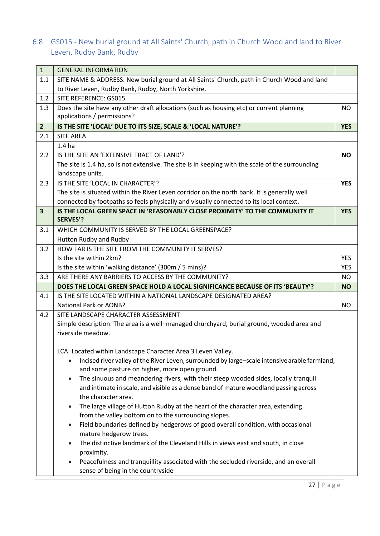### <span id="page-29-0"></span>6.8 GS015 - New burial ground at All Saints' Church, path in Church Wood and land to River Leven, Rudby Bank, Rudby

| $\mathbf{1}$            | <b>GENERAL INFORMATION</b>                                                                                  |            |
|-------------------------|-------------------------------------------------------------------------------------------------------------|------------|
| 1.1                     | SITE NAME & ADDRESS: New burial ground at All Saints' Church, path in Church Wood and land                  |            |
|                         | to River Leven, Rudby Bank, Rudby, North Yorkshire.                                                         |            |
| 1.2                     | SITE REFERENCE: GS015                                                                                       |            |
| 1.3                     | Does the site have any other draft allocations (such as housing etc) or current planning                    | <b>NO</b>  |
|                         | applications / permissions?                                                                                 |            |
| $\overline{2}$          | IS THE SITE 'LOCAL' DUE TO ITS SIZE, SCALE & 'LOCAL NATURE'?                                                | <b>YES</b> |
| 2.1                     | <b>SITE AREA</b>                                                                                            |            |
|                         | 1.4 <sub>ha</sub>                                                                                           |            |
| 2.2                     | IS THE SITE AN 'EXTENSIVE TRACT OF LAND'?                                                                   | <b>NO</b>  |
|                         | The site is 1.4 ha, so is not extensive. The site is in keeping with the scale of the surrounding           |            |
|                         | landscape units.                                                                                            |            |
| 2.3                     | IS THE SITE 'LOCAL IN CHARACTER'?                                                                           | <b>YES</b> |
|                         | The site is situated within the River Leven corridor on the north bank. It is generally well                |            |
|                         | connected by footpaths so feels physically and visually connected to its local context.                     |            |
| $\overline{\mathbf{3}}$ | IS THE LOCAL GREEN SPACE IN 'REASONABLY CLOSE PROXIMITY' TO THE COMMUNITY IT                                | <b>YES</b> |
|                         | <b>SERVES'?</b>                                                                                             |            |
| 3.1                     | WHICH COMMUNITY IS SERVED BY THE LOCAL GREENSPACE?                                                          |            |
|                         | Hutton Rudby and Rudby                                                                                      |            |
| 3.2                     | HOW FAR IS THE SITE FROM THE COMMUNITY IT SERVES?                                                           |            |
|                         | Is the site within 2km?                                                                                     | <b>YES</b> |
|                         | Is the site within 'walking distance' (300m / 5 mins)?                                                      | <b>YES</b> |
| 3.3                     | ARE THERE ANY BARRIERS TO ACCESS BY THE COMMUNITY?                                                          | <b>NO</b>  |
|                         | DOES THE LOCAL GREEN SPACE HOLD A LOCAL SIGNIFICANCE BECAUSE OF ITS 'BEAUTY'?                               | <b>NO</b>  |
| 4.1                     | IS THE SITE LOCATED WITHIN A NATIONAL LANDSCAPE DESIGNATED AREA?                                            |            |
|                         | <b>National Park or AONB?</b>                                                                               | NO.        |
| 4.2                     | SITE LANDSCAPE CHARACTER ASSESSMENT                                                                         |            |
|                         | Simple description: The area is a well-managed churchyard, burial ground, wooded area and                   |            |
|                         | riverside meadow.                                                                                           |            |
|                         |                                                                                                             |            |
|                         | LCA: Located within Landscape Character Area 3 Leven Valley.                                                |            |
|                         | Incised river valley of the River Leven, surrounded by large-scale intensive arable farmland,               |            |
|                         | and some pasture on higher, more open ground.                                                               |            |
|                         | The sinuous and meandering rivers, with their steep wooded sides, locally tranquil<br>$\bullet$             |            |
|                         | and intimate in scale, and visible as a dense band of mature woodland passing across<br>the character area. |            |
|                         | The large village of Hutton Rudby at the heart of the character area, extending                             |            |
|                         | from the valley bottom on to the surrounding slopes.                                                        |            |
|                         | Field boundaries defined by hedgerows of good overall condition, with occasional                            |            |
|                         | $\bullet$<br>mature hedgerow trees.                                                                         |            |
|                         | The distinctive landmark of the Cleveland Hills in views east and south, in close                           |            |
|                         | proximity.                                                                                                  |            |
|                         | Peacefulness and tranquillity associated with the secluded riverside, and an overall                        |            |
|                         | sense of being in the countryside                                                                           |            |
|                         |                                                                                                             |            |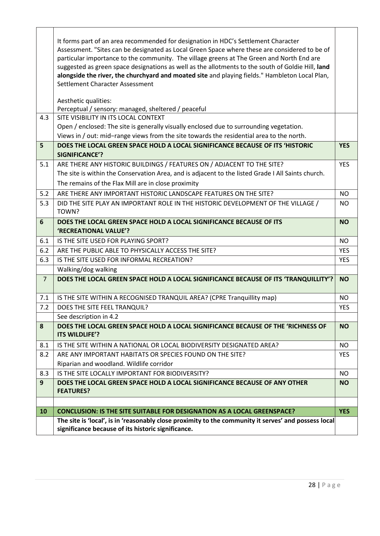|                | The site is 'local', is in 'reasonably close proximity to the community it serves' and possess local<br>significance because of its historic significance.                                                                                                                                                                                                                            |            |
|----------------|---------------------------------------------------------------------------------------------------------------------------------------------------------------------------------------------------------------------------------------------------------------------------------------------------------------------------------------------------------------------------------------|------------|
| 10             | <b>CONCLUSION: IS THE SITE SUITABLE FOR DESIGNATION AS A LOCAL GREENSPACE?</b>                                                                                                                                                                                                                                                                                                        | <b>YES</b> |
|                |                                                                                                                                                                                                                                                                                                                                                                                       |            |
| 9              | DOES THE LOCAL GREEN SPACE HOLD A LOCAL SIGNIFICANCE BECAUSE OF ANY OTHER<br><b>FEATURES?</b>                                                                                                                                                                                                                                                                                         | <b>NO</b>  |
| 8.3            | IS THE SITE LOCALLY IMPORTANT FOR BIODIVERSITY?                                                                                                                                                                                                                                                                                                                                       | <b>NO</b>  |
|                | Riparian and woodland. Wildlife corridor                                                                                                                                                                                                                                                                                                                                              |            |
| 8.2            | ARE ANY IMPORTANT HABITATS OR SPECIES FOUND ON THE SITE?                                                                                                                                                                                                                                                                                                                              | <b>YES</b> |
| 8.1            | IS THE SITE WITHIN A NATIONAL OR LOCAL BIODIVERSITY DESIGNATED AREA?                                                                                                                                                                                                                                                                                                                  | <b>NO</b>  |
| 8              | DOES THE LOCAL GREEN SPACE HOLD A LOCAL SIGNIFICANCE BECAUSE OF THE 'RICHNESS OF<br>ITS WILDLIFE'?                                                                                                                                                                                                                                                                                    | <b>NO</b>  |
|                | See description in 4.2                                                                                                                                                                                                                                                                                                                                                                |            |
| 7.2            | DOES THE SITE FEEL TRANQUIL?                                                                                                                                                                                                                                                                                                                                                          | <b>YES</b> |
| 7.1            | IS THE SITE WITHIN A RECOGNISED TRANQUIL AREA? (CPRE Tranquillity map)                                                                                                                                                                                                                                                                                                                | <b>NO</b>  |
| $\overline{7}$ | DOES THE LOCAL GREEN SPACE HOLD A LOCAL SIGNIFICANCE BECAUSE OF ITS 'TRANQUILLITY'?                                                                                                                                                                                                                                                                                                   | <b>NO</b>  |
|                | Walking/dog walking                                                                                                                                                                                                                                                                                                                                                                   |            |
| 6.3            | IS THE SITE USED FOR INFORMAL RECREATION?                                                                                                                                                                                                                                                                                                                                             | <b>YES</b> |
| 6.2            | ARE THE PUBLIC ABLE TO PHYSICALLY ACCESS THE SITE?                                                                                                                                                                                                                                                                                                                                    | <b>YES</b> |
| 6.1            | IS THE SITE USED FOR PLAYING SPORT?                                                                                                                                                                                                                                                                                                                                                   | <b>NO</b>  |
| 6              | DOES THE LOCAL GREEN SPACE HOLD A LOCAL SIGNIFICANCE BECAUSE OF ITS<br>'RECREATIONAL VALUE'?                                                                                                                                                                                                                                                                                          | <b>NO</b>  |
| 5.3            | DID THE SITE PLAY AN IMPORTANT ROLE IN THE HISTORIC DEVELOPMENT OF THE VILLAGE /<br>TOWN?                                                                                                                                                                                                                                                                                             | <b>NO</b>  |
| 5.2            | ARE THERE ANY IMPORTANT HISTORIC LANDSCAPE FEATURES ON THE SITE?                                                                                                                                                                                                                                                                                                                      | <b>NO</b>  |
|                | The remains of the Flax Mill are in close proximity                                                                                                                                                                                                                                                                                                                                   |            |
|                | The site is within the Conservation Area, and is adjacent to the listed Grade I All Saints church.                                                                                                                                                                                                                                                                                    |            |
| 5.1            | ARE THERE ANY HISTORIC BUILDINGS / FEATURES ON / ADJACENT TO THE SITE?                                                                                                                                                                                                                                                                                                                | <b>YES</b> |
|                | <b>SIGNIFICANCE'?</b>                                                                                                                                                                                                                                                                                                                                                                 |            |
| 5              | DOES THE LOCAL GREEN SPACE HOLD A LOCAL SIGNIFICANCE BECAUSE OF ITS 'HISTORIC                                                                                                                                                                                                                                                                                                         | <b>YES</b> |
|                | Open / enclosed: The site is generally visually enclosed due to surrounding vegetation.<br>Views in / out: mid-range views from the site towards the residential area to the north.                                                                                                                                                                                                   |            |
| 4.3            | SITE VISIBILITY IN ITS LOCAL CONTEXT                                                                                                                                                                                                                                                                                                                                                  |            |
|                | Perceptual / sensory: managed, sheltered / peaceful                                                                                                                                                                                                                                                                                                                                   |            |
|                | Aesthetic qualities:                                                                                                                                                                                                                                                                                                                                                                  |            |
|                | Settlement Character Assessment                                                                                                                                                                                                                                                                                                                                                       |            |
|                | alongside the river, the churchyard and moated site and playing fields." Hambleton Local Plan,                                                                                                                                                                                                                                                                                        |            |
|                |                                                                                                                                                                                                                                                                                                                                                                                       |            |
|                |                                                                                                                                                                                                                                                                                                                                                                                       |            |
|                |                                                                                                                                                                                                                                                                                                                                                                                       |            |
|                | It forms part of an area recommended for designation in HDC's Settlement Character<br>Assessment. "Sites can be designated as Local Green Space where these are considered to be of<br>particular importance to the community. The village greens at The Green and North End are<br>suggested as green space designations as well as the allotments to the south of Goldie Hill, land |            |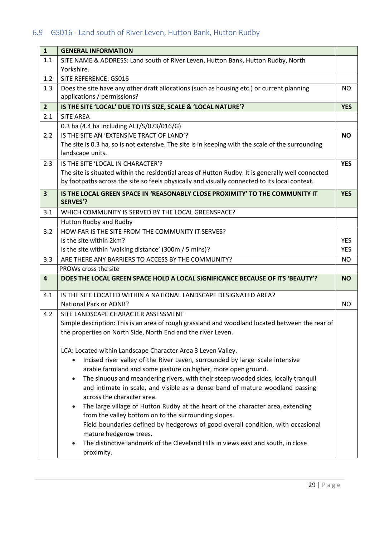# <span id="page-31-0"></span>6.9 GS016 - Land south of River Leven, Hutton Bank, Hutton Rudby

| $\mathbf{1}$            | <b>GENERAL INFORMATION</b>                                                                        |            |
|-------------------------|---------------------------------------------------------------------------------------------------|------------|
| 1.1                     | SITE NAME & ADDRESS: Land south of River Leven, Hutton Bank, Hutton Rudby, North                  |            |
|                         | Yorkshire.                                                                                        |            |
| 1.2                     | SITE REFERENCE: GS016                                                                             |            |
| 1.3                     | Does the site have any other draft allocations (such as housing etc.) or current planning         | <b>NO</b>  |
|                         | applications / permissions?                                                                       |            |
| $\overline{2}$          | IS THE SITE 'LOCAL' DUE TO ITS SIZE, SCALE & 'LOCAL NATURE'?                                      | <b>YES</b> |
| 2.1                     | <b>SITE AREA</b>                                                                                  |            |
|                         | 0.3 ha (4.4 ha including ALT/S/073/016/G)                                                         |            |
| 2.2                     | IS THE SITE AN 'EXTENSIVE TRACT OF LAND'?                                                         | <b>NO</b>  |
|                         | The site is 0.3 ha, so is not extensive. The site is in keeping with the scale of the surrounding |            |
|                         | landscape units.                                                                                  |            |
| 2.3                     | IS THE SITE 'LOCAL IN CHARACTER'?                                                                 | <b>YES</b> |
|                         | The site is situated within the residential areas of Hutton Rudby. It is generally well connected |            |
|                         | by footpaths across the site so feels physically and visually connected to its local context.     |            |
| $\overline{\mathbf{3}}$ | IS THE LOCAL GREEN SPACE IN 'REASONABLY CLOSE PROXIMITY' TO THE COMMUNITY IT                      | <b>YES</b> |
|                         | <b>SERVES'?</b>                                                                                   |            |
| 3.1                     | WHICH COMMUNITY IS SERVED BY THE LOCAL GREENSPACE?                                                |            |
|                         | Hutton Rudby and Rudby                                                                            |            |
| 3.2                     | HOW FAR IS THE SITE FROM THE COMMUNITY IT SERVES?                                                 |            |
|                         | Is the site within 2km?                                                                           | <b>YES</b> |
|                         | Is the site within 'walking distance' (300m / 5 mins)?                                            | <b>YES</b> |
| 3.3                     | ARE THERE ANY BARRIERS TO ACCESS BY THE COMMUNITY?                                                | <b>NO</b>  |
|                         | PROWs cross the site                                                                              |            |
| 4                       | DOES THE LOCAL GREEN SPACE HOLD A LOCAL SIGNIFICANCE BECAUSE OF ITS 'BEAUTY'?                     | NO.        |
|                         |                                                                                                   |            |
| 4.1                     | IS THE SITE LOCATED WITHIN A NATIONAL LANDSCAPE DESIGNATED AREA?                                  |            |
|                         | <b>National Park or AONB?</b>                                                                     | <b>NO</b>  |
| 4.2                     | SITE LANDSCAPE CHARACTER ASSESSMENT                                                               |            |
|                         | Simple description: This is an area of rough grassland and woodland located between the rear of   |            |
|                         | the properties on North Side, North End and the river Leven.                                      |            |
|                         |                                                                                                   |            |
|                         | LCA: Located within Landscape Character Area 3 Leven Valley.                                      |            |
|                         | Incised river valley of the River Leven, surrounded by large-scale intensive                      |            |
|                         | arable farmland and some pasture on higher, more open ground.                                     |            |
|                         | The sinuous and meandering rivers, with their steep wooded sides, locally tranquil<br>$\bullet$   |            |
|                         | and intimate in scale, and visible as a dense band of mature woodland passing                     |            |
|                         | across the character area.                                                                        |            |
|                         | The large village of Hutton Rudby at the heart of the character area, extending<br>$\bullet$      |            |
|                         | from the valley bottom on to the surrounding slopes.                                              |            |
|                         | Field boundaries defined by hedgerows of good overall condition, with occasional                  |            |
|                         | mature hedgerow trees.                                                                            |            |
|                         | The distinctive landmark of the Cleveland Hills in views east and south, in close                 |            |
|                         | proximity.                                                                                        |            |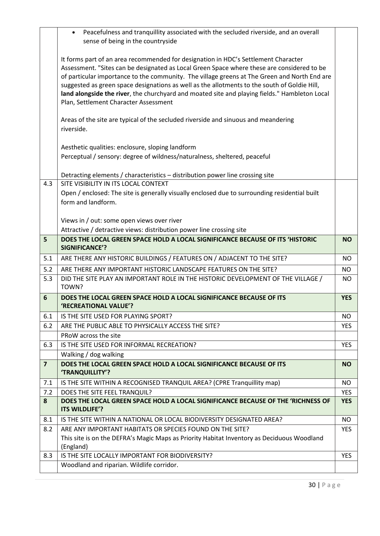|                         | Peacefulness and tranquillity associated with the secluded riverside, and an overall<br>$\bullet$<br>sense of being in the countryside                                                                                                                                                                                                                                                                                                                                                                                     |            |
|-------------------------|----------------------------------------------------------------------------------------------------------------------------------------------------------------------------------------------------------------------------------------------------------------------------------------------------------------------------------------------------------------------------------------------------------------------------------------------------------------------------------------------------------------------------|------------|
|                         |                                                                                                                                                                                                                                                                                                                                                                                                                                                                                                                            |            |
|                         | It forms part of an area recommended for designation in HDC's Settlement Character<br>Assessment. "Sites can be designated as Local Green Space where these are considered to be<br>of particular importance to the community. The village greens at The Green and North End are<br>suggested as green space designations as well as the allotments to the south of Goldie Hill,<br>land alongside the river, the churchyard and moated site and playing fields." Hambleton Local<br>Plan, Settlement Character Assessment |            |
|                         | Areas of the site are typical of the secluded riverside and sinuous and meandering<br>riverside.                                                                                                                                                                                                                                                                                                                                                                                                                           |            |
|                         | Aesthetic qualities: enclosure, sloping landform                                                                                                                                                                                                                                                                                                                                                                                                                                                                           |            |
|                         | Perceptual / sensory: degree of wildness/naturalness, sheltered, peaceful                                                                                                                                                                                                                                                                                                                                                                                                                                                  |            |
|                         | Detracting elements / characteristics - distribution power line crossing site                                                                                                                                                                                                                                                                                                                                                                                                                                              |            |
| 4.3                     | SITE VISIBILITY IN ITS LOCAL CONTEXT                                                                                                                                                                                                                                                                                                                                                                                                                                                                                       |            |
|                         | Open / enclosed: The site is generally visually enclosed due to surrounding residential built                                                                                                                                                                                                                                                                                                                                                                                                                              |            |
|                         | form and landform.                                                                                                                                                                                                                                                                                                                                                                                                                                                                                                         |            |
|                         | Views in / out: some open views over river                                                                                                                                                                                                                                                                                                                                                                                                                                                                                 |            |
|                         | Attractive / detractive views: distribution power line crossing site                                                                                                                                                                                                                                                                                                                                                                                                                                                       |            |
| 5                       | DOES THE LOCAL GREEN SPACE HOLD A LOCAL SIGNIFICANCE BECAUSE OF ITS 'HISTORIC<br><b>SIGNIFICANCE'?</b>                                                                                                                                                                                                                                                                                                                                                                                                                     | <b>NO</b>  |
| 5.1                     | ARE THERE ANY HISTORIC BUILDINGS / FEATURES ON / ADJACENT TO THE SITE?                                                                                                                                                                                                                                                                                                                                                                                                                                                     | <b>NO</b>  |
| 5.2                     | ARE THERE ANY IMPORTANT HISTORIC LANDSCAPE FEATURES ON THE SITE?                                                                                                                                                                                                                                                                                                                                                                                                                                                           | <b>NO</b>  |
| 5.3                     | DID THE SITE PLAY AN IMPORTANT ROLE IN THE HISTORIC DEVELOPMENT OF THE VILLAGE /<br>TOWN?                                                                                                                                                                                                                                                                                                                                                                                                                                  | NO.        |
| $6\phantom{1}6$         | DOES THE LOCAL GREEN SPACE HOLD A LOCAL SIGNIFICANCE BECAUSE OF ITS<br>'RECREATIONAL VALUE'?                                                                                                                                                                                                                                                                                                                                                                                                                               | <b>YES</b> |
| 6.1                     | IS THE SITE USED FOR PLAYING SPORT?                                                                                                                                                                                                                                                                                                                                                                                                                                                                                        | NO.        |
| 6.2                     | ARE THE PUBLIC ABLE TO PHYSICALLY ACCESS THE SITE?                                                                                                                                                                                                                                                                                                                                                                                                                                                                         | <b>YES</b> |
|                         | PRoW across the site                                                                                                                                                                                                                                                                                                                                                                                                                                                                                                       |            |
| 6.3                     | IS THE SITE USED FOR INFORMAL RECREATION?                                                                                                                                                                                                                                                                                                                                                                                                                                                                                  | <b>YES</b> |
|                         | Walking / dog walking                                                                                                                                                                                                                                                                                                                                                                                                                                                                                                      |            |
| $\overline{\mathbf{z}}$ | DOES THE LOCAL GREEN SPACE HOLD A LOCAL SIGNIFICANCE BECAUSE OF ITS<br>'TRANQUILLITY'?                                                                                                                                                                                                                                                                                                                                                                                                                                     | <b>NO</b>  |
| 7.1                     | IS THE SITE WITHIN A RECOGNISED TRANQUIL AREA? (CPRE Tranquillity map)                                                                                                                                                                                                                                                                                                                                                                                                                                                     | NO.        |
| 7.2                     | DOES THE SITE FEEL TRANQUIL?                                                                                                                                                                                                                                                                                                                                                                                                                                                                                               | <b>YES</b> |
| 8                       | DOES THE LOCAL GREEN SPACE HOLD A LOCAL SIGNIFICANCE BECAUSE OF THE 'RICHNESS OF<br>ITS WILDLIFE'?                                                                                                                                                                                                                                                                                                                                                                                                                         | <b>YES</b> |
| 8.1                     | IS THE SITE WITHIN A NATIONAL OR LOCAL BIODIVERSITY DESIGNATED AREA?                                                                                                                                                                                                                                                                                                                                                                                                                                                       | <b>NO</b>  |
| 8.2                     | ARE ANY IMPORTANT HABITATS OR SPECIES FOUND ON THE SITE?                                                                                                                                                                                                                                                                                                                                                                                                                                                                   | <b>YES</b> |
|                         | This site is on the DEFRA's Magic Maps as Priority Habitat Inventory as Deciduous Woodland<br>(England)                                                                                                                                                                                                                                                                                                                                                                                                                    |            |
| 8.3                     | IS THE SITE LOCALLY IMPORTANT FOR BIODIVERSITY?                                                                                                                                                                                                                                                                                                                                                                                                                                                                            | <b>YES</b> |
|                         | Woodland and riparian. Wildlife corridor.                                                                                                                                                                                                                                                                                                                                                                                                                                                                                  |            |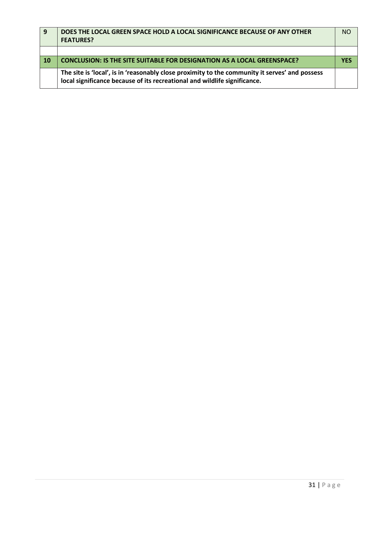| <u>g</u>   | DOES THE LOCAL GREEN SPACE HOLD A LOCAL SIGNIFICANCE BECAUSE OF ANY OTHER<br><b>FEATURES?</b>                                                                               | N <sub>O</sub> |
|------------|-----------------------------------------------------------------------------------------------------------------------------------------------------------------------------|----------------|
|            |                                                                                                                                                                             |                |
| $\vert$ 10 | <b>CONCLUSION: IS THE SITE SUITABLE FOR DESIGNATION AS A LOCAL GREENSPACE?</b>                                                                                              | <b>YFS</b>     |
|            | The site is 'local', is in 'reasonably close proximity to the community it serves' and possess<br>local significance because of its recreational and wildlife significance. |                |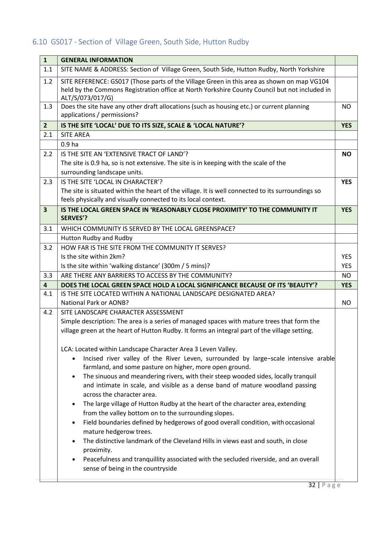# <span id="page-34-0"></span>6.10 GS017 - Section of Village Green, South Side, Hutton Rudby

| $\mathbf{1}$            | <b>GENERAL INFORMATION</b>                                                                                                                                                                                      |            |
|-------------------------|-----------------------------------------------------------------------------------------------------------------------------------------------------------------------------------------------------------------|------------|
| 1.1                     | SITE NAME & ADDRESS: Section of Village Green, South Side, Hutton Rudby, North Yorkshire                                                                                                                        |            |
| 1.2                     | SITE REFERENCE: GS017 (Those parts of the Village Green in this area as shown on map VG104<br>held by the Commons Registration office at North Yorkshire County Council but not included in<br>ALT/S/073/017/G) |            |
| 1.3                     | Does the site have any other draft allocations (such as housing etc.) or current planning<br>applications / permissions?                                                                                        | <b>NO</b>  |
| $\overline{2}$          | IS THE SITE 'LOCAL' DUE TO ITS SIZE, SCALE & 'LOCAL NATURE'?                                                                                                                                                    | <b>YES</b> |
| 2.1                     | <b>SITE AREA</b>                                                                                                                                                                                                |            |
|                         | 0.9 <sub>ha</sub>                                                                                                                                                                                               |            |
| 2.2                     | IS THE SITE AN 'EXTENSIVE TRACT OF LAND'?                                                                                                                                                                       | <b>NO</b>  |
|                         | The site is 0.9 ha, so is not extensive. The site is in keeping with the scale of the                                                                                                                           |            |
|                         | surrounding landscape units.                                                                                                                                                                                    |            |
| 2.3                     | IS THE SITE 'LOCAL IN CHARACTER'?                                                                                                                                                                               | <b>YES</b> |
|                         | The site is situated within the heart of the village. It is well connected to its surroundings so<br>feels physically and visually connected to its local context.                                              |            |
| $\overline{\mathbf{3}}$ | IS THE LOCAL GREEN SPACE IN 'REASONABLY CLOSE PROXIMITY' TO THE COMMUNITY IT<br><b>SERVES'?</b>                                                                                                                 | <b>YES</b> |
| 3.1                     | WHICH COMMUNITY IS SERVED BY THE LOCAL GREENSPACE?                                                                                                                                                              |            |
|                         | Hutton Rudby and Rudby                                                                                                                                                                                          |            |
| 3.2                     | HOW FAR IS THE SITE FROM THE COMMUNITY IT SERVES?                                                                                                                                                               |            |
|                         | Is the site within 2km?                                                                                                                                                                                         | <b>YES</b> |
|                         | Is the site within 'walking distance' (300m / 5 mins)?                                                                                                                                                          | <b>YES</b> |
| 3.3                     | ARE THERE ANY BARRIERS TO ACCESS BY THE COMMUNITY?                                                                                                                                                              | <b>NO</b>  |
| $\overline{\mathbf{4}}$ | DOES THE LOCAL GREEN SPACE HOLD A LOCAL SIGNIFICANCE BECAUSE OF ITS 'BEAUTY'?                                                                                                                                   | <b>YES</b> |
| 4.1                     | IS THE SITE LOCATED WITHIN A NATIONAL LANDSCAPE DESIGNATED AREA?                                                                                                                                                |            |
|                         | <b>National Park or AONB?</b>                                                                                                                                                                                   | NO.        |
| 4.2                     | SITE LANDSCAPE CHARACTER ASSESSMENT                                                                                                                                                                             |            |
|                         | Simple description: The area is a series of managed spaces with mature trees that form the                                                                                                                      |            |
|                         | village green at the heart of Hutton Rudby. It forms an integral part of the village setting.                                                                                                                   |            |
|                         | LCA: Located within Landscape Character Area 3 Leven Valley.                                                                                                                                                    |            |
|                         | Incised river valley of the River Leven, surrounded by large-scale intensive arable                                                                                                                             |            |
|                         | farmland, and some pasture on higher, more open ground.                                                                                                                                                         |            |
|                         | The sinuous and meandering rivers, with their steep wooded sides, locally tranquil<br>$\bullet$                                                                                                                 |            |
|                         | and intimate in scale, and visible as a dense band of mature woodland passing<br>across the character area.                                                                                                     |            |
|                         |                                                                                                                                                                                                                 |            |
|                         | The large village of Hutton Rudby at the heart of the character area, extending<br>from the valley bottom on to the surrounding slopes.                                                                         |            |
|                         | Field boundaries defined by hedgerows of good overall condition, with occasional<br>$\bullet$                                                                                                                   |            |
|                         | mature hedgerow trees.                                                                                                                                                                                          |            |
|                         | The distinctive landmark of the Cleveland Hills in views east and south, in close<br>$\bullet$                                                                                                                  |            |
|                         | proximity.                                                                                                                                                                                                      |            |
|                         | Peacefulness and tranquillity associated with the secluded riverside, and an overall<br>sense of being in the countryside                                                                                       |            |
|                         |                                                                                                                                                                                                                 |            |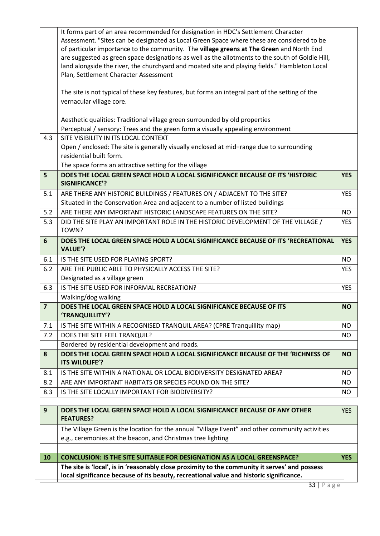|                | It forms part of an area recommended for designation in HDC's Settlement Character<br>Assessment. "Sites can be designated as Local Green Space where these are considered to be<br>of particular importance to the community. The village greens at The Green and North End<br>are suggested as green space designations as well as the allotments to the south of Goldie Hill, |            |
|----------------|----------------------------------------------------------------------------------------------------------------------------------------------------------------------------------------------------------------------------------------------------------------------------------------------------------------------------------------------------------------------------------|------------|
|                | land alongside the river, the churchyard and moated site and playing fields." Hambleton Local<br>Plan, Settlement Character Assessment                                                                                                                                                                                                                                           |            |
|                | The site is not typical of these key features, but forms an integral part of the setting of the<br>vernacular village core.                                                                                                                                                                                                                                                      |            |
|                | Aesthetic qualities: Traditional village green surrounded by old properties                                                                                                                                                                                                                                                                                                      |            |
|                | Perceptual / sensory: Trees and the green form a visually appealing environment                                                                                                                                                                                                                                                                                                  |            |
| 4.3            | SITE VISIBILITY IN ITS LOCAL CONTEXT                                                                                                                                                                                                                                                                                                                                             |            |
|                | Open / enclosed: The site is generally visually enclosed at mid-range due to surrounding                                                                                                                                                                                                                                                                                         |            |
|                | residential built form.                                                                                                                                                                                                                                                                                                                                                          |            |
| 5              | The space forms an attractive setting for the village<br>DOES THE LOCAL GREEN SPACE HOLD A LOCAL SIGNIFICANCE BECAUSE OF ITS 'HISTORIC                                                                                                                                                                                                                                           | <b>YES</b> |
|                | <b>SIGNIFICANCE'?</b>                                                                                                                                                                                                                                                                                                                                                            |            |
| 5.1            | ARE THERE ANY HISTORIC BUILDINGS / FEATURES ON / ADJACENT TO THE SITE?                                                                                                                                                                                                                                                                                                           | <b>YES</b> |
|                | Situated in the Conservation Area and adjacent to a number of listed buildings                                                                                                                                                                                                                                                                                                   |            |
| 5.2            | ARE THERE ANY IMPORTANT HISTORIC LANDSCAPE FEATURES ON THE SITE?                                                                                                                                                                                                                                                                                                                 | <b>NO</b>  |
| 5.3            | DID THE SITE PLAY AN IMPORTANT ROLE IN THE HISTORIC DEVELOPMENT OF THE VILLAGE /<br>TOWN?                                                                                                                                                                                                                                                                                        | <b>YES</b> |
| 6              | DOES THE LOCAL GREEN SPACE HOLD A LOCAL SIGNIFICANCE BECAUSE OF ITS 'RECREATIONAL<br><b>VALUE'?</b>                                                                                                                                                                                                                                                                              | <b>YES</b> |
|                |                                                                                                                                                                                                                                                                                                                                                                                  |            |
| 6.1            | IS THE SITE USED FOR PLAYING SPORT?                                                                                                                                                                                                                                                                                                                                              | <b>NO</b>  |
| 6.2            | ARE THE PUBLIC ABLE TO PHYSICALLY ACCESS THE SITE?                                                                                                                                                                                                                                                                                                                               | <b>YES</b> |
|                | Designated as a village green                                                                                                                                                                                                                                                                                                                                                    |            |
| 6.3            | IS THE SITE USED FOR INFORMAL RECREATION?                                                                                                                                                                                                                                                                                                                                        | <b>YES</b> |
|                | Walking/dog walking                                                                                                                                                                                                                                                                                                                                                              |            |
| $\overline{7}$ | DOES THE LOCAL GREEN SPACE HOLD A LOCAL SIGNIFICANCE BECAUSE OF ITS<br>'TRANQUILLITY'?                                                                                                                                                                                                                                                                                           | <b>NO</b>  |
| 7.1            | IS THE SITE WITHIN A RECOGNISED TRANQUIL AREA? (CPRE Tranquillity map)                                                                                                                                                                                                                                                                                                           | NO.        |
| 7.2            | DOES THE SITE FEEL TRANQUIL?                                                                                                                                                                                                                                                                                                                                                     | <b>NO</b>  |
|                | Bordered by residential development and roads.                                                                                                                                                                                                                                                                                                                                   |            |
| 8              | DOES THE LOCAL GREEN SPACE HOLD A LOCAL SIGNIFICANCE BECAUSE OF THE 'RICHNESS OF<br>ITS WILDLIFE'?                                                                                                                                                                                                                                                                               | <b>NO</b>  |
| 8.1            | IS THE SITE WITHIN A NATIONAL OR LOCAL BIODIVERSITY DESIGNATED AREA?                                                                                                                                                                                                                                                                                                             | <b>NO</b>  |
| 8.2            | ARE ANY IMPORTANT HABITATS OR SPECIES FOUND ON THE SITE?                                                                                                                                                                                                                                                                                                                         | <b>NO</b>  |
| 8.3            | IS THE SITE LOCALLY IMPORTANT FOR BIODIVERSITY?                                                                                                                                                                                                                                                                                                                                  | <b>NO</b>  |

| 9  | DOES THE LOCAL GREEN SPACE HOLD A LOCAL SIGNIFICANCE BECAUSE OF ANY OTHER<br><b>FEATURES?</b>                                                                                             | <b>YES</b> |
|----|-------------------------------------------------------------------------------------------------------------------------------------------------------------------------------------------|------------|
|    | The Village Green is the location for the annual "Village Event" and other community activities                                                                                           |            |
|    | e.g., ceremonies at the beacon, and Christmas tree lighting                                                                                                                               |            |
|    |                                                                                                                                                                                           |            |
| 10 | <b>CONCLUSION: IS THE SITE SUITABLE FOR DESIGNATION AS A LOCAL GREENSPACE?</b>                                                                                                            | YFS        |
|    | The site is 'local', is in 'reasonably close proximity to the community it serves' and possess<br>local significance because of its beauty, recreational value and historic significance. |            |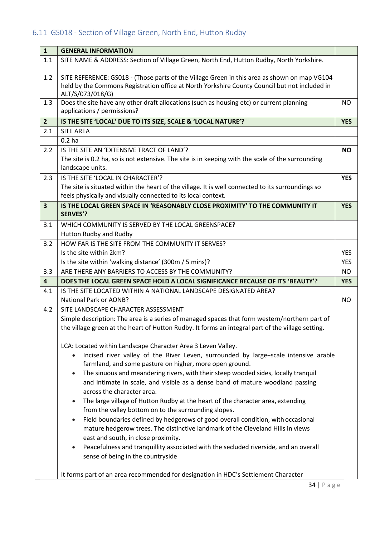# <span id="page-36-0"></span>6.11 GS018 - Section of Village Green, North End, Hutton Rudby

| $\mathbf{1}$            | <b>GENERAL INFORMATION</b>                                                                                                |            |
|-------------------------|---------------------------------------------------------------------------------------------------------------------------|------------|
| 1.1                     | SITE NAME & ADDRESS: Section of Village Green, North End, Hutton Rudby, North Yorkshire.                                  |            |
| 1.2                     | SITE REFERENCE: GS018 - (Those parts of the Village Green in this area as shown on map VG104                              |            |
|                         | held by the Commons Registration office at North Yorkshire County Council but not included in<br>ALT/S/073/018/G)         |            |
| 1.3                     | Does the site have any other draft allocations (such as housing etc) or current planning<br>applications / permissions?   | NO.        |
| $\overline{2}$          | IS THE SITE 'LOCAL' DUE TO ITS SIZE, SCALE & 'LOCAL NATURE'?                                                              | <b>YES</b> |
| 2.1                     | <b>SITE AREA</b>                                                                                                          |            |
|                         | 0.2 <sub>ha</sub>                                                                                                         |            |
| 2.2                     | IS THE SITE AN 'EXTENSIVE TRACT OF LAND'?                                                                                 | <b>NO</b>  |
|                         | The site is 0.2 ha, so is not extensive. The site is in keeping with the scale of the surrounding<br>landscape units.     |            |
| 2.3                     | IS THE SITE 'LOCAL IN CHARACTER'?                                                                                         | <b>YES</b> |
|                         | The site is situated within the heart of the village. It is well connected to its surroundings so                         |            |
|                         | feels physically and visually connected to its local context.                                                             |            |
| $\overline{\mathbf{3}}$ | IS THE LOCAL GREEN SPACE IN 'REASONABLY CLOSE PROXIMITY' TO THE COMMUNITY IT<br><b>SERVES'?</b>                           | <b>YES</b> |
| 3.1                     | WHICH COMMUNITY IS SERVED BY THE LOCAL GREENSPACE?                                                                        |            |
|                         | Hutton Rudby and Rudby                                                                                                    |            |
| 3.2                     | HOW FAR IS THE SITE FROM THE COMMUNITY IT SERVES?                                                                         |            |
|                         | Is the site within 2km?                                                                                                   | <b>YES</b> |
|                         | Is the site within 'walking distance' (300m / 5 mins)?                                                                    | <b>YES</b> |
| 3.3                     | ARE THERE ANY BARRIERS TO ACCESS BY THE COMMUNITY?                                                                        | <b>NO</b>  |
| $\overline{\mathbf{4}}$ | DOES THE LOCAL GREEN SPACE HOLD A LOCAL SIGNIFICANCE BECAUSE OF ITS 'BEAUTY'?                                             | <b>YES</b> |
| 4.1                     | IS THE SITE LOCATED WITHIN A NATIONAL LANDSCAPE DESIGNATED AREA?                                                          |            |
|                         | <b>National Park or AONB?</b>                                                                                             | <b>NO</b>  |
| 4.2                     | SITE LANDSCAPE CHARACTER ASSESSMENT                                                                                       |            |
|                         | Simple description: The area is a series of managed spaces that form western/northern part of                             |            |
|                         | the village green at the heart of Hutton Rudby. It forms an integral part of the village setting.                         |            |
|                         | LCA: Located within Landscape Character Area 3 Leven Valley.                                                              |            |
|                         | Incised river valley of the River Leven, surrounded by large-scale intensive arable<br>$\bullet$                          |            |
|                         | farmland, and some pasture on higher, more open ground.                                                                   |            |
|                         | The sinuous and meandering rivers, with their steep wooded sides, locally tranquil                                        |            |
|                         | and intimate in scale, and visible as a dense band of mature woodland passing                                             |            |
|                         | across the character area.                                                                                                |            |
|                         | The large village of Hutton Rudby at the heart of the character area, extending                                           |            |
|                         | from the valley bottom on to the surrounding slopes.                                                                      |            |
|                         | Field boundaries defined by hedgerows of good overall condition, with occasional                                          |            |
|                         | mature hedgerow trees. The distinctive landmark of the Cleveland Hills in views                                           |            |
|                         | east and south, in close proximity.                                                                                       |            |
|                         | Peacefulness and tranquillity associated with the secluded riverside, and an overall<br>sense of being in the countryside |            |
|                         |                                                                                                                           |            |
|                         | It forms part of an area recommended for designation in HDC's Settlement Character                                        |            |
|                         | $21 \nvert \nvert \nvert \nvert \nvert \nvert \nvert \nvert \nvert$                                                       |            |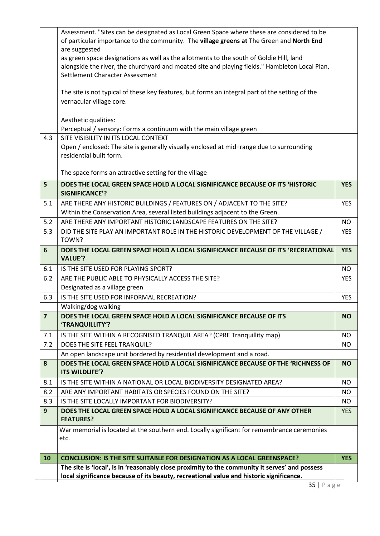| 10             | <b>CONCLUSION: IS THE SITE SUITABLE FOR DESIGNATION AS A LOCAL GREENSPACE?</b>                                              | <b>YES</b> |
|----------------|-----------------------------------------------------------------------------------------------------------------------------|------------|
|                |                                                                                                                             |            |
|                | War memorial is located at the southern end. Locally significant for remembrance ceremonies<br>etc.                         |            |
| 9              | DOES THE LOCAL GREEN SPACE HOLD A LOCAL SIGNIFICANCE BECAUSE OF ANY OTHER<br><b>FEATURES?</b>                               | <b>YES</b> |
| 8.3            | IS THE SITE LOCALLY IMPORTANT FOR BIODIVERSITY?                                                                             | <b>NO</b>  |
| 8.2            | ARE ANY IMPORTANT HABITATS OR SPECIES FOUND ON THE SITE?                                                                    | <b>NO</b>  |
| 8.1            | IS THE SITE WITHIN A NATIONAL OR LOCAL BIODIVERSITY DESIGNATED AREA?                                                        | <b>NO</b>  |
| 8              | DOES THE LOCAL GREEN SPACE HOLD A LOCAL SIGNIFICANCE BECAUSE OF THE 'RICHNESS OF<br>ITS WILDLIFE'?                          | <b>NO</b>  |
|                | An open landscape unit bordered by residential development and a road.                                                      |            |
| 7.2            | DOES THE SITE FEEL TRANQUIL?                                                                                                | <b>NO</b>  |
| 7.1            | IS THE SITE WITHIN A RECOGNISED TRANQUIL AREA? (CPRE Tranquillity map)                                                      | <b>NO</b>  |
| $\overline{7}$ | DOES THE LOCAL GREEN SPACE HOLD A LOCAL SIGNIFICANCE BECAUSE OF ITS<br>'TRANQUILLITY'?                                      | <b>NO</b>  |
|                | Walking/dog walking                                                                                                         |            |
| 6.3            | IS THE SITE USED FOR INFORMAL RECREATION?                                                                                   | <b>YES</b> |
|                | Designated as a village green                                                                                               |            |
| 6.2            | ARE THE PUBLIC ABLE TO PHYSICALLY ACCESS THE SITE?                                                                          | <b>YES</b> |
| 6.1            | <b>VALUE'?</b><br>IS THE SITE USED FOR PLAYING SPORT?                                                                       | <b>NO</b>  |
| 6              | TOWN?<br>DOES THE LOCAL GREEN SPACE HOLD A LOCAL SIGNIFICANCE BECAUSE OF ITS 'RECREATIONAL                                  | <b>YES</b> |
| 5.3            | DID THE SITE PLAY AN IMPORTANT ROLE IN THE HISTORIC DEVELOPMENT OF THE VILLAGE /                                            | <b>YES</b> |
| 5.2            | ARE THERE ANY IMPORTANT HISTORIC LANDSCAPE FEATURES ON THE SITE?                                                            | <b>NO</b>  |
|                | Within the Conservation Area, several listed buildings adjacent to the Green.                                               |            |
| 5.1            | <b>SIGNIFICANCE'?</b><br>ARE THERE ANY HISTORIC BUILDINGS / FEATURES ON / ADJACENT TO THE SITE?                             | <b>YES</b> |
| 5              | DOES THE LOCAL GREEN SPACE HOLD A LOCAL SIGNIFICANCE BECAUSE OF ITS 'HISTORIC                                               | <b>YES</b> |
|                | The space forms an attractive setting for the village                                                                       |            |
|                | Open / enclosed: The site is generally visually enclosed at mid-range due to surrounding<br>residential built form.         |            |
| 4.3            | SITE VISIBILITY IN ITS LOCAL CONTEXT                                                                                        |            |
|                | Aesthetic qualities:<br>Perceptual / sensory: Forms a continuum with the main village green                                 |            |
|                | The site is not typical of these key features, but forms an integral part of the setting of the<br>vernacular village core. |            |
|                | Settlement Character Assessment                                                                                             |            |
|                | alongside the river, the churchyard and moated site and playing fields." Hambleton Local Plan,                              |            |
|                | as green space designations as well as the allotments to the south of Goldie Hill, land                                     |            |
|                | of particular importance to the community. The village greens at The Green and North End<br>are suggested                   |            |
|                |                                                                                                                             |            |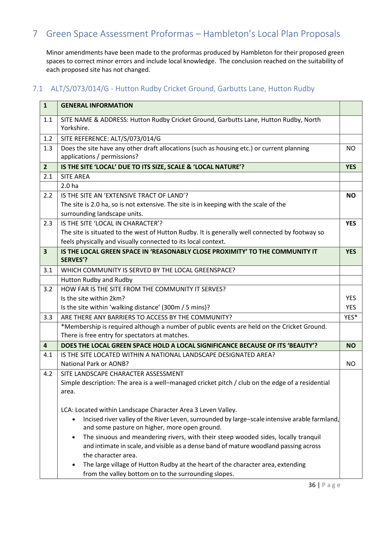# <span id="page-38-0"></span>7 Green Space Assessment Proformas – Hambleton's Local Plan Proposals

Minor amendments have been made to the proformas produced by Hambleton for their proposed green spaces to correct minor errors and include local knowledge. The conclusion reached on the suitability of each proposed site has not changed.

#### <span id="page-38-1"></span>7.1 ALT/S/073/014/G - Hutton Rudby Cricket Ground, Garbutts Lane, Hutton Rudby

| $\mathbf{1}$            | <b>GENERAL INFORMATION</b>                                                                                                                                                 |            |
|-------------------------|----------------------------------------------------------------------------------------------------------------------------------------------------------------------------|------------|
| 1.1                     | SITE NAME & ADDRESS: Hutton Rudby Cricket Ground, Garbutts Lane, Hutton Rudby, North<br>Yorkshire.                                                                         |            |
| 1.2                     | SITE REFERENCE: ALT/S/073/014/G                                                                                                                                            |            |
| 1.3                     | Does the site have any other draft allocations (such as housing etc.) or current planning<br>applications / permissions?                                                   | <b>NO</b>  |
| $\overline{2}$          | IS THE SITE 'LOCAL' DUE TO ITS SIZE, SCALE & 'LOCAL NATURE'?                                                                                                               | <b>YES</b> |
| 2.1                     | <b>SITE AREA</b>                                                                                                                                                           |            |
|                         | 2.0 <sub>ha</sub>                                                                                                                                                          |            |
| 2.2                     | IS THE SITE AN 'EXTENSIVE TRACT OF LAND'?                                                                                                                                  | <b>NO</b>  |
|                         | The site is 2.0 ha, so is not extensive. The site is in keeping with the scale of the                                                                                      |            |
|                         | surrounding landscape units.                                                                                                                                               |            |
| 2.3                     | IS THE SITE 'LOCAL IN CHARACTER'?                                                                                                                                          | <b>YES</b> |
|                         | The site is situated to the west of Hutton Rudby. It is generally well connected by footway so                                                                             |            |
|                         | feels physically and visually connected to its local context.                                                                                                              |            |
| $\overline{\mathbf{3}}$ | IS THE LOCAL GREEN SPACE IN 'REASONABLY CLOSE PROXIMITY' TO THE COMMUNITY IT<br><b>SERVES'?</b>                                                                            | <b>YES</b> |
| 3.1                     | WHICH COMMUNITY IS SERVED BY THE LOCAL GREENSPACE?                                                                                                                         |            |
|                         | Hutton Rudby and Rudby                                                                                                                                                     |            |
| 3.2                     | HOW FAR IS THE SITE FROM THE COMMUNITY IT SERVES?                                                                                                                          |            |
|                         | Is the site within 2km?                                                                                                                                                    | <b>YES</b> |
|                         | Is the site within 'walking distance' (300m / 5 mins)?                                                                                                                     | <b>YES</b> |
| 3.3                     | ARE THERE ANY BARRIERS TO ACCESS BY THE COMMUNITY?                                                                                                                         | YES*       |
|                         | *Membership is required although a number of public events are held on the Cricket Ground.                                                                                 |            |
|                         | There is free entry for spectators at matches.                                                                                                                             |            |
| 4                       | DOES THE LOCAL GREEN SPACE HOLD A LOCAL SIGNIFICANCE BECAUSE OF ITS 'BEAUTY'?                                                                                              | <b>NO</b>  |
| 4.1                     | IS THE SITE LOCATED WITHIN A NATIONAL LANDSCAPE DESIGNATED AREA?                                                                                                           |            |
|                         | <b>National Park or AONB?</b>                                                                                                                                              | <b>NO</b>  |
| 4.2                     | SITE LANDSCAPE CHARACTER ASSESSMENT                                                                                                                                        |            |
|                         | Simple description: The area is a well-managed cricket pitch / club on the edge of a residential                                                                           |            |
|                         | area.                                                                                                                                                                      |            |
|                         |                                                                                                                                                                            |            |
|                         | LCA: Located within Landscape Character Area 3 Leven Valley.<br>Incised river valley of the River Leven, surrounded by large-scale intensive arable farmland,<br>$\bullet$ |            |
|                         | and some pasture on higher, more open ground.                                                                                                                              |            |
|                         | The sinuous and meandering rivers, with their steep wooded sides, locally tranquil                                                                                         |            |
|                         | and intimate in scale, and visible as a dense band of mature woodland passing across                                                                                       |            |
|                         | the character area.                                                                                                                                                        |            |
|                         | The large village of Hutton Rudby at the heart of the character area, extending                                                                                            |            |
|                         | from the valley bottom on to the surrounding slopes.                                                                                                                       |            |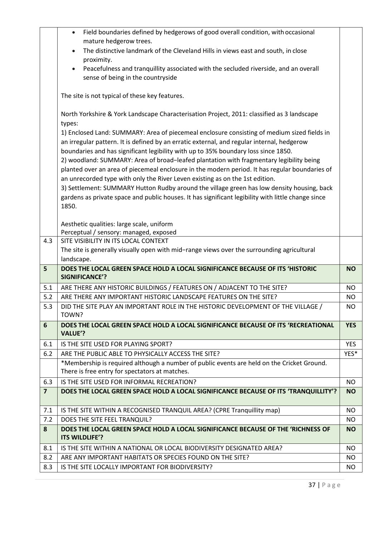|                         | Field boundaries defined by hedgerows of good overall condition, with occasional<br>$\bullet$        |            |
|-------------------------|------------------------------------------------------------------------------------------------------|------------|
|                         | mature hedgerow trees.                                                                               |            |
|                         | The distinctive landmark of the Cleveland Hills in views east and south, in close<br>$\bullet$       |            |
|                         | proximity.                                                                                           |            |
|                         | Peacefulness and tranquillity associated with the secluded riverside, and an overall                 |            |
|                         | sense of being in the countryside                                                                    |            |
|                         | The site is not typical of these key features.                                                       |            |
|                         | North Yorkshire & York Landscape Characterisation Project, 2011: classified as 3 landscape<br>types: |            |
|                         | 1) Enclosed Land: SUMMARY: Area of piecemeal enclosure consisting of medium sized fields in          |            |
|                         | an irregular pattern. It is defined by an erratic external, and regular internal, hedgerow           |            |
|                         | boundaries and has significant legibility with up to 35% boundary loss since 1850.                   |            |
|                         | 2) woodland: SUMMARY: Area of broad-leafed plantation with fragmentary legibility being              |            |
|                         | planted over an area of piecemeal enclosure in the modern period. It has regular boundaries of       |            |
|                         | an unrecorded type with only the River Leven existing as on the 1st edition.                         |            |
|                         | 3) Settlement: SUMMARY Hutton Rudby around the village green has low density housing, back           |            |
|                         | gardens as private space and public houses. It has significant legibility with little change since   |            |
|                         | 1850.                                                                                                |            |
|                         |                                                                                                      |            |
|                         | Aesthetic qualities: large scale, uniform                                                            |            |
| 4.3                     | Perceptual / sensory: managed, exposed<br>SITE VISIBILITY IN ITS LOCAL CONTEXT                       |            |
|                         | The site is generally visually open with mid-range views over the surrounding agricultural           |            |
|                         | landscape.                                                                                           |            |
| 5                       | DOES THE LOCAL GREEN SPACE HOLD A LOCAL SIGNIFICANCE BECAUSE OF ITS 'HISTORIC                        | <b>NO</b>  |
|                         | <b>SIGNIFICANCE'?</b>                                                                                |            |
| 5.1                     | ARE THERE ANY HISTORIC BUILDINGS / FEATURES ON / ADJACENT TO THE SITE?                               | <b>NO</b>  |
| 5.2                     | ARE THERE ANY IMPORTANT HISTORIC LANDSCAPE FEATURES ON THE SITE?                                     | <b>NO</b>  |
| 5.3                     | DID THE SITE PLAY AN IMPORTANT ROLE IN THE HISTORIC DEVELOPMENT OF THE VILLAGE /<br>TOWN?            | NO.        |
| 6                       | DOES THE LOCAL GREEN SPACE HOLD A LOCAL SIGNIFICANCE BECAUSE OF ITS 'RECREATIONAL<br><b>VALUE'?</b>  | <b>YES</b> |
| 6.1                     | IS THE SITE USED FOR PLAYING SPORT?                                                                  | <b>YES</b> |
| 6.2                     | ARE THE PUBLIC ABLE TO PHYSICALLY ACCESS THE SITE?                                                   | YES*       |
|                         | *Membership is required although a number of public events are held on the Cricket Ground.           |            |
|                         | There is free entry for spectators at matches.                                                       |            |
| 6.3                     | IS THE SITE USED FOR INFORMAL RECREATION?                                                            | NO         |
| $\overline{\mathbf{z}}$ | DOES THE LOCAL GREEN SPACE HOLD A LOCAL SIGNIFICANCE BECAUSE OF ITS 'TRANQUILLITY'?                  | <b>NO</b>  |
|                         |                                                                                                      |            |
| 7.1                     | IS THE SITE WITHIN A RECOGNISED TRANQUIL AREA? (CPRE Tranquillity map)                               | NO.        |
| 7.2                     | DOES THE SITE FEEL TRANQUIL?                                                                         | NO         |
| 8                       | DOES THE LOCAL GREEN SPACE HOLD A LOCAL SIGNIFICANCE BECAUSE OF THE 'RICHNESS OF<br>ITS WILDLIFE'?   | <b>NO</b>  |
|                         | IS THE SITE WITHIN A NATIONAL OR LOCAL BIODIVERSITY DESIGNATED AREA?                                 |            |
| 8.1<br>8.2              |                                                                                                      | NO         |
|                         | ARE ANY IMPORTANT HABITATS OR SPECIES FOUND ON THE SITE?                                             | <b>NO</b>  |
| 8.3                     | IS THE SITE LOCALLY IMPORTANT FOR BIODIVERSITY?                                                      | NO.        |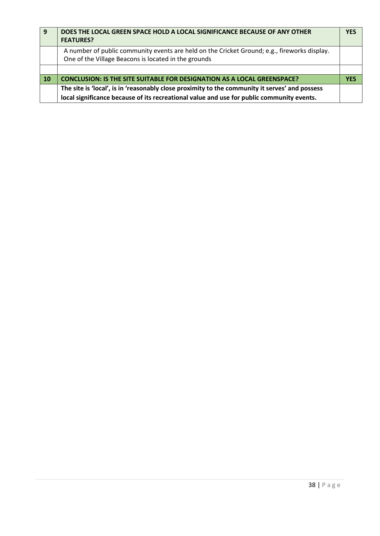| -9        | DOES THE LOCAL GREEN SPACE HOLD A LOCAL SIGNIFICANCE BECAUSE OF ANY OTHER<br><b>FEATURES?</b>                                                        | <b>YES</b> |
|-----------|------------------------------------------------------------------------------------------------------------------------------------------------------|------------|
|           | A number of public community events are held on the Cricket Ground; e.g., fireworks display.<br>One of the Village Beacons is located in the grounds |            |
|           |                                                                                                                                                      |            |
| <b>10</b> | <b>CONCLUSION: IS THE SITE SUITABLE FOR DESIGNATION AS A LOCAL GREENSPACE?</b>                                                                       | <b>YFS</b> |
|           | The site is 'local', is in 'reasonably close proximity to the community it serves' and possess                                                       |            |
|           | local significance because of its recreational value and use for public community events.                                                            |            |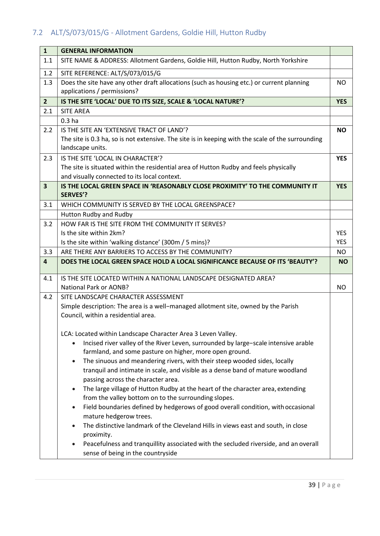# <span id="page-41-0"></span>7.2 ALT/S/073/015/G - Allotment Gardens, Goldie Hill, Hutton Rudby

| $\mathbf{1}$            | <b>GENERAL INFORMATION</b>                                                                                                |            |
|-------------------------|---------------------------------------------------------------------------------------------------------------------------|------------|
| 1.1                     | SITE NAME & ADDRESS: Allotment Gardens, Goldie Hill, Hutton Rudby, North Yorkshire                                        |            |
| 1.2                     | SITE REFERENCE: ALT/S/073/015/G                                                                                           |            |
| 1.3                     | Does the site have any other draft allocations (such as housing etc.) or current planning<br>applications / permissions?  | NO.        |
| 2 <sup>2</sup>          | IS THE SITE 'LOCAL' DUE TO ITS SIZE, SCALE & 'LOCAL NATURE'?                                                              | <b>YES</b> |
| 2.1                     | <b>SITE AREA</b>                                                                                                          |            |
|                         | 0.3 <sub>ha</sub>                                                                                                         |            |
| 2.2                     | IS THE SITE AN 'EXTENSIVE TRACT OF LAND'?                                                                                 | <b>NO</b>  |
|                         | The site is 0.3 ha, so is not extensive. The site is in keeping with the scale of the surrounding                         |            |
|                         | landscape units.                                                                                                          |            |
| 2.3                     | IS THE SITE 'LOCAL IN CHARACTER'?                                                                                         | <b>YES</b> |
|                         | The site is situated within the residential area of Hutton Rudby and feels physically                                     |            |
|                         | and visually connected to its local context.                                                                              |            |
| $\overline{\mathbf{3}}$ | IS THE LOCAL GREEN SPACE IN 'REASONABLY CLOSE PROXIMITY' TO THE COMMUNITY IT                                              | <b>YES</b> |
|                         | <b>SERVES'?</b>                                                                                                           |            |
| 3.1                     | WHICH COMMUNITY IS SERVED BY THE LOCAL GREENSPACE?                                                                        |            |
|                         | Hutton Rudby and Rudby                                                                                                    |            |
| 3.2                     | HOW FAR IS THE SITE FROM THE COMMUNITY IT SERVES?                                                                         |            |
|                         | Is the site within 2km?                                                                                                   | <b>YES</b> |
|                         | Is the site within 'walking distance' (300m / 5 mins)?                                                                    | <b>YES</b> |
| 3.3                     | ARE THERE ANY BARRIERS TO ACCESS BY THE COMMUNITY?                                                                        | NO         |
| $\overline{\mathbf{4}}$ | DOES THE LOCAL GREEN SPACE HOLD A LOCAL SIGNIFICANCE BECAUSE OF ITS 'BEAUTY'?                                             | <b>NO</b>  |
| 4.1                     | IS THE SITE LOCATED WITHIN A NATIONAL LANDSCAPE DESIGNATED AREA?                                                          |            |
|                         | National Park or AONB?                                                                                                    | <b>NO</b>  |
| 4.2                     | SITE LANDSCAPE CHARACTER ASSESSMENT                                                                                       |            |
|                         | Simple description: The area is a well-managed allotment site, owned by the Parish                                        |            |
|                         | Council, within a residential area.                                                                                       |            |
|                         | LCA: Located within Landscape Character Area 3 Leven Valley.                                                              |            |
|                         | Incised river valley of the River Leven, surrounded by large-scale intensive arable                                       |            |
|                         | farmland, and some pasture on higher, more open ground.                                                                   |            |
|                         | The sinuous and meandering rivers, with their steep wooded sides, locally<br>$\bullet$                                    |            |
|                         | tranquil and intimate in scale, and visible as a dense band of mature woodland                                            |            |
|                         |                                                                                                                           |            |
|                         | passing across the character area.                                                                                        |            |
|                         | The large village of Hutton Rudby at the heart of the character area, extending                                           |            |
|                         | from the valley bottom on to the surrounding slopes.                                                                      |            |
|                         | Field boundaries defined by hedgerows of good overall condition, with occasional<br>$\bullet$                             |            |
|                         | mature hedgerow trees.                                                                                                    |            |
|                         | The distinctive landmark of the Cleveland Hills in views east and south, in close<br>$\bullet$<br>proximity.              |            |
|                         | Peacefulness and tranquillity associated with the secluded riverside, and an overall<br>sense of being in the countryside |            |
|                         |                                                                                                                           |            |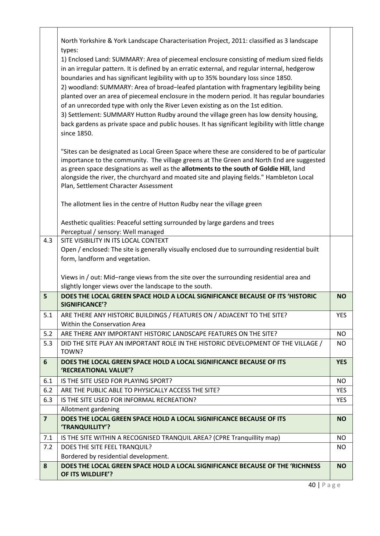|                | North Yorkshire & York Landscape Characterisation Project, 2011: classified as 3 landscape                                                                                                                                                                                                                                                                                      |            |
|----------------|---------------------------------------------------------------------------------------------------------------------------------------------------------------------------------------------------------------------------------------------------------------------------------------------------------------------------------------------------------------------------------|------------|
|                | types:<br>1) Enclosed Land: SUMMARY: Area of piecemeal enclosure consisting of medium sized fields<br>in an irregular pattern. It is defined by an erratic external, and regular internal, hedgerow                                                                                                                                                                             |            |
|                | boundaries and has significant legibility with up to 35% boundary loss since 1850.<br>2) woodland: SUMMARY: Area of broad-leafed plantation with fragmentary legibility being<br>planted over an area of piecemeal enclosure in the modern period. It has regular boundaries<br>of an unrecorded type with only the River Leven existing as on the 1st edition.                 |            |
|                | 3) Settlement: SUMMARY Hutton Rudby around the village green has low density housing,<br>back gardens as private space and public houses. It has significant legibility with little change<br>since 1850.                                                                                                                                                                       |            |
|                | "Sites can be designated as Local Green Space where these are considered to be of particular<br>importance to the community. The village greens at The Green and North End are suggested<br>as green space designations as well as the allotments to the south of Goldie Hill, land<br>alongside the river, the churchyard and moated site and playing fields." Hambleton Local |            |
|                | Plan, Settlement Character Assessment                                                                                                                                                                                                                                                                                                                                           |            |
|                | The allotment lies in the centre of Hutton Rudby near the village green                                                                                                                                                                                                                                                                                                         |            |
|                | Aesthetic qualities: Peaceful setting surrounded by large gardens and trees                                                                                                                                                                                                                                                                                                     |            |
|                | Perceptual / sensory: Well managed                                                                                                                                                                                                                                                                                                                                              |            |
| 4.3            | SITE VISIBILITY IN ITS LOCAL CONTEXT                                                                                                                                                                                                                                                                                                                                            |            |
|                | Open / enclosed: The site is generally visually enclosed due to surrounding residential built                                                                                                                                                                                                                                                                                   |            |
|                | form, landform and vegetation.                                                                                                                                                                                                                                                                                                                                                  |            |
|                | Views in / out: Mid-range views from the site over the surrounding residential area and                                                                                                                                                                                                                                                                                         |            |
|                | slightly longer views over the landscape to the south.                                                                                                                                                                                                                                                                                                                          |            |
| 5              | DOES THE LOCAL GREEN SPACE HOLD A LOCAL SIGNIFICANCE BECAUSE OF ITS 'HISTORIC<br><b>SIGNIFICANCE'?</b>                                                                                                                                                                                                                                                                          | <b>NO</b>  |
| 5.1            | ARE THERE ANY HISTORIC BUILDINGS / FEATURES ON / ADJACENT TO THE SITE?<br>Within the Conservation Area                                                                                                                                                                                                                                                                          | <b>YES</b> |
| 5.2            | ARE THERE ANY IMPORTANT HISTORIC LANDSCAPE FEATURES ON THE SITE?                                                                                                                                                                                                                                                                                                                | <b>NO</b>  |
| 5.3            | DID THE SITE PLAY AN IMPORTANT ROLE IN THE HISTORIC DEVELOPMENT OF THE VILLAGE /<br>TOWN?                                                                                                                                                                                                                                                                                       | NO.        |
| 6              | DOES THE LOCAL GREEN SPACE HOLD A LOCAL SIGNIFICANCE BECAUSE OF ITS                                                                                                                                                                                                                                                                                                             | <b>YES</b> |
|                | 'RECREATIONAL VALUE'?                                                                                                                                                                                                                                                                                                                                                           |            |
| 6.1            | IS THE SITE USED FOR PLAYING SPORT?                                                                                                                                                                                                                                                                                                                                             | NO.        |
| 6.2            | ARE THE PUBLIC ABLE TO PHYSICALLY ACCESS THE SITE?                                                                                                                                                                                                                                                                                                                              | <b>YES</b> |
| 6.3            | IS THE SITE USED FOR INFORMAL RECREATION?                                                                                                                                                                                                                                                                                                                                       | <b>YES</b> |
|                | Allotment gardening                                                                                                                                                                                                                                                                                                                                                             |            |
| $\overline{7}$ | DOES THE LOCAL GREEN SPACE HOLD A LOCAL SIGNIFICANCE BECAUSE OF ITS<br>'TRANQUILLITY'?                                                                                                                                                                                                                                                                                          | <b>NO</b>  |
| 7.1            | IS THE SITE WITHIN A RECOGNISED TRANQUIL AREA? (CPRE Tranquillity map)                                                                                                                                                                                                                                                                                                          | NO.        |
| 7.2            | DOES THE SITE FEEL TRANQUIL?                                                                                                                                                                                                                                                                                                                                                    | NO.        |
|                | Bordered by residential development.                                                                                                                                                                                                                                                                                                                                            |            |
| 8              | DOES THE LOCAL GREEN SPACE HOLD A LOCAL SIGNIFICANCE BECAUSE OF THE 'RICHNESS'<br>OF ITS WILDLIFE'?                                                                                                                                                                                                                                                                             | <b>NO</b>  |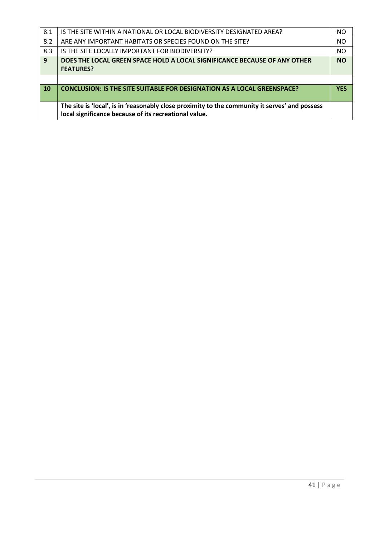| 8.1 | IS THE SITE WITHIN A NATIONAL OR LOCAL BIODIVERSITY DESIGNATED AREA?                                                                                    | NO.        |
|-----|---------------------------------------------------------------------------------------------------------------------------------------------------------|------------|
| 8.2 | ARE ANY IMPORTANT HABITATS OR SPECIES FOUND ON THE SITE?                                                                                                | <b>NO</b>  |
| 8.3 | IS THE SITE LOCALLY IMPORTANT FOR BIODIVERSITY?                                                                                                         | <b>NO</b>  |
| 9   | DOES THE LOCAL GREEN SPACE HOLD A LOCAL SIGNIFICANCE BECAUSE OF ANY OTHER<br><b>FEATURES?</b>                                                           | <b>NO</b>  |
|     |                                                                                                                                                         |            |
| 10  | <b>CONCLUSION: IS THE SITE SUITABLE FOR DESIGNATION AS A LOCAL GREENSPACE?</b>                                                                          | <b>YFS</b> |
|     | The site is 'local', is in 'reasonably close proximity to the community it serves' and possess<br>local significance because of its recreational value. |            |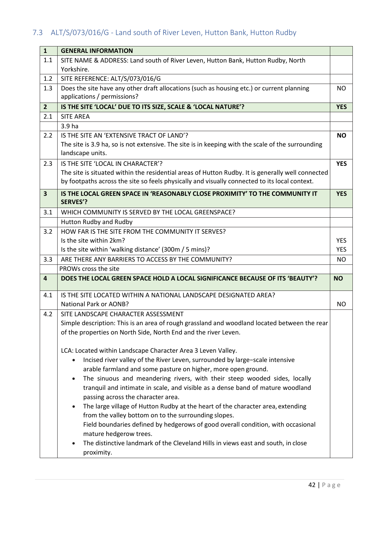# <span id="page-44-0"></span>7.3 ALT/S/073/016/G - Land south of River Leven, Hutton Bank, Hutton Rudby

| $\mathbf{1}$            | <b>GENERAL INFORMATION</b>                                                                                                                                                                         |                          |
|-------------------------|----------------------------------------------------------------------------------------------------------------------------------------------------------------------------------------------------|--------------------------|
| 1.1                     | SITE NAME & ADDRESS: Land south of River Leven, Hutton Bank, Hutton Rudby, North                                                                                                                   |                          |
|                         | Yorkshire.                                                                                                                                                                                         |                          |
| 1.2                     | SITE REFERENCE: ALT/S/073/016/G                                                                                                                                                                    |                          |
| 1.3                     | Does the site have any other draft allocations (such as housing etc.) or current planning                                                                                                          | NO.                      |
|                         | applications / permissions?                                                                                                                                                                        |                          |
| $\overline{2}$          | IS THE SITE 'LOCAL' DUE TO ITS SIZE, SCALE & 'LOCAL NATURE'?                                                                                                                                       | <b>YES</b>               |
| 2.1                     | <b>SITE AREA</b>                                                                                                                                                                                   |                          |
|                         | 3.9 ha                                                                                                                                                                                             |                          |
| 2.2                     | IS THE SITE AN 'EXTENSIVE TRACT OF LAND'?                                                                                                                                                          | <b>NO</b>                |
|                         | The site is 3.9 ha, so is not extensive. The site is in keeping with the scale of the surrounding                                                                                                  |                          |
|                         | landscape units.                                                                                                                                                                                   |                          |
| 2.3                     | IS THE SITE 'LOCAL IN CHARACTER'?                                                                                                                                                                  | <b>YES</b>               |
|                         | The site is situated within the residential areas of Hutton Rudby. It is generally well connected<br>by footpaths across the site so feels physically and visually connected to its local context. |                          |
|                         |                                                                                                                                                                                                    |                          |
| $\overline{\mathbf{3}}$ | IS THE LOCAL GREEN SPACE IN 'REASONABLY CLOSE PROXIMITY' TO THE COMMUNITY IT<br><b>SERVES'?</b>                                                                                                    | <b>YES</b>               |
|                         |                                                                                                                                                                                                    |                          |
| 3.1                     | WHICH COMMUNITY IS SERVED BY THE LOCAL GREENSPACE?                                                                                                                                                 |                          |
|                         | Hutton Rudby and Rudby                                                                                                                                                                             |                          |
| 3.2                     | HOW FAR IS THE SITE FROM THE COMMUNITY IT SERVES?                                                                                                                                                  |                          |
|                         | Is the site within 2km?                                                                                                                                                                            | <b>YES</b><br><b>YES</b> |
|                         | Is the site within 'walking distance' (300m / 5 mins)?                                                                                                                                             |                          |
|                         |                                                                                                                                                                                                    |                          |
| 3.3                     | ARE THERE ANY BARRIERS TO ACCESS BY THE COMMUNITY?                                                                                                                                                 | NO                       |
|                         | PROWs cross the site                                                                                                                                                                               |                          |
| $\overline{4}$          | DOES THE LOCAL GREEN SPACE HOLD A LOCAL SIGNIFICANCE BECAUSE OF ITS 'BEAUTY'?                                                                                                                      | <b>NO</b>                |
| 4.1                     | IS THE SITE LOCATED WITHIN A NATIONAL LANDSCAPE DESIGNATED AREA?                                                                                                                                   |                          |
|                         | <b>National Park or AONB?</b>                                                                                                                                                                      | <b>NO</b>                |
| 4.2                     | SITE LANDSCAPE CHARACTER ASSESSMENT                                                                                                                                                                |                          |
|                         | Simple description: This is an area of rough grassland and woodland located between the rear                                                                                                       |                          |
|                         | of the properties on North Side, North End and the river Leven.                                                                                                                                    |                          |
|                         |                                                                                                                                                                                                    |                          |
|                         | LCA: Located within Landscape Character Area 3 Leven Valley.                                                                                                                                       |                          |
|                         | Incised river valley of the River Leven, surrounded by large-scale intensive<br>$\bullet$                                                                                                          |                          |
|                         | arable farmland and some pasture on higher, more open ground.                                                                                                                                      |                          |
|                         | The sinuous and meandering rivers, with their steep wooded sides, locally<br>$\bullet$                                                                                                             |                          |
|                         | tranquil and intimate in scale, and visible as a dense band of mature woodland                                                                                                                     |                          |
|                         | passing across the character area.                                                                                                                                                                 |                          |
|                         | The large village of Hutton Rudby at the heart of the character area, extending                                                                                                                    |                          |
|                         | from the valley bottom on to the surrounding slopes.                                                                                                                                               |                          |
|                         | Field boundaries defined by hedgerows of good overall condition, with occasional                                                                                                                   |                          |
|                         | mature hedgerow trees.                                                                                                                                                                             |                          |
|                         | The distinctive landmark of the Cleveland Hills in views east and south, in close<br>proximity.                                                                                                    |                          |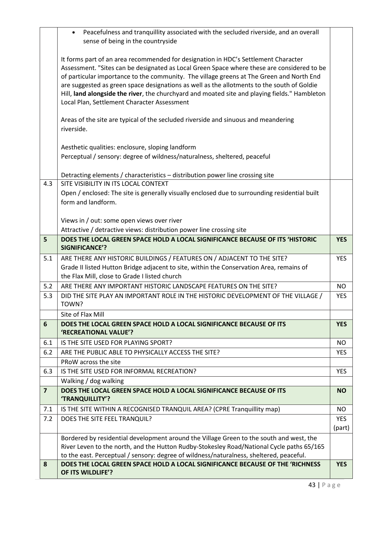|                         | Peacefulness and tranquillity associated with the secluded riverside, and an overall<br>$\bullet$<br>sense of being in the countryside                                                                                                                                                                                                                                                                                                                                                                                     |            |
|-------------------------|----------------------------------------------------------------------------------------------------------------------------------------------------------------------------------------------------------------------------------------------------------------------------------------------------------------------------------------------------------------------------------------------------------------------------------------------------------------------------------------------------------------------------|------------|
|                         | It forms part of an area recommended for designation in HDC's Settlement Character<br>Assessment. "Sites can be designated as Local Green Space where these are considered to be<br>of particular importance to the community. The village greens at The Green and North End<br>are suggested as green space designations as well as the allotments to the south of Goldie<br>Hill, land alongside the river, the churchyard and moated site and playing fields." Hambleton<br>Local Plan, Settlement Character Assessment |            |
|                         | Areas of the site are typical of the secluded riverside and sinuous and meandering<br>riverside.                                                                                                                                                                                                                                                                                                                                                                                                                           |            |
|                         | Aesthetic qualities: enclosure, sloping landform                                                                                                                                                                                                                                                                                                                                                                                                                                                                           |            |
|                         | Perceptual / sensory: degree of wildness/naturalness, sheltered, peaceful                                                                                                                                                                                                                                                                                                                                                                                                                                                  |            |
|                         | Detracting elements / characteristics - distribution power line crossing site                                                                                                                                                                                                                                                                                                                                                                                                                                              |            |
| 4.3                     | SITE VISIBILITY IN ITS LOCAL CONTEXT                                                                                                                                                                                                                                                                                                                                                                                                                                                                                       |            |
|                         | Open / enclosed: The site is generally visually enclosed due to surrounding residential built                                                                                                                                                                                                                                                                                                                                                                                                                              |            |
|                         | form and landform.                                                                                                                                                                                                                                                                                                                                                                                                                                                                                                         |            |
|                         | Views in / out: some open views over river                                                                                                                                                                                                                                                                                                                                                                                                                                                                                 |            |
|                         | Attractive / detractive views: distribution power line crossing site                                                                                                                                                                                                                                                                                                                                                                                                                                                       |            |
| 5                       | DOES THE LOCAL GREEN SPACE HOLD A LOCAL SIGNIFICANCE BECAUSE OF ITS 'HISTORIC<br><b>SIGNIFICANCE'?</b>                                                                                                                                                                                                                                                                                                                                                                                                                     | <b>YES</b> |
| 5.1                     | ARE THERE ANY HISTORIC BUILDINGS / FEATURES ON / ADJACENT TO THE SITE?                                                                                                                                                                                                                                                                                                                                                                                                                                                     | <b>YES</b> |
|                         | Grade II listed Hutton Bridge adjacent to site, within the Conservation Area, remains of                                                                                                                                                                                                                                                                                                                                                                                                                                   |            |
|                         | the Flax Mill, close to Grade I listed church                                                                                                                                                                                                                                                                                                                                                                                                                                                                              |            |
| 5.2                     | ARE THERE ANY IMPORTANT HISTORIC LANDSCAPE FEATURES ON THE SITE?                                                                                                                                                                                                                                                                                                                                                                                                                                                           | NO         |
| 5.3                     | DID THE SITE PLAY AN IMPORTANT ROLE IN THE HISTORIC DEVELOPMENT OF THE VILLAGE /<br>TOWN?                                                                                                                                                                                                                                                                                                                                                                                                                                  | <b>YES</b> |
|                         | Site of Flax Mill                                                                                                                                                                                                                                                                                                                                                                                                                                                                                                          |            |
| 6                       | DOES THE LOCAL GREEN SPACE HOLD A LOCAL SIGNIFICANCE BECAUSE OF ITS<br>'RECREATIONAL VALUE'?                                                                                                                                                                                                                                                                                                                                                                                                                               | <b>YES</b> |
| 6.1                     | IS THE SITE USED FOR PLAYING SPORT?                                                                                                                                                                                                                                                                                                                                                                                                                                                                                        | <b>NO</b>  |
| 6.2                     | ARE THE PUBLIC ABLE TO PHYSICALLY ACCESS THE SITE?                                                                                                                                                                                                                                                                                                                                                                                                                                                                         | <b>YES</b> |
|                         | PRoW across the site                                                                                                                                                                                                                                                                                                                                                                                                                                                                                                       |            |
| 6.3                     | IS THE SITE USED FOR INFORMAL RECREATION?                                                                                                                                                                                                                                                                                                                                                                                                                                                                                  | <b>YES</b> |
|                         | Walking / dog walking                                                                                                                                                                                                                                                                                                                                                                                                                                                                                                      |            |
| $\overline{\mathbf{z}}$ | DOES THE LOCAL GREEN SPACE HOLD A LOCAL SIGNIFICANCE BECAUSE OF ITS<br>'TRANQUILLITY'?                                                                                                                                                                                                                                                                                                                                                                                                                                     | <b>NO</b>  |
| 7.1                     | IS THE SITE WITHIN A RECOGNISED TRANQUIL AREA? (CPRE Tranquillity map)                                                                                                                                                                                                                                                                                                                                                                                                                                                     | NO         |
| 7.2                     | DOES THE SITE FEEL TRANQUIL?                                                                                                                                                                                                                                                                                                                                                                                                                                                                                               | <b>YES</b> |
|                         |                                                                                                                                                                                                                                                                                                                                                                                                                                                                                                                            | (part)     |
|                         | Bordered by residential development around the Village Green to the south and west, the<br>River Leven to the north, and the Hutton Rudby-Stokesley Road/National Cycle paths 65/165                                                                                                                                                                                                                                                                                                                                       |            |
|                         | to the east. Perceptual / sensory: degree of wildness/naturalness, sheltered, peaceful.                                                                                                                                                                                                                                                                                                                                                                                                                                    |            |
| 8                       | DOES THE LOCAL GREEN SPACE HOLD A LOCAL SIGNIFICANCE BECAUSE OF THE 'RICHNESS                                                                                                                                                                                                                                                                                                                                                                                                                                              | <b>YES</b> |
|                         | OF ITS WILDLIFE'?                                                                                                                                                                                                                                                                                                                                                                                                                                                                                                          |            |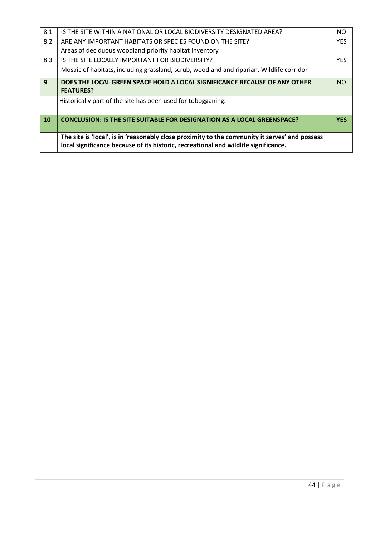| 8.1       | IS THE SITE WITHIN A NATIONAL OR LOCAL BIODIVERSITY DESIGNATED AREA?                                                                                                                  | NO.        |
|-----------|---------------------------------------------------------------------------------------------------------------------------------------------------------------------------------------|------------|
| 8.2       | ARE ANY IMPORTANT HABITATS OR SPECIES FOUND ON THE SITE?                                                                                                                              | <b>YES</b> |
|           | Areas of deciduous woodland priority habitat inventory                                                                                                                                |            |
| 8.3       | IS THE SITE LOCALLY IMPORTANT FOR BIODIVERSITY?                                                                                                                                       | <b>YES</b> |
|           | Mosaic of habitats, including grassland, scrub, woodland and riparian. Wildlife corridor                                                                                              |            |
| 9         | DOES THE LOCAL GREEN SPACE HOLD A LOCAL SIGNIFICANCE BECAUSE OF ANY OTHER<br><b>FEATURES?</b>                                                                                         | <b>NO</b>  |
|           | Historically part of the site has been used for tobogganing.                                                                                                                          |            |
|           |                                                                                                                                                                                       |            |
| <b>10</b> | <b>CONCLUSION: IS THE SITE SUITABLE FOR DESIGNATION AS A LOCAL GREENSPACE?</b>                                                                                                        | <b>YES</b> |
|           | The site is 'local', is in 'reasonably close proximity to the community it serves' and possess<br>local significance because of its historic, recreational and wildlife significance. |            |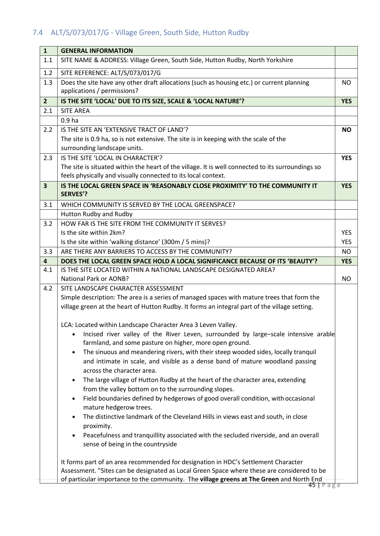# <span id="page-47-0"></span>7.4 ALT/S/073/017/G - Village Green, South Side, Hutton Rudby

| $\mathbf{1}$            | <b>GENERAL INFORMATION</b>                                                                                                                                         |            |
|-------------------------|--------------------------------------------------------------------------------------------------------------------------------------------------------------------|------------|
| 1.1                     | SITE NAME & ADDRESS: Village Green, South Side, Hutton Rudby, North Yorkshire                                                                                      |            |
| 1.2                     | SITE REFERENCE: ALT/S/073/017/G                                                                                                                                    |            |
| 1.3                     | Does the site have any other draft allocations (such as housing etc.) or current planning<br>applications / permissions?                                           | NO.        |
| 2 <sup>2</sup>          | IS THE SITE 'LOCAL' DUE TO ITS SIZE, SCALE & 'LOCAL NATURE'?                                                                                                       | <b>YES</b> |
| 2.1                     | <b>SITE AREA</b>                                                                                                                                                   |            |
|                         | 0.9 <sub>ha</sub>                                                                                                                                                  |            |
| 2.2                     | IS THE SITE AN 'EXTENSIVE TRACT OF LAND'?                                                                                                                          | <b>NO</b>  |
|                         | The site is 0.9 ha, so is not extensive. The site is in keeping with the scale of the                                                                              |            |
|                         | surrounding landscape units.                                                                                                                                       |            |
| 2.3                     | IS THE SITE 'LOCAL IN CHARACTER'?                                                                                                                                  | <b>YES</b> |
|                         | The site is situated within the heart of the village. It is well connected to its surroundings so<br>feels physically and visually connected to its local context. |            |
| $\overline{\mathbf{3}}$ | IS THE LOCAL GREEN SPACE IN 'REASONABLY CLOSE PROXIMITY' TO THE COMMUNITY IT                                                                                       | <b>YES</b> |
|                         | <b>SERVES'?</b>                                                                                                                                                    |            |
| 3.1                     | WHICH COMMUNITY IS SERVED BY THE LOCAL GREENSPACE?                                                                                                                 |            |
|                         | Hutton Rudby and Rudby                                                                                                                                             |            |
| 3.2                     | HOW FAR IS THE SITE FROM THE COMMUNITY IT SERVES?                                                                                                                  |            |
|                         | Is the site within 2km?                                                                                                                                            | <b>YES</b> |
|                         | Is the site within 'walking distance' (300m / 5 mins)?                                                                                                             | <b>YES</b> |
| 3.3                     | ARE THERE ANY BARRIERS TO ACCESS BY THE COMMUNITY?                                                                                                                 | <b>NO</b>  |
| 4                       | DOES THE LOCAL GREEN SPACE HOLD A LOCAL SIGNIFICANCE BECAUSE OF ITS 'BEAUTY'?                                                                                      | <b>YES</b> |
| 4.1                     | IS THE SITE LOCATED WITHIN A NATIONAL LANDSCAPE DESIGNATED AREA?<br><b>National Park or AONB?</b>                                                                  | NO.        |
| 4.2                     | SITE LANDSCAPE CHARACTER ASSESSMENT                                                                                                                                |            |
|                         | Simple description: The area is a series of managed spaces with mature trees that form the                                                                         |            |
|                         | village green at the heart of Hutton Rudby. It forms an integral part of the village setting.                                                                      |            |
|                         | LCA: Located within Landscape Character Area 3 Leven Valley.                                                                                                       |            |
|                         | Incised river valley of the River Leven, surrounded by large-scale intensive arable<br>farmland, and some pasture on higher, more open ground.                     |            |
|                         | The sinuous and meandering rivers, with their steep wooded sides, locally tranquil<br>$\bullet$                                                                    |            |
|                         | and intimate in scale, and visible as a dense band of mature woodland passing                                                                                      |            |
|                         | across the character area.                                                                                                                                         |            |
|                         | The large village of Hutton Rudby at the heart of the character area, extending<br>$\bullet$<br>from the valley bottom on to the surrounding slopes.               |            |
|                         | Field boundaries defined by hedgerows of good overall condition, with occasional                                                                                   |            |
|                         | mature hedgerow trees.                                                                                                                                             |            |
|                         | The distinctive landmark of the Cleveland Hills in views east and south, in close                                                                                  |            |
|                         | proximity.                                                                                                                                                         |            |
|                         | Peacefulness and tranquillity associated with the secluded riverside, and an overall                                                                               |            |
|                         | sense of being in the countryside                                                                                                                                  |            |
|                         | It forms part of an area recommended for designation in HDC's Settlement Character                                                                                 |            |
|                         | Assessment. "Sites can be designated as Local Green Space where these are considered to be                                                                         |            |
|                         | of particular importance to the community. The village greens at The Green and North End<br>45   Page                                                              |            |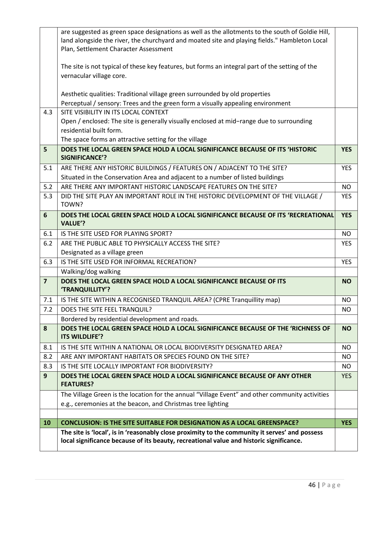|                         | are suggested as green space designations as well as the allotments to the south of Goldie Hill,<br>land alongside the river, the churchyard and moated site and playing fields." Hambleton Local<br>Plan, Settlement Character Assessment |            |
|-------------------------|--------------------------------------------------------------------------------------------------------------------------------------------------------------------------------------------------------------------------------------------|------------|
|                         |                                                                                                                                                                                                                                            |            |
|                         | The site is not typical of these key features, but forms an integral part of the setting of the<br>vernacular village core.                                                                                                                |            |
|                         | Aesthetic qualities: Traditional village green surrounded by old properties                                                                                                                                                                |            |
|                         | Perceptual / sensory: Trees and the green form a visually appealing environment                                                                                                                                                            |            |
| 4.3                     | SITE VISIBILITY IN ITS LOCAL CONTEXT                                                                                                                                                                                                       |            |
|                         | Open / enclosed: The site is generally visually enclosed at mid-range due to surrounding<br>residential built form.                                                                                                                        |            |
|                         | The space forms an attractive setting for the village                                                                                                                                                                                      |            |
| 5                       | DOES THE LOCAL GREEN SPACE HOLD A LOCAL SIGNIFICANCE BECAUSE OF ITS 'HISTORIC                                                                                                                                                              | <b>YES</b> |
|                         | SIGNIFICANCE'?                                                                                                                                                                                                                             |            |
| 5.1                     | ARE THERE ANY HISTORIC BUILDINGS / FEATURES ON / ADJACENT TO THE SITE?                                                                                                                                                                     | <b>YES</b> |
|                         | Situated in the Conservation Area and adjacent to a number of listed buildings                                                                                                                                                             |            |
| 5.2                     | ARE THERE ANY IMPORTANT HISTORIC LANDSCAPE FEATURES ON THE SITE?                                                                                                                                                                           | NO         |
| 5.3                     | DID THE SITE PLAY AN IMPORTANT ROLE IN THE HISTORIC DEVELOPMENT OF THE VILLAGE /                                                                                                                                                           | <b>YES</b> |
|                         | TOWN?                                                                                                                                                                                                                                      |            |
| 6                       | DOES THE LOCAL GREEN SPACE HOLD A LOCAL SIGNIFICANCE BECAUSE OF ITS 'RECREATIONAL<br><b>VALUE'?</b>                                                                                                                                        | <b>YES</b> |
| 6.1                     | IS THE SITE USED FOR PLAYING SPORT?                                                                                                                                                                                                        | <b>NO</b>  |
| 6.2                     | ARE THE PUBLIC ABLE TO PHYSICALLY ACCESS THE SITE?                                                                                                                                                                                         | <b>YES</b> |
|                         | Designated as a village green                                                                                                                                                                                                              |            |
| 6.3                     | IS THE SITE USED FOR INFORMAL RECREATION?                                                                                                                                                                                                  | <b>YES</b> |
|                         | Walking/dog walking                                                                                                                                                                                                                        |            |
| $\overline{\mathbf{z}}$ | DOES THE LOCAL GREEN SPACE HOLD A LOCAL SIGNIFICANCE BECAUSE OF ITS<br>'TRANQUILLITY'?                                                                                                                                                     | <b>NO</b>  |
| 7.1                     | IS THE SITE WITHIN A RECOGNISED TRANQUIL AREA? (CPRE Tranquillity map)                                                                                                                                                                     | <b>NO</b>  |
| 7.2                     | DOES THE SITE FEEL TRANQUIL?                                                                                                                                                                                                               | NO.        |
|                         | Bordered by residential development and roads.                                                                                                                                                                                             |            |
| 8                       | DOES THE LOCAL GREEN SPACE HOLD A LOCAL SIGNIFICANCE BECAUSE OF THE 'RICHNESS OF<br>ITS WILDLIFE'?                                                                                                                                         | <b>NO</b>  |
| 8.1                     | IS THE SITE WITHIN A NATIONAL OR LOCAL BIODIVERSITY DESIGNATED AREA?                                                                                                                                                                       | <b>NO</b>  |
| 8.2                     | ARE ANY IMPORTANT HABITATS OR SPECIES FOUND ON THE SITE?                                                                                                                                                                                   | NO.        |
| 8.3                     | IS THE SITE LOCALLY IMPORTANT FOR BIODIVERSITY?                                                                                                                                                                                            | NO.        |
| 9                       | DOES THE LOCAL GREEN SPACE HOLD A LOCAL SIGNIFICANCE BECAUSE OF ANY OTHER<br><b>FEATURES?</b>                                                                                                                                              | <b>YES</b> |
|                         | The Village Green is the location for the annual "Village Event" and other community activities                                                                                                                                            |            |
|                         | e.g., ceremonies at the beacon, and Christmas tree lighting                                                                                                                                                                                |            |
|                         |                                                                                                                                                                                                                                            |            |
| 10                      | <b>CONCLUSION: IS THE SITE SUITABLE FOR DESIGNATION AS A LOCAL GREENSPACE?</b>                                                                                                                                                             | <b>YES</b> |
|                         | The site is 'local', is in 'reasonably close proximity to the community it serves' and possess<br>local significance because of its beauty, recreational value and historic significance.                                                  |            |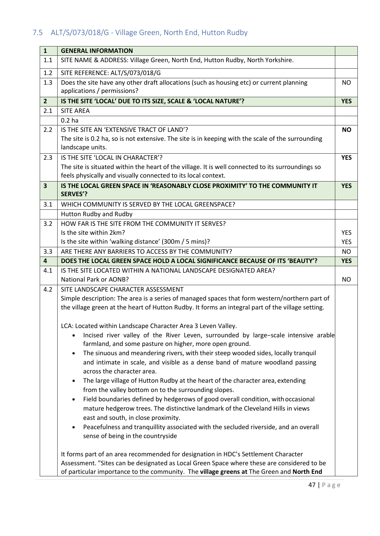# <span id="page-49-0"></span>7.5 ALT/S/073/018/G - Village Green, North End, Hutton Rudby

| $\mathbf{1}$            | <b>GENERAL INFORMATION</b>                                                                                              |            |
|-------------------------|-------------------------------------------------------------------------------------------------------------------------|------------|
| 1.1                     | SITE NAME & ADDRESS: Village Green, North End, Hutton Rudby, North Yorkshire.                                           |            |
| 1.2                     | SITE REFERENCE: ALT/S/073/018/G                                                                                         |            |
| 1.3                     | Does the site have any other draft allocations (such as housing etc) or current planning<br>applications / permissions? | NO         |
| 2 <sup>2</sup>          | IS THE SITE 'LOCAL' DUE TO ITS SIZE, SCALE & 'LOCAL NATURE'?                                                            | <b>YES</b> |
| 2.1                     | <b>SITE AREA</b>                                                                                                        |            |
|                         | 0.2 <sub>ha</sub>                                                                                                       |            |
| 2.2                     | IS THE SITE AN 'EXTENSIVE TRACT OF LAND'?                                                                               | <b>NO</b>  |
|                         | The site is 0.2 ha, so is not extensive. The site is in keeping with the scale of the surrounding<br>landscape units.   |            |
| 2.3                     | IS THE SITE 'LOCAL IN CHARACTER'?                                                                                       | <b>YES</b> |
|                         | The site is situated within the heart of the village. It is well connected to its surroundings so                       |            |
|                         | feels physically and visually connected to its local context.                                                           |            |
| $\overline{\mathbf{3}}$ | IS THE LOCAL GREEN SPACE IN 'REASONABLY CLOSE PROXIMITY' TO THE COMMUNITY IT<br><b>SERVES'?</b>                         | <b>YES</b> |
| 3.1                     | WHICH COMMUNITY IS SERVED BY THE LOCAL GREENSPACE?                                                                      |            |
|                         | Hutton Rudby and Rudby                                                                                                  |            |
| 3.2                     | HOW FAR IS THE SITE FROM THE COMMUNITY IT SERVES?                                                                       |            |
|                         | Is the site within 2km?                                                                                                 | <b>YES</b> |
|                         | Is the site within 'walking distance' (300m / 5 mins)?                                                                  | <b>YES</b> |
| 3.3                     | ARE THERE ANY BARRIERS TO ACCESS BY THE COMMUNITY?                                                                      | <b>NO</b>  |
| $\overline{4}$          | DOES THE LOCAL GREEN SPACE HOLD A LOCAL SIGNIFICANCE BECAUSE OF ITS 'BEAUTY'?                                           | <b>YES</b> |
| 4.1                     | IS THE SITE LOCATED WITHIN A NATIONAL LANDSCAPE DESIGNATED AREA?                                                        |            |
|                         | <b>National Park or AONB?</b>                                                                                           | <b>NO</b>  |
| 4.2                     | SITE LANDSCAPE CHARACTER ASSESSMENT                                                                                     |            |
|                         | Simple description: The area is a series of managed spaces that form western/northern part of                           |            |
|                         | the village green at the heart of Hutton Rudby. It forms an integral part of the village setting.                       |            |
|                         | LCA: Located within Landscape Character Area 3 Leven Valley.                                                            |            |
|                         | Incised river valley of the River Leven, surrounded by large-scale intensive arable                                     |            |
|                         | farmland, and some pasture on higher, more open ground.                                                                 |            |
|                         | The sinuous and meandering rivers, with their steep wooded sides, locally tranquil<br>$\bullet$                         |            |
|                         | and intimate in scale, and visible as a dense band of mature woodland passing<br>across the character area.             |            |
|                         | The large village of Hutton Rudby at the heart of the character area, extending                                         |            |
|                         | from the valley bottom on to the surrounding slopes.                                                                    |            |
|                         | Field boundaries defined by hedgerows of good overall condition, with occasional<br>$\bullet$                           |            |
|                         | mature hedgerow trees. The distinctive landmark of the Cleveland Hills in views                                         |            |
|                         | east and south, in close proximity.                                                                                     |            |
|                         | Peacefulness and tranquillity associated with the secluded riverside, and an overall                                    |            |
|                         | sense of being in the countryside                                                                                       |            |
|                         | It forms part of an area recommended for designation in HDC's Settlement Character                                      |            |
|                         | Assessment. "Sites can be designated as Local Green Space where these are considered to be                              |            |
|                         | of particular importance to the community. The village greens at The Green and North End                                |            |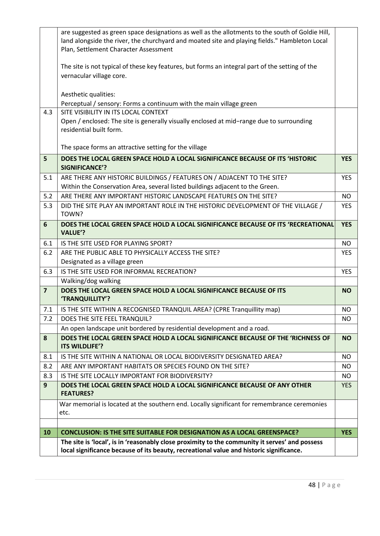|                | are suggested as green space designations as well as the allotments to the south of Goldie Hill,    |            |
|----------------|-----------------------------------------------------------------------------------------------------|------------|
|                | land alongside the river, the churchyard and moated site and playing fields." Hambleton Local       |            |
|                | Plan, Settlement Character Assessment                                                               |            |
|                |                                                                                                     |            |
|                | The site is not typical of these key features, but forms an integral part of the setting of the     |            |
|                | vernacular village core.                                                                            |            |
|                | Aesthetic qualities:                                                                                |            |
|                | Perceptual / sensory: Forms a continuum with the main village green                                 |            |
| 4.3            | SITE VISIBILITY IN ITS LOCAL CONTEXT                                                                |            |
|                | Open / enclosed: The site is generally visually enclosed at mid-range due to surrounding            |            |
|                | residential built form.                                                                             |            |
|                |                                                                                                     |            |
|                | The space forms an attractive setting for the village                                               |            |
| 5              | DOES THE LOCAL GREEN SPACE HOLD A LOCAL SIGNIFICANCE BECAUSE OF ITS 'HISTORIC                       | <b>YES</b> |
|                | <b>SIGNIFICANCE'?</b>                                                                               |            |
| 5.1            | ARE THERE ANY HISTORIC BUILDINGS / FEATURES ON / ADJACENT TO THE SITE?                              | <b>YES</b> |
|                | Within the Conservation Area, several listed buildings adjacent to the Green.                       |            |
| 5.2            | ARE THERE ANY IMPORTANT HISTORIC LANDSCAPE FEATURES ON THE SITE?                                    | <b>NO</b>  |
| 5.3            | DID THE SITE PLAY AN IMPORTANT ROLE IN THE HISTORIC DEVELOPMENT OF THE VILLAGE /                    | <b>YES</b> |
|                | TOWN?                                                                                               |            |
| 6              | DOES THE LOCAL GREEN SPACE HOLD A LOCAL SIGNIFICANCE BECAUSE OF ITS 'RECREATIONAL                   | <b>YES</b> |
|                | <b>VALUE'?</b>                                                                                      |            |
| 6.1            | IS THE SITE USED FOR PLAYING SPORT?                                                                 | <b>NO</b>  |
| 6.2            | ARE THE PUBLIC ABLE TO PHYSICALLY ACCESS THE SITE?                                                  | <b>YES</b> |
|                | Designated as a village green                                                                       |            |
| 6.3            | IS THE SITE USED FOR INFORMAL RECREATION?                                                           | <b>YES</b> |
|                | Walking/dog walking                                                                                 |            |
| $\overline{7}$ | DOES THE LOCAL GREEN SPACE HOLD A LOCAL SIGNIFICANCE BECAUSE OF ITS<br>'TRANQUILLITY'?              | <b>NO</b>  |
| 7.1            | IS THE SITE WITHIN A RECOGNISED TRANQUIL AREA? (CPRE Tranquillity map)                              | <b>NO</b>  |
| 7.2            | DOES THE SITE FEEL TRANQUIL?                                                                        | NO.        |
|                | An open landscape unit bordered by residential development and a road.                              |            |
| 8              | DOES THE LOCAL GREEN SPACE HOLD A LOCAL SIGNIFICANCE BECAUSE OF THE 'RICHNESS OF                    | <b>NO</b>  |
|                | ITS WILDLIFE'?                                                                                      |            |
| 8.1            | IS THE SITE WITHIN A NATIONAL OR LOCAL BIODIVERSITY DESIGNATED AREA?                                | NO.        |
| 8.2            | ARE ANY IMPORTANT HABITATS OR SPECIES FOUND ON THE SITE?                                            | <b>NO</b>  |
| 8.3            | IS THE SITE LOCALLY IMPORTANT FOR BIODIVERSITY?                                                     | NO.        |
| 9              | DOES THE LOCAL GREEN SPACE HOLD A LOCAL SIGNIFICANCE BECAUSE OF ANY OTHER<br><b>FEATURES?</b>       | <b>YES</b> |
|                | War memorial is located at the southern end. Locally significant for remembrance ceremonies<br>etc. |            |
|                |                                                                                                     |            |
| 10             | <b>CONCLUSION: IS THE SITE SUITABLE FOR DESIGNATION AS A LOCAL GREENSPACE?</b>                      | <b>YES</b> |
|                | The site is 'local', is in 'reasonably close proximity to the community it serves' and possess      |            |
|                | local significance because of its beauty, recreational value and historic significance.             |            |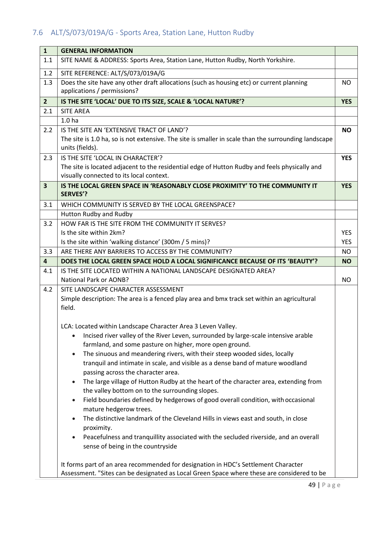# <span id="page-51-0"></span>7.6 ALT/S/073/019A/G - Sports Area, Station Lane, Hutton Rudby

| $\mathbf{1}$            | <b>GENERAL INFORMATION</b>                                                                                              |            |
|-------------------------|-------------------------------------------------------------------------------------------------------------------------|------------|
| 1.1                     | SITE NAME & ADDRESS: Sports Area, Station Lane, Hutton Rudby, North Yorkshire.                                          |            |
| 1.2                     | SITE REFERENCE: ALT/S/073/019A/G                                                                                        |            |
| 1.3                     | Does the site have any other draft allocations (such as housing etc) or current planning<br>applications / permissions? | <b>NO</b>  |
| 2 <sup>2</sup>          | IS THE SITE 'LOCAL' DUE TO ITS SIZE, SCALE & 'LOCAL NATURE'?                                                            | <b>YES</b> |
| 2.1                     | <b>SITE AREA</b>                                                                                                        |            |
|                         | 1.0 <sub>ha</sub>                                                                                                       |            |
| 2.2                     | IS THE SITE AN 'EXTENSIVE TRACT OF LAND'?                                                                               | <b>NO</b>  |
|                         | The site is 1.0 ha, so is not extensive. The site is smaller in scale than the surrounding landscape<br>units (fields). |            |
| 2.3                     | IS THE SITE 'LOCAL IN CHARACTER'?                                                                                       | <b>YES</b> |
|                         | The site is located adjacent to the residential edge of Hutton Rudby and feels physically and                           |            |
|                         | visually connected to its local context.                                                                                |            |
| $\overline{\mathbf{3}}$ | IS THE LOCAL GREEN SPACE IN 'REASONABLY CLOSE PROXIMITY' TO THE COMMUNITY IT<br><b>SERVES'?</b>                         | <b>YES</b> |
| 3.1                     | WHICH COMMUNITY IS SERVED BY THE LOCAL GREENSPACE?                                                                      |            |
|                         | Hutton Rudby and Rudby                                                                                                  |            |
| 3.2                     | HOW FAR IS THE SITE FROM THE COMMUNITY IT SERVES?                                                                       |            |
|                         | Is the site within 2km?                                                                                                 | <b>YES</b> |
|                         | Is the site within 'walking distance' (300m / 5 mins)?                                                                  | <b>YES</b> |
| 3.3                     | ARE THERE ANY BARRIERS TO ACCESS BY THE COMMUNITY?                                                                      | NO         |
| $\overline{\mathbf{4}}$ | DOES THE LOCAL GREEN SPACE HOLD A LOCAL SIGNIFICANCE BECAUSE OF ITS 'BEAUTY'?                                           | <b>NO</b>  |
| 4.1                     | IS THE SITE LOCATED WITHIN A NATIONAL LANDSCAPE DESIGNATED AREA?                                                        |            |
|                         | <b>National Park or AONB?</b>                                                                                           | <b>NO</b>  |
| 4.2                     | SITE LANDSCAPE CHARACTER ASSESSMENT                                                                                     |            |
|                         | Simple description: The area is a fenced play area and bmx track set within an agricultural                             |            |
|                         | field.                                                                                                                  |            |
|                         | LCA: Located within Landscape Character Area 3 Leven Valley.                                                            |            |
|                         | Incised river valley of the River Leven, surrounded by large-scale intensive arable                                     |            |
|                         | farmland, and some pasture on higher, more open ground.                                                                 |            |
|                         | The sinuous and meandering rivers, with their steep wooded sides, locally<br>$\bullet$                                  |            |
|                         | tranquil and intimate in scale, and visible as a dense band of mature woodland                                          |            |
|                         | passing across the character area.                                                                                      |            |
|                         | The large village of Hutton Rudby at the heart of the character area, extending from                                    |            |
|                         | the valley bottom on to the surrounding slopes.                                                                         |            |
|                         | Field boundaries defined by hedgerows of good overall condition, with occasional<br>mature hedgerow trees.              |            |
|                         | The distinctive landmark of the Cleveland Hills in views east and south, in close<br>$\bullet$                          |            |
|                         | proximity.                                                                                                              |            |
|                         | Peacefulness and tranquillity associated with the secluded riverside, and an overall<br>$\bullet$                       |            |
|                         | sense of being in the countryside                                                                                       |            |
|                         |                                                                                                                         |            |
|                         | It forms part of an area recommended for designation in HDC's Settlement Character                                      |            |
|                         | Assessment. "Sites can be designated as Local Green Space where these are considered to be                              |            |
|                         |                                                                                                                         |            |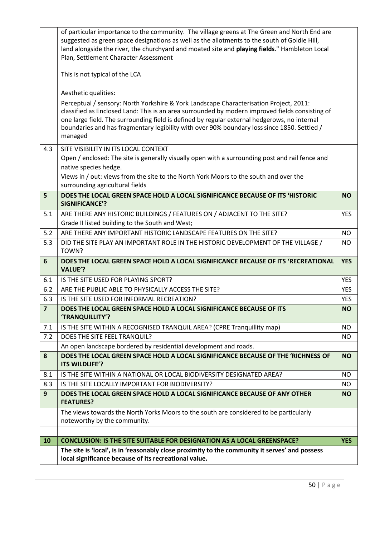|                | of particular importance to the community. The village greens at The Green and North End are                                                                                                                                                                                                                                                                                                        |            |
|----------------|-----------------------------------------------------------------------------------------------------------------------------------------------------------------------------------------------------------------------------------------------------------------------------------------------------------------------------------------------------------------------------------------------------|------------|
|                | suggested as green space designations as well as the allotments to the south of Goldie Hill,                                                                                                                                                                                                                                                                                                        |            |
|                | land alongside the river, the churchyard and moated site and playing fields." Hambleton Local                                                                                                                                                                                                                                                                                                       |            |
|                | Plan, Settlement Character Assessment                                                                                                                                                                                                                                                                                                                                                               |            |
|                | This is not typical of the LCA                                                                                                                                                                                                                                                                                                                                                                      |            |
|                | Aesthetic qualities:                                                                                                                                                                                                                                                                                                                                                                                |            |
|                | Perceptual / sensory: North Yorkshire & York Landscape Characterisation Project, 2011:<br>classified as Enclosed Land: This is an area surrounded by modern improved fields consisting of<br>one large field. The surrounding field is defined by regular external hedgerows, no internal<br>boundaries and has fragmentary legibility with over 90% boundary loss since 1850. Settled /<br>managed |            |
| 4.3            | SITE VISIBILITY IN ITS LOCAL CONTEXT                                                                                                                                                                                                                                                                                                                                                                |            |
|                | Open / enclosed: The site is generally visually open with a surrounding post and rail fence and                                                                                                                                                                                                                                                                                                     |            |
|                | native species hedge.                                                                                                                                                                                                                                                                                                                                                                               |            |
|                | Views in / out: views from the site to the North York Moors to the south and over the                                                                                                                                                                                                                                                                                                               |            |
|                | surrounding agricultural fields                                                                                                                                                                                                                                                                                                                                                                     |            |
| 5              | DOES THE LOCAL GREEN SPACE HOLD A LOCAL SIGNIFICANCE BECAUSE OF ITS 'HISTORIC<br>SIGNIFICANCE'?                                                                                                                                                                                                                                                                                                     | <b>NO</b>  |
| 5.1            | ARE THERE ANY HISTORIC BUILDINGS / FEATURES ON / ADJACENT TO THE SITE?                                                                                                                                                                                                                                                                                                                              | <b>YES</b> |
|                | Grade II listed building to the South and West;                                                                                                                                                                                                                                                                                                                                                     |            |
| 5.2            | ARE THERE ANY IMPORTANT HISTORIC LANDSCAPE FEATURES ON THE SITE?                                                                                                                                                                                                                                                                                                                                    | NO         |
| 5.3            | DID THE SITE PLAY AN IMPORTANT ROLE IN THE HISTORIC DEVELOPMENT OF THE VILLAGE /                                                                                                                                                                                                                                                                                                                    | NO         |
|                | TOWN?                                                                                                                                                                                                                                                                                                                                                                                               |            |
| 6              | DOES THE LOCAL GREEN SPACE HOLD A LOCAL SIGNIFICANCE BECAUSE OF ITS 'RECREATIONAL                                                                                                                                                                                                                                                                                                                   | <b>YES</b> |
|                | <b>VALUE'?</b>                                                                                                                                                                                                                                                                                                                                                                                      |            |
| 6.1            | IS THE SITE USED FOR PLAYING SPORT?                                                                                                                                                                                                                                                                                                                                                                 | <b>YES</b> |
| 6.2            | ARE THE PUBLIC ABLE TO PHYSICALLY ACCESS THE SITE?                                                                                                                                                                                                                                                                                                                                                  | <b>YES</b> |
| 6.3            | IS THE SITE USED FOR INFORMAL RECREATION?                                                                                                                                                                                                                                                                                                                                                           | <b>YES</b> |
| $\overline{7}$ | DOES THE LOCAL GREEN SPACE HOLD A LOCAL SIGNIFICANCE BECAUSE OF ITS<br>'TRANQUILLITY'?                                                                                                                                                                                                                                                                                                              | <b>NO</b>  |
| 7.1            | IS THE SITE WITHIN A RECOGNISED TRANQUIL AREA? (CPRE Tranquillity map)                                                                                                                                                                                                                                                                                                                              | <b>NO</b>  |
| 7.2            | DOES THE SITE FEEL TRANQUIL?                                                                                                                                                                                                                                                                                                                                                                        | <b>NO</b>  |
|                | An open landscape bordered by residential development and roads.                                                                                                                                                                                                                                                                                                                                    |            |
| 8              | DOES THE LOCAL GREEN SPACE HOLD A LOCAL SIGNIFICANCE BECAUSE OF THE 'RICHNESS OF<br><b>ITS WILDLIFE'?</b>                                                                                                                                                                                                                                                                                           | <b>NO</b>  |
| 8.1            | IS THE SITE WITHIN A NATIONAL OR LOCAL BIODIVERSITY DESIGNATED AREA?                                                                                                                                                                                                                                                                                                                                | NO.        |
| 8.3            | IS THE SITE LOCALLY IMPORTANT FOR BIODIVERSITY?                                                                                                                                                                                                                                                                                                                                                     | <b>NO</b>  |
| 9              | DOES THE LOCAL GREEN SPACE HOLD A LOCAL SIGNIFICANCE BECAUSE OF ANY OTHER<br><b>FEATURES?</b>                                                                                                                                                                                                                                                                                                       | <b>NO</b>  |
|                | The views towards the North Yorks Moors to the south are considered to be particularly<br>noteworthy by the community.                                                                                                                                                                                                                                                                              |            |
|                |                                                                                                                                                                                                                                                                                                                                                                                                     |            |
| 10             | <b>CONCLUSION: IS THE SITE SUITABLE FOR DESIGNATION AS A LOCAL GREENSPACE?</b>                                                                                                                                                                                                                                                                                                                      | <b>YES</b> |
|                | The site is 'local', is in 'reasonably close proximity to the community it serves' and possess<br>local significance because of its recreational value.                                                                                                                                                                                                                                             |            |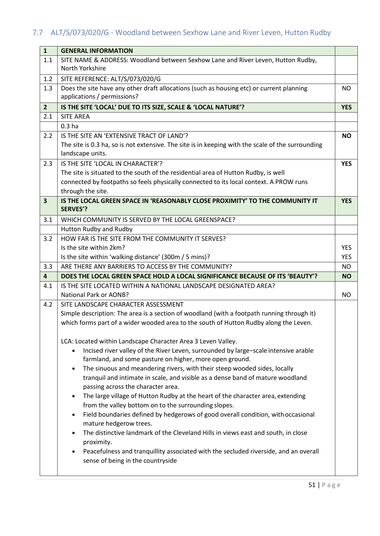# <span id="page-53-0"></span>7.7 ALT/S/073/020/G - Woodland between Sexhow Lane and River Leven, Hutton Rudby

| $\mathbf{1}$            | <b>GENERAL INFORMATION</b>                                                                                                                                                   |            |
|-------------------------|------------------------------------------------------------------------------------------------------------------------------------------------------------------------------|------------|
| 1.1                     | SITE NAME & ADDRESS: Woodland between Sexhow Lane and River Leven, Hutton Rudby,                                                                                             |            |
|                         | North Yorkshire                                                                                                                                                              |            |
| 1.2                     | SITE REFERENCE: ALT/S/073/020/G                                                                                                                                              |            |
| 1.3                     | Does the site have any other draft allocations (such as housing etc) or current planning                                                                                     | NO         |
|                         | applications / permissions?                                                                                                                                                  |            |
| $\overline{2}$          | IS THE SITE 'LOCAL' DUE TO ITS SIZE, SCALE & 'LOCAL NATURE'?                                                                                                                 | <b>YES</b> |
| 2.1                     | <b>SITE AREA</b>                                                                                                                                                             |            |
|                         | 0.3 <sub>ha</sub>                                                                                                                                                            |            |
| 2.2                     | IS THE SITE AN 'EXTENSIVE TRACT OF LAND'?                                                                                                                                    | <b>NO</b>  |
|                         | The site is 0.3 ha, so is not extensive. The site is in keeping with the scale of the surrounding                                                                            |            |
|                         | landscape units.                                                                                                                                                             |            |
| 2.3                     | IS THE SITE 'LOCAL IN CHARACTER'?                                                                                                                                            | <b>YES</b> |
|                         | The site is situated to the south of the residential area of Hutton Rudby, is well<br>connected by footpaths so feels physically connected to its local context. A PROW runs |            |
|                         | through the site.                                                                                                                                                            |            |
| $\overline{\mathbf{3}}$ | IS THE LOCAL GREEN SPACE IN 'REASONABLY CLOSE PROXIMITY' TO THE COMMUNITY IT                                                                                                 | <b>YES</b> |
|                         | <b>SERVES'?</b>                                                                                                                                                              |            |
| 3.1                     | WHICH COMMUNITY IS SERVED BY THE LOCAL GREENSPACE?                                                                                                                           |            |
|                         | Hutton Rudby and Rudby                                                                                                                                                       |            |
| 3.2                     | HOW FAR IS THE SITE FROM THE COMMUNITY IT SERVES?                                                                                                                            |            |
|                         | Is the site within 2km?                                                                                                                                                      | <b>YES</b> |
|                         | Is the site within 'walking distance' (300m / 5 mins)?                                                                                                                       | <b>YES</b> |
| 3.3                     | ARE THERE ANY BARRIERS TO ACCESS BY THE COMMUNITY?                                                                                                                           | <b>NO</b>  |
| $\overline{\mathbf{4}}$ | DOES THE LOCAL GREEN SPACE HOLD A LOCAL SIGNIFICANCE BECAUSE OF ITS 'BEAUTY'?                                                                                                | <b>NO</b>  |
| 4.1                     | IS THE SITE LOCATED WITHIN A NATIONAL LANDSCAPE DESIGNATED AREA?                                                                                                             |            |
|                         | <b>National Park or AONB?</b>                                                                                                                                                | NO.        |
| 4.2                     | SITE LANDSCAPE CHARACTER ASSESSMENT                                                                                                                                          |            |
|                         | Simple description: The area is a section of woodland (with a footpath running through it)                                                                                   |            |
|                         | which forms part of a wider wooded area to the south of Hutton Rudby along the Leven.                                                                                        |            |
|                         | LCA: Located within Landscape Character Area 3 Leven Valley.                                                                                                                 |            |
|                         | Incised river valley of the River Leven, surrounded by large-scale intensive arable                                                                                          |            |
|                         | farmland, and some pasture on higher, more open ground.                                                                                                                      |            |
|                         | The sinuous and meandering rivers, with their steep wooded sides, locally<br>$\bullet$                                                                                       |            |
|                         | tranquil and intimate in scale, and visible as a dense band of mature woodland                                                                                               |            |
|                         | passing across the character area.                                                                                                                                           |            |
|                         | The large village of Hutton Rudby at the heart of the character area, extending<br>$\bullet$                                                                                 |            |
|                         | from the valley bottom on to the surrounding slopes.                                                                                                                         |            |
|                         | Field boundaries defined by hedgerows of good overall condition, with occasional<br>$\bullet$                                                                                |            |
|                         | mature hedgerow trees.                                                                                                                                                       |            |
|                         | The distinctive landmark of the Cleveland Hills in views east and south, in close                                                                                            |            |
|                         | proximity.                                                                                                                                                                   |            |
|                         | Peacefulness and tranquillity associated with the secluded riverside, and an overall<br>$\bullet$<br>sense of being in the countryside                                       |            |
|                         |                                                                                                                                                                              |            |
|                         |                                                                                                                                                                              |            |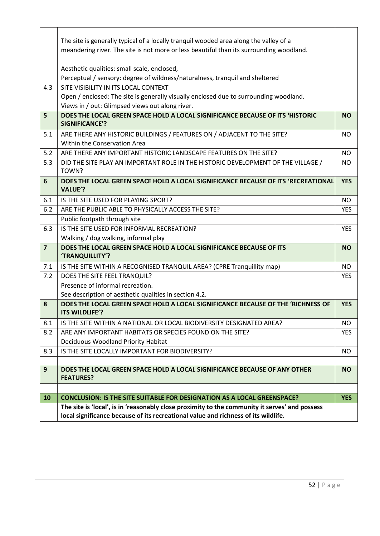|                | The site is generally typical of a locally tranquil wooded area along the valley of a                                                                                                |            |
|----------------|--------------------------------------------------------------------------------------------------------------------------------------------------------------------------------------|------------|
|                | meandering river. The site is not more or less beautiful than its surrounding woodland.                                                                                              |            |
|                | Aesthetic qualities: small scale, enclosed,                                                                                                                                          |            |
|                | Perceptual / sensory: degree of wildness/naturalness, tranquil and sheltered                                                                                                         |            |
| 4.3            | SITE VISIBILITY IN ITS LOCAL CONTEXT                                                                                                                                                 |            |
|                | Open / enclosed: The site is generally visually enclosed due to surrounding woodland.                                                                                                |            |
|                | Views in / out: Glimpsed views out along river.                                                                                                                                      |            |
| 5              | DOES THE LOCAL GREEN SPACE HOLD A LOCAL SIGNIFICANCE BECAUSE OF ITS 'HISTORIC<br><b>SIGNIFICANCE'?</b>                                                                               | <b>NO</b>  |
| 5.1            | ARE THERE ANY HISTORIC BUILDINGS / FEATURES ON / ADJACENT TO THE SITE?<br>Within the Conservation Area                                                                               | NO.        |
| 5.2            | ARE THERE ANY IMPORTANT HISTORIC LANDSCAPE FEATURES ON THE SITE?                                                                                                                     | <b>NO</b>  |
| 5.3            | DID THE SITE PLAY AN IMPORTANT ROLE IN THE HISTORIC DEVELOPMENT OF THE VILLAGE /<br>TOWN?                                                                                            | <b>NO</b>  |
| 6              | DOES THE LOCAL GREEN SPACE HOLD A LOCAL SIGNIFICANCE BECAUSE OF ITS 'RECREATIONAL<br><b>VALUE'?</b>                                                                                  | <b>YES</b> |
| 6.1            | IS THE SITE USED FOR PLAYING SPORT?                                                                                                                                                  | <b>NO</b>  |
| 6.2            | ARE THE PUBLIC ABLE TO PHYSICALLY ACCESS THE SITE?                                                                                                                                   | <b>YES</b> |
|                | Public footpath through site                                                                                                                                                         |            |
| 6.3            | IS THE SITE USED FOR INFORMAL RECREATION?                                                                                                                                            | <b>YES</b> |
|                | Walking / dog walking, informal play                                                                                                                                                 |            |
| $\overline{7}$ | DOES THE LOCAL GREEN SPACE HOLD A LOCAL SIGNIFICANCE BECAUSE OF ITS<br>'TRANQUILLITY'?                                                                                               | <b>NO</b>  |
| 7.1            | IS THE SITE WITHIN A RECOGNISED TRANQUIL AREA? (CPRE Tranquillity map)                                                                                                               | <b>NO</b>  |
| 7.2            | DOES THE SITE FEEL TRANQUIL?                                                                                                                                                         | <b>YES</b> |
|                | Presence of informal recreation.                                                                                                                                                     |            |
|                | See description of aesthetic qualities in section 4.2.                                                                                                                               |            |
| 8              | DOES THE LOCAL GREEN SPACE HOLD A LOCAL SIGNIFICANCE BECAUSE OF THE 'RICHNESS OF<br>ITS WILDLIFE'?                                                                                   | <b>YES</b> |
| 8.1            | IS THE SITE WITHIN A NATIONAL OR LOCAL BIODIVERSITY DESIGNATED AREA?                                                                                                                 | <b>NO</b>  |
| 8.2            | ARE ANY IMPORTANT HABITATS OR SPECIES FOUND ON THE SITE?                                                                                                                             | <b>YES</b> |
|                | Deciduous Woodland Priority Habitat                                                                                                                                                  |            |
| 8.3            | IS THE SITE LOCALLY IMPORTANT FOR BIODIVERSITY?                                                                                                                                      | <b>NO</b>  |
| 9              | DOES THE LOCAL GREEN SPACE HOLD A LOCAL SIGNIFICANCE BECAUSE OF ANY OTHER                                                                                                            | <b>NO</b>  |
|                | <b>FEATURES?</b>                                                                                                                                                                     |            |
|                |                                                                                                                                                                                      |            |
| 10             | <b>CONCLUSION: IS THE SITE SUITABLE FOR DESIGNATION AS A LOCAL GREENSPACE?</b>                                                                                                       | <b>YES</b> |
|                | The site is 'local', is in 'reasonably close proximity to the community it serves' and possess<br>local significance because of its recreational value and richness of its wildlife. |            |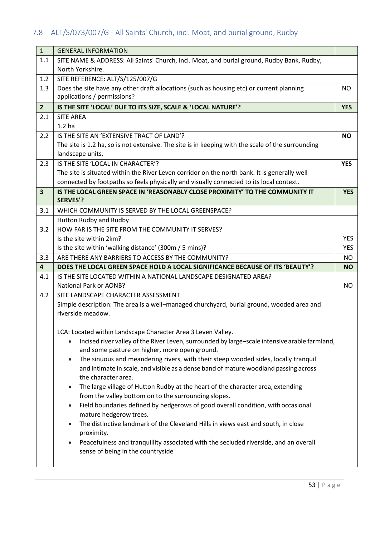# <span id="page-55-0"></span>7.8 ALT/S/073/007/G - All Saints' Church, incl. Moat, and burial ground, Rudby

| $\mathbf{1}$            | <b>GENERAL INFORMATION</b>                                                                                                                     |            |
|-------------------------|------------------------------------------------------------------------------------------------------------------------------------------------|------------|
| 1.1                     | SITE NAME & ADDRESS: All Saints' Church, incl. Moat, and burial ground, Rudby Bank, Rudby,                                                     |            |
|                         | North Yorkshire.                                                                                                                               |            |
| 1.2                     | SITE REFERENCE: ALT/S/125/007/G                                                                                                                |            |
| 1.3                     | Does the site have any other draft allocations (such as housing etc) or current planning                                                       | NO.        |
|                         | applications / permissions?                                                                                                                    |            |
| $\overline{2}$          | IS THE SITE 'LOCAL' DUE TO ITS SIZE, SCALE & 'LOCAL NATURE'?                                                                                   | <b>YES</b> |
| 2.1                     | <b>SITE AREA</b>                                                                                                                               |            |
|                         | 1.2 <sub>ha</sub>                                                                                                                              |            |
| 2.2                     | IS THE SITE AN 'EXTENSIVE TRACT OF LAND'?                                                                                                      | <b>NO</b>  |
|                         | The site is 1.2 ha, so is not extensive. The site is in keeping with the scale of the surrounding                                              |            |
|                         | landscape units.                                                                                                                               |            |
| 2.3                     | IS THE SITE 'LOCAL IN CHARACTER'?                                                                                                              | <b>YES</b> |
|                         | The site is situated within the River Leven corridor on the north bank. It is generally well                                                   |            |
|                         | connected by footpaths so feels physically and visually connected to its local context.                                                        |            |
| $\overline{\mathbf{3}}$ | IS THE LOCAL GREEN SPACE IN 'REASONABLY CLOSE PROXIMITY' TO THE COMMUNITY IT<br><b>SERVES'?</b>                                                | <b>YES</b> |
| 3.1                     | WHICH COMMUNITY IS SERVED BY THE LOCAL GREENSPACE?                                                                                             |            |
|                         | Hutton Rudby and Rudby                                                                                                                         |            |
| 3.2                     | HOW FAR IS THE SITE FROM THE COMMUNITY IT SERVES?                                                                                              |            |
|                         | Is the site within 2km?                                                                                                                        | <b>YES</b> |
|                         | Is the site within 'walking distance' (300m / 5 mins)?                                                                                         | <b>YES</b> |
| 3.3                     | ARE THERE ANY BARRIERS TO ACCESS BY THE COMMUNITY?                                                                                             | NO.        |
| $\overline{\mathbf{4}}$ | DOES THE LOCAL GREEN SPACE HOLD A LOCAL SIGNIFICANCE BECAUSE OF ITS 'BEAUTY'?                                                                  | <b>NO</b>  |
| 4.1                     | IS THE SITE LOCATED WITHIN A NATIONAL LANDSCAPE DESIGNATED AREA?                                                                               |            |
|                         | <b>National Park or AONB?</b>                                                                                                                  | NO.        |
| 4.2                     | SITE LANDSCAPE CHARACTER ASSESSMENT                                                                                                            |            |
|                         | Simple description: The area is a well-managed churchyard, burial ground, wooded area and                                                      |            |
|                         | riverside meadow.                                                                                                                              |            |
|                         | LCA: Located within Landscape Character Area 3 Leven Valley.                                                                                   |            |
|                         | Incised river valley of the River Leven, surrounded by large-scale intensive arable farmland,<br>and some pasture on higher, more open ground. |            |
|                         | The sinuous and meandering rivers, with their steep wooded sides, locally tranquil                                                             |            |
|                         | and intimate in scale, and visible as a dense band of mature woodland passing across                                                           |            |
|                         | the character area.                                                                                                                            |            |
|                         | The large village of Hutton Rudby at the heart of the character area, extending                                                                |            |
|                         | from the valley bottom on to the surrounding slopes.                                                                                           |            |
|                         | Field boundaries defined by hedgerows of good overall condition, with occasional<br>mature hedgerow trees.                                     |            |
|                         | The distinctive landmark of the Cleveland Hills in views east and south, in close<br>proximity.                                                |            |
|                         |                                                                                                                                                |            |
|                         | Peacefulness and tranquillity associated with the secluded riverside, and an overall                                                           |            |
|                         | sense of being in the countryside                                                                                                              |            |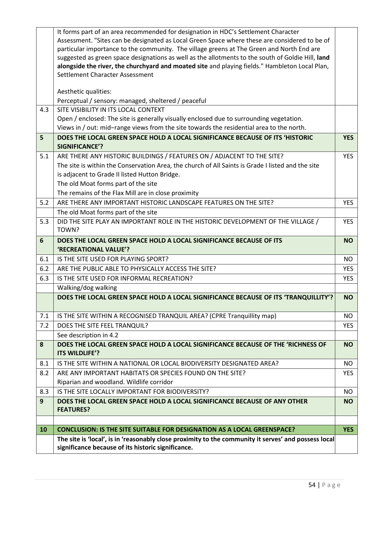|     | It forms part of an area recommended for designation in HDC's Settlement Character                   |            |
|-----|------------------------------------------------------------------------------------------------------|------------|
|     | Assessment. "Sites can be designated as Local Green Space where these are considered to be of        |            |
|     | particular importance to the community. The village greens at The Green and North End are            |            |
|     | suggested as green space designations as well as the allotments to the south of Goldie Hill, land    |            |
|     | alongside the river, the churchyard and moated site and playing fields." Hambleton Local Plan,       |            |
|     | Settlement Character Assessment                                                                      |            |
|     | Aesthetic qualities:                                                                                 |            |
|     | Perceptual / sensory: managed, sheltered / peaceful                                                  |            |
| 4.3 | SITE VISIBILITY IN ITS LOCAL CONTEXT                                                                 |            |
|     | Open / enclosed: The site is generally visually enclosed due to surrounding vegetation.              |            |
|     | Views in / out: mid-range views from the site towards the residential area to the north.             |            |
| 5   | DOES THE LOCAL GREEN SPACE HOLD A LOCAL SIGNIFICANCE BECAUSE OF ITS 'HISTORIC                        | <b>YES</b> |
|     | <b>SIGNIFICANCE'?</b>                                                                                |            |
| 5.1 | ARE THERE ANY HISTORIC BUILDINGS / FEATURES ON / ADJACENT TO THE SITE?                               | <b>YES</b> |
|     | The site is within the Conservation Area, the church of All Saints is Grade I listed and the site    |            |
|     | is adjacent to Grade II listed Hutton Bridge.                                                        |            |
|     | The old Moat forms part of the site                                                                  |            |
|     | The remains of the Flax Mill are in close proximity                                                  |            |
| 5.2 | ARE THERE ANY IMPORTANT HISTORIC LANDSCAPE FEATURES ON THE SITE?                                     | <b>YES</b> |
|     | The old Moat forms part of the site                                                                  |            |
| 5.3 | DID THE SITE PLAY AN IMPORTANT ROLE IN THE HISTORIC DEVELOPMENT OF THE VILLAGE /                     | <b>YES</b> |
|     | TOWN?                                                                                                |            |
| 6   | DOES THE LOCAL GREEN SPACE HOLD A LOCAL SIGNIFICANCE BECAUSE OF ITS                                  | <b>NO</b>  |
|     | 'RECREATIONAL VALUE'?                                                                                |            |
| 6.1 | IS THE SITE USED FOR PLAYING SPORT?                                                                  | <b>NO</b>  |
| 6.2 | ARE THE PUBLIC ABLE TO PHYSICALLY ACCESS THE SITE?                                                   | <b>YES</b> |
| 6.3 | IS THE SITE USED FOR INFORMAL RECREATION?                                                            | <b>YES</b> |
|     | Walking/dog walking                                                                                  |            |
|     | DOES THE LOCAL GREEN SPACE HOLD A LOCAL SIGNIFICANCE BECAUSE OF ITS 'TRANQUILLITY'?                  | <b>NO</b>  |
|     |                                                                                                      |            |
| 7.1 | IS THE SITE WITHIN A RECOGNISED TRANQUIL AREA? (CPRE Tranquillity map)                               | <b>NO</b>  |
| 7.2 | DOES THE SITE FEEL TRANQUIL?                                                                         | <b>YES</b> |
|     | See description in 4.2                                                                               |            |
| 8   | DOES THE LOCAL GREEN SPACE HOLD A LOCAL SIGNIFICANCE BECAUSE OF THE 'RICHNESS OF                     | <b>NO</b>  |
|     | ITS WILDLIFE'?                                                                                       |            |
| 8.1 | IS THE SITE WITHIN A NATIONAL OR LOCAL BIODIVERSITY DESIGNATED AREA?                                 | NO.        |
| 8.2 | ARE ANY IMPORTANT HABITATS OR SPECIES FOUND ON THE SITE?                                             | <b>YES</b> |
|     | Riparian and woodland. Wildlife corridor                                                             |            |
| 8.3 | IS THE SITE LOCALLY IMPORTANT FOR BIODIVERSITY?                                                      | <b>NO</b>  |
| 9   | DOES THE LOCAL GREEN SPACE HOLD A LOCAL SIGNIFICANCE BECAUSE OF ANY OTHER<br><b>FEATURES?</b>        | <b>NO</b>  |
|     |                                                                                                      |            |
| 10  | <b>CONCLUSION: IS THE SITE SUITABLE FOR DESIGNATION AS A LOCAL GREENSPACE?</b>                       | <b>YES</b> |
|     | The site is 'local', is in 'reasonably close proximity to the community it serves' and possess local |            |
|     | significance because of its historic significance.                                                   |            |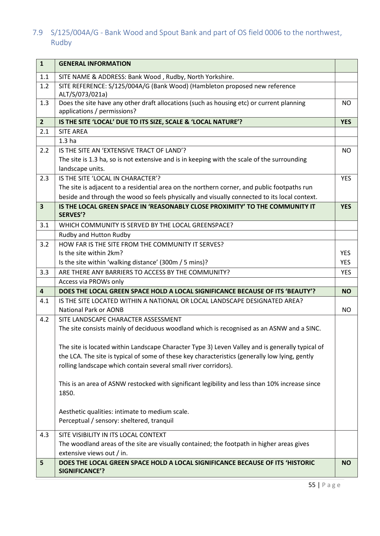<span id="page-57-0"></span>7.9 S/125/004A/G - Bank Wood and Spout Bank and part of OS field 0006 to the northwest, Rudby

| $\mathbf{1}$            | <b>GENERAL INFORMATION</b>                                                                                              |            |
|-------------------------|-------------------------------------------------------------------------------------------------------------------------|------------|
| 1.1                     | SITE NAME & ADDRESS: Bank Wood, Rudby, North Yorkshire.                                                                 |            |
| 1.2                     | SITE REFERENCE: S/125/004A/G (Bank Wood) (Hambleton proposed new reference<br>ALT/S/073/021a)                           |            |
| 1.3                     | Does the site have any other draft allocations (such as housing etc) or current planning<br>applications / permissions? | <b>NO</b>  |
| $\overline{2}$          | IS THE SITE 'LOCAL' DUE TO ITS SIZE, SCALE & 'LOCAL NATURE'?                                                            | <b>YES</b> |
| 2.1                     | <b>SITE AREA</b>                                                                                                        |            |
|                         | 1.3 <sub>ha</sub>                                                                                                       |            |
| 2.2                     | IS THE SITE AN 'EXTENSIVE TRACT OF LAND'?                                                                               | <b>NO</b>  |
|                         | The site is 1.3 ha, so is not extensive and is in keeping with the scale of the surrounding                             |            |
|                         | landscape units.                                                                                                        |            |
| 2.3                     | IS THE SITE 'LOCAL IN CHARACTER'?                                                                                       | <b>YES</b> |
|                         | The site is adjacent to a residential area on the northern corner, and public footpaths run                             |            |
|                         | beside and through the wood so feels physically and visually connected to its local context.                            |            |
| $\overline{\mathbf{3}}$ | IS THE LOCAL GREEN SPACE IN 'REASONABLY CLOSE PROXIMITY' TO THE COMMUNITY IT                                            | <b>YES</b> |
|                         | <b>SERVES'?</b>                                                                                                         |            |
| 3.1                     | WHICH COMMUNITY IS SERVED BY THE LOCAL GREENSPACE?                                                                      |            |
|                         | Rudby and Hutton Rudby                                                                                                  |            |
| 3.2                     | HOW FAR IS THE SITE FROM THE COMMUNITY IT SERVES?                                                                       |            |
|                         | Is the site within 2km?                                                                                                 | <b>YES</b> |
|                         | Is the site within 'walking distance' (300m / 5 mins)?                                                                  | <b>YES</b> |
| 3.3                     | ARE THERE ANY BARRIERS TO ACCESS BY THE COMMUNITY?                                                                      | <b>YES</b> |
|                         | Access via PROWs only                                                                                                   |            |
| $\overline{\mathbf{4}}$ | DOES THE LOCAL GREEN SPACE HOLD A LOCAL SIGNIFICANCE BECAUSE OF ITS 'BEAUTY'?                                           | <b>NO</b>  |
| 4.1                     | IS THE SITE LOCATED WITHIN A NATIONAL OR LOCAL LANDSCAPE DESIGNATED AREA?                                               |            |
|                         | <b>National Park or AONB</b>                                                                                            | <b>NO</b>  |
| 4.2                     | SITE LANDSCAPE CHARACTER ASSESSMENT                                                                                     |            |
|                         | The site consists mainly of deciduous woodland which is recognised as an ASNW and a SINC.                               |            |
|                         | The site is located within Landscape Character Type 3) Leven Valley and is generally typical of                         |            |
|                         | the LCA. The site is typical of some of these key characteristics (generally low lying, gently                          |            |
|                         | rolling landscape which contain several small river corridors).                                                         |            |
|                         | This is an area of ASNW restocked with significant legibility and less than 10% increase since<br>1850.                 |            |
|                         | Aesthetic qualities: intimate to medium scale.                                                                          |            |
|                         | Perceptual / sensory: sheltered, tranquil                                                                               |            |
| 4.3                     | SITE VISIBILITY IN ITS LOCAL CONTEXT                                                                                    |            |
|                         | The woodland areas of the site are visually contained; the footpath in higher areas gives                               |            |
|                         | extensive views out / in.                                                                                               |            |
| 5                       | DOES THE LOCAL GREEN SPACE HOLD A LOCAL SIGNIFICANCE BECAUSE OF ITS 'HISTORIC<br><b>SIGNIFICANCE'?</b>                  | <b>NO</b>  |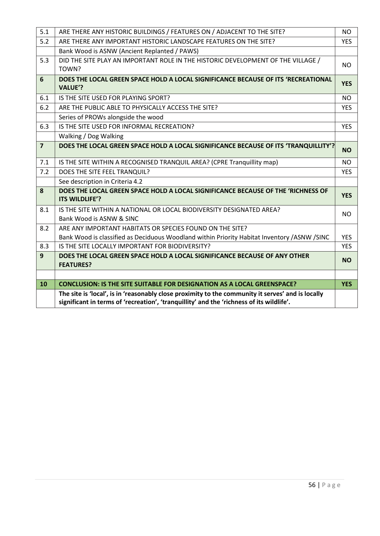| 5.1            | ARE THERE ANY HISTORIC BUILDINGS / FEATURES ON / ADJACENT TO THE SITE?                                                                                                                        | <b>NO</b>  |
|----------------|-----------------------------------------------------------------------------------------------------------------------------------------------------------------------------------------------|------------|
| 5.2            | ARE THERE ANY IMPORTANT HISTORIC LANDSCAPE FEATURES ON THE SITE?                                                                                                                              | <b>YES</b> |
|                | Bank Wood is ASNW (Ancient Replanted / PAWS)                                                                                                                                                  |            |
| 5.3            | DID THE SITE PLAY AN IMPORTANT ROLE IN THE HISTORIC DEVELOPMENT OF THE VILLAGE /<br>TOWN?                                                                                                     | <b>NO</b>  |
| 6              | DOES THE LOCAL GREEN SPACE HOLD A LOCAL SIGNIFICANCE BECAUSE OF ITS 'RECREATIONAL<br><b>VALUE'?</b>                                                                                           | <b>YES</b> |
| 6.1            | IS THE SITE USED FOR PLAYING SPORT?                                                                                                                                                           | <b>NO</b>  |
| 6.2            | ARE THE PUBLIC ABLE TO PHYSICALLY ACCESS THE SITE?                                                                                                                                            | <b>YES</b> |
|                | Series of PROWs alongside the wood                                                                                                                                                            |            |
| 6.3            | IS THE SITE USED FOR INFORMAL RECREATION?                                                                                                                                                     | <b>YES</b> |
|                | Walking / Dog Walking                                                                                                                                                                         |            |
| $\overline{7}$ | DOES THE LOCAL GREEN SPACE HOLD A LOCAL SIGNIFICANCE BECAUSE OF ITS 'TRANQUILLITY'?                                                                                                           | <b>NO</b>  |
| 7.1            | IS THE SITE WITHIN A RECOGNISED TRANQUIL AREA? (CPRE Tranquillity map)                                                                                                                        | <b>NO</b>  |
| 7.2            | DOES THE SITE FEEL TRANQUIL?                                                                                                                                                                  | <b>YES</b> |
|                | See description in Criteria 4.2                                                                                                                                                               |            |
| 8              | DOES THE LOCAL GREEN SPACE HOLD A LOCAL SIGNIFICANCE BECAUSE OF THE 'RICHNESS OF<br>ITS WILDLIFE'?                                                                                            | <b>YES</b> |
| 8.1            | IS THE SITE WITHIN A NATIONAL OR LOCAL BIODIVERSITY DESIGNATED AREA?<br>Bank Wood is ASNW & SINC                                                                                              | NO.        |
| 8.2            | ARE ANY IMPORTANT HABITATS OR SPECIES FOUND ON THE SITE?                                                                                                                                      |            |
|                | Bank Wood is classified as Deciduous Woodland within Priority Habitat Inventory /ASNW /SINC                                                                                                   | <b>YES</b> |
| 8.3            | IS THE SITE LOCALLY IMPORTANT FOR BIODIVERSITY?                                                                                                                                               | <b>YES</b> |
| $\overline{9}$ | DOES THE LOCAL GREEN SPACE HOLD A LOCAL SIGNIFICANCE BECAUSE OF ANY OTHER<br><b>FEATURES?</b>                                                                                                 | <b>NO</b>  |
|                |                                                                                                                                                                                               |            |
| 10             | <b>CONCLUSION: IS THE SITE SUITABLE FOR DESIGNATION AS A LOCAL GREENSPACE?</b>                                                                                                                | <b>YES</b> |
|                | The site is 'local', is in 'reasonably close proximity to the community it serves' and is locally<br>significant in terms of 'recreation', 'tranquillity' and the 'richness of its wildlife'. |            |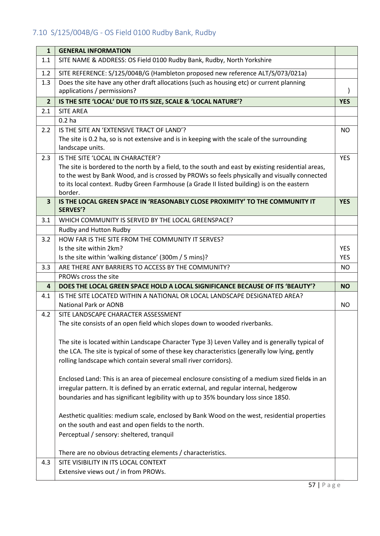# <span id="page-59-0"></span>7.10 S/125/004B/G - OS Field 0100 Rudby Bank, Rudby

| $\mathbf{1}$            | <b>GENERAL INFORMATION</b>                                                                                                                                                                                                                                                                                                                       |            |
|-------------------------|--------------------------------------------------------------------------------------------------------------------------------------------------------------------------------------------------------------------------------------------------------------------------------------------------------------------------------------------------|------------|
| 1.1                     | SITE NAME & ADDRESS: OS Field 0100 Rudby Bank, Rudby, North Yorkshire                                                                                                                                                                                                                                                                            |            |
| 1.2                     | SITE REFERENCE: S/125/004B/G (Hambleton proposed new reference ALT/S/073/021a)                                                                                                                                                                                                                                                                   |            |
| 1.3                     | Does the site have any other draft allocations (such as housing etc) or current planning<br>applications / permissions?                                                                                                                                                                                                                          |            |
| $\overline{2}$          | IS THE SITE 'LOCAL' DUE TO ITS SIZE, SCALE & 'LOCAL NATURE'?                                                                                                                                                                                                                                                                                     | <b>YES</b> |
| 2.1                     | <b>SITE AREA</b>                                                                                                                                                                                                                                                                                                                                 |            |
|                         | 0.2 <sub>ha</sub>                                                                                                                                                                                                                                                                                                                                |            |
| 2.2                     | IS THE SITE AN 'EXTENSIVE TRACT OF LAND'?<br>The site is 0.2 ha, so is not extensive and is in keeping with the scale of the surrounding<br>landscape units.                                                                                                                                                                                     | <b>NO</b>  |
| 2.3                     | IS THE SITE 'LOCAL IN CHARACTER'?<br>The site is bordered to the north by a field, to the south and east by existing residential areas,<br>to the west by Bank Wood, and is crossed by PROWs so feels physically and visually connected<br>to its local context. Rudby Green Farmhouse (a Grade II listed building) is on the eastern<br>border. | <b>YES</b> |
| $\overline{\mathbf{3}}$ | IS THE LOCAL GREEN SPACE IN 'REASONABLY CLOSE PROXIMITY' TO THE COMMUNITY IT<br><b>SERVES'?</b>                                                                                                                                                                                                                                                  | <b>YES</b> |
| 3.1                     | WHICH COMMUNITY IS SERVED BY THE LOCAL GREENSPACE?                                                                                                                                                                                                                                                                                               |            |
|                         | Rudby and Hutton Rudby                                                                                                                                                                                                                                                                                                                           |            |
| 3.2                     | HOW FAR IS THE SITE FROM THE COMMUNITY IT SERVES?                                                                                                                                                                                                                                                                                                |            |
|                         | Is the site within 2km?                                                                                                                                                                                                                                                                                                                          | <b>YES</b> |
|                         | Is the site within 'walking distance' (300m / 5 mins)?                                                                                                                                                                                                                                                                                           | <b>YES</b> |
| 3.3                     | ARE THERE ANY BARRIERS TO ACCESS BY THE COMMUNITY?<br>PROWs cross the site                                                                                                                                                                                                                                                                       | <b>NO</b>  |
| 4                       | DOES THE LOCAL GREEN SPACE HOLD A LOCAL SIGNIFICANCE BECAUSE OF ITS 'BEAUTY'?                                                                                                                                                                                                                                                                    | <b>NO</b>  |
| 4.1                     | IS THE SITE LOCATED WITHIN A NATIONAL OR LOCAL LANDSCAPE DESIGNATED AREA?                                                                                                                                                                                                                                                                        |            |
|                         | <b>National Park or AONB</b>                                                                                                                                                                                                                                                                                                                     | <b>NO</b>  |
| 4.2                     | SITE LANDSCAPE CHARACTER ASSESSMENT                                                                                                                                                                                                                                                                                                              |            |
|                         | The site consists of an open field which slopes down to wooded riverbanks.                                                                                                                                                                                                                                                                       |            |
|                         |                                                                                                                                                                                                                                                                                                                                                  |            |
|                         | The site is located within Landscape Character Type 3) Leven Valley and is generally typical of<br>the LCA. The site is typical of some of these key characteristics (generally low lying, gently<br>rolling landscape which contain several small river corridors).                                                                             |            |
|                         | Enclosed Land: This is an area of piecemeal enclosure consisting of a medium sized fields in an<br>irregular pattern. It is defined by an erratic external, and regular internal, hedgerow<br>boundaries and has significant legibility with up to 35% boundary loss since 1850.                                                                 |            |
|                         | Aesthetic qualities: medium scale, enclosed by Bank Wood on the west, residential properties<br>on the south and east and open fields to the north.<br>Perceptual / sensory: sheltered, tranquil<br>There are no obvious detracting elements / characteristics.                                                                                  |            |
| 4.3                     | SITE VISIBILITY IN ITS LOCAL CONTEXT                                                                                                                                                                                                                                                                                                             |            |
|                         | Extensive views out / in from PROWs.                                                                                                                                                                                                                                                                                                             |            |